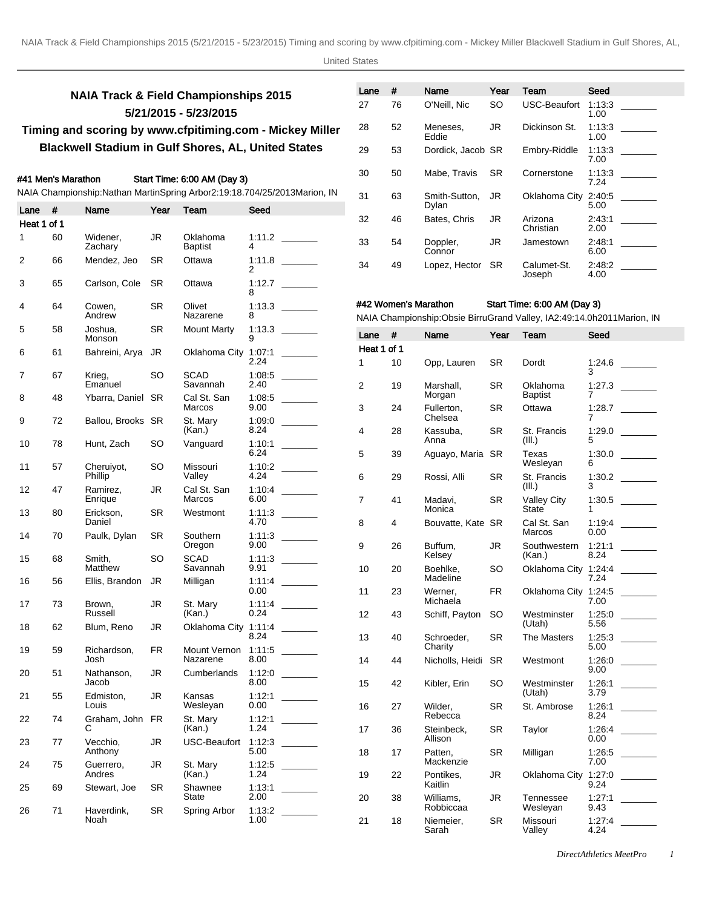# **NAIA Track & Field Championships 2015 5/21/2015 - 5/23/2015 Timing and scoring by www.cfpitiming.com - Mickey Miller**

# **Blackwell Stadium in Gulf Shores, AL, United States**

# #41 Men's Marathon Start Time: 6:00 AM (Day 3)

### NAIA Championship: Nathan Martin Spring Arbor 2:19:18.70 4/25/2013 Marion, IN

| Lane        | #  | Name                      | Year      | Team                       | Seed               |             |    | Dylan                                          |
|-------------|----|---------------------------|-----------|----------------------------|--------------------|-------------|----|------------------------------------------------|
| Heat 1 of 1 |    |                           |           |                            |                    | 32          | 46 | Bates, C                                       |
| 1           | 60 | Widener,<br>Zachary       | JR        | Oklahoma<br><b>Baptist</b> | 1:11.2<br>4        | 33          | 54 | Doppler,<br>Connor                             |
| 2           | 66 | Mendez, Jeo               | SR        | Ottawa                     | 1:11.8<br>2        | 34          | 49 | Lopez, H                                       |
| 3           | 65 | Carlson, Cole             | SR        | Ottawa                     | 1:12.7<br>8        |             |    |                                                |
| 4           | 64 | Cowen,<br>Andrew          | SR.       | Olivet<br>Nazarene         | 1:13.3<br>8        |             |    | #42 Women's Marathon<br>NAIA Championship: Obs |
| 5           | 58 | Joshua,<br>Monson         | SR        | <b>Mount Marty</b>         | 1:13.3<br>9        | Lane        | #  | Name                                           |
| 6           | 61 | Bahreini, Arya            | JR        | Oklahoma City              | 1:07:1             | Heat 1 of 1 |    |                                                |
| 7           | 67 | Krieg,                    | SO        | SCAD                       | 2.24<br>1:08:5     | 1           | 10 | Opp, Lat                                       |
| 8           | 48 | Emanuel<br>Ybarra, Daniel | <b>SR</b> | Savannah<br>Cal St. San    | 2.40<br>1:08:5     | 2           | 19 | Marshall<br>Morgan                             |
| 9           | 72 | Ballou, Brooks SR         |           | Marcos<br>St. Mary         | 9.00<br>1:09:0     | 3           | 24 | Fullerton<br>Chelsea                           |
| 10          | 78 |                           | SO        | (Kan.)                     | 8.24<br>1:10:1     | 4           | 28 | Kassuba<br>Anna                                |
|             |    | Hunt, Zach                |           | Vanguard                   | 6.24               | 5           | 39 | Aguayo,                                        |
| 11          | 57 | Cheruiyot,<br>Phillip     | SO        | Missouri<br>Valley         | 1:10.2<br>4.24     | 6           | 29 | Rossi, A                                       |
| 12          | 47 | Ramirez.<br>Enrique       | JR        | Cal St. San<br>Marcos      | 1:10:4<br>6.00     | 7           | 41 | Madavi,                                        |
| 13          | 80 | Erickson,<br>Daniel       | SR        | Westmont                   | 1:11:3<br>4.70     | 8           | 4  | Monica<br><b>Bouvatte</b>                      |
| 14          | 70 | Paulk, Dylan              | SR        | Southern<br>Oregon         | 1:11:3<br>9.00     | 9           | 26 | Buffum,                                        |
| 15          | 68 | Smith,<br>Matthew         | SO        | SCAD<br>Savannah           | 1:11:3<br>9.91     | 10          | 20 | Kelsey<br>Boehlke.                             |
| 16          | 56 | Ellis, Brandon            | JR        | Milligan                   | 1:11.4<br>$0.00\,$ | 11          | 23 | Madeline<br>Werner,                            |
| 17          | 73 | Brown,<br>Russell         | JR        | St. Mary<br>(Kan.)         | 1:11.4<br>0.24     | 12          | 43 | Michaela<br>Schiff, P                          |
| 18          | 62 | Blum, Reno                | JR        | Oklahoma City 1:11:4       | 8.24               | 13          | 40 | Schroed                                        |
| 19          | 59 | Richardson,<br>Josh       | <b>FR</b> | Mount Vernon<br>Nazarene   | 1:11:5<br>8.00     | 14          | 44 | Charity<br>Nicholls,                           |
| 20          | 51 | Nathanson,<br>Jacob       | JR        | Cumberlands                | 1:12:0<br>8.00     | 15          | 42 | Kibler, E                                      |
| 21          | 55 | Edmiston,<br>Louis        | JR        | Kansas<br>Wesleyan         | 1:12:1<br>0.00     | 16          | 27 | Wilder,                                        |
| 22          | 74 | Graham, John FR<br>С      |           | St. Mary<br>(Kan.)         | 1:12:1<br>1.24     | 17          | 36 | Rebecca<br>Steinbec                            |
| 23          | 77 | Vecchio,                  | JR        | <b>USC-Beaufort</b>        | 1:12:3             |             |    | Allison                                        |
| 24          | 75 | Anthony<br>Guerrero,      | JR        | St. Mary                   | 5.00<br>1:12.5     | 18          | 17 | Patten,<br>Mackenz                             |
| 25          | 69 | Andres<br>Stewart, Joe    | <b>SR</b> | (Kan.)<br>Shawnee          | 1.24<br>1:13:1     | 19          | 22 | Pontikes<br>Kaitlin                            |
| 26          | 71 | Haverdink,                | SR        | State<br>Spring Arbor      | 2.00<br>1:13:2     | 20          | 38 | Williams<br>Robbicca                           |
|             |    | Noah                      |           |                            | 1.00               | 21          | 18 | Niemeie                                        |

| Lane | #  | Name                   | Year      | Team                  | Seed           |
|------|----|------------------------|-----------|-----------------------|----------------|
| 27   | 76 | O'Neill, Nic           | <b>SO</b> | <b>USC-Beaufort</b>   | 1:13:3<br>1.00 |
| 28   | 52 | Meneses,<br>Eddie      | JR.       | Dickinson St.         | 1.13.3<br>1.00 |
| 29   | 53 | Dordick, Jacob SR      |           | Embry-Riddle          | 1.13.3<br>7.00 |
| 30   | 50 | Mabe, Travis           | <b>SR</b> | Cornerstone           | 1:13:3<br>7.24 |
| 31   | 63 | Smith-Sutton.<br>Dylan | JR        | Oklahoma City         | 2:40:5<br>5.00 |
| 32   | 46 | Bates, Chris           | JR.       | Arizona<br>Christian  | 2:43:1<br>2.00 |
| 33   | 54 | Doppler,<br>Connor     | JR        | Jamestown             | 2:48:1<br>6.00 |
| 34   | 49 | Lopez, Hector          | -SR       | Calumet-St.<br>Joseph | 2.48.2<br>4.00 |

# Start Time: 6:00 AM (Day 3)

bsie Birru Grand Valley, IA 2:49:14.0h 2011Marion, IN

| Lane        | #  | Name                   | Year      | Team                        | Seed           |  |
|-------------|----|------------------------|-----------|-----------------------------|----------------|--|
| Heat 1 of 1 |    |                        |           |                             |                |  |
| 1           | 10 | Opp, Lauren            | SR        | Dordt                       | 1:24.6<br>3    |  |
| 2           | 19 | Marshall.<br>Morgan    | SR        | Oklahoma<br><b>Baptist</b>  | 1:27.3<br>7    |  |
| 3           | 24 | Fullerton,<br>Chelsea  | SR        | Ottawa                      | 1:28.7<br>7    |  |
| 4           | 28 | Kassuba,<br>Anna       | SR        | St. Francis<br>(III.)       | 1:29.0<br>5    |  |
| 5           | 39 | Aguayo, Maria          | <b>SR</b> | Texas<br>Wesleyan           | 1:30.0<br>6    |  |
| 6           | 29 | Rossi, Alli            | SR        | St. Francis<br>(III.)       | 1:30.2<br>3    |  |
| 7           | 41 | Madavi,<br>Monica      | SR        | <b>Valley City</b><br>State | 1:30.5<br>1    |  |
| 8           | 4  | Bouvatte, Kate         | -SR       | Cal St. San<br>Marcos       | 1:19:4<br>0.00 |  |
| 9           | 26 | Buffum,<br>Kelsey      | JR        | Southwestern<br>(Kan.)      | 1:21:1<br>8.24 |  |
| 10          | 20 | Boehlke.<br>Madeline   | SO        | Oklahoma City               | 1:24:4<br>7.24 |  |
| 11          | 23 | Werner,<br>Michaela    | <b>FR</b> | Oklahoma City               | 1:24:5<br>7.00 |  |
| 12          | 43 | Schiff, Payton         | SO        | Westminster<br>(Utah)       | 1:25:0<br>5.56 |  |
| 13          | 40 | Schroeder,<br>Charity  | SR        | The Masters                 | 1:25:3<br>5.00 |  |
| 14          | 44 | Nicholls, Heidi        | SR        | Westmont                    | 1:26:0<br>9.00 |  |
| 15          | 42 | Kibler, Erin           | SO        | Westminster<br>(Utah)       | 1:26:1<br>3.79 |  |
| 16          | 27 | Wilder,<br>Rebecca     | SR        | St. Ambrose                 | 1:26:1<br>8.24 |  |
| 17          | 36 | Steinbeck,<br>Allison  | SR        | Taylor                      | 1.26.4<br>0.00 |  |
| 18          | 17 | Patten,<br>Mackenzie   | SR        | Milligan                    | 1:26:5<br>7.00 |  |
| 19          | 22 | Pontikes,<br>Kaitlin   | JR        | Oklahoma City               | 1:27:0<br>9.24 |  |
| 20          | 38 | Williams,<br>Robbiccaa | JR        | Tennessee<br>Weslevan       | 1:27:1<br>9.43 |  |
| 21          | 18 | Niemeier,<br>Sarah     | SR        | Missouri<br>Valley          | 1.27.4<br>4.24 |  |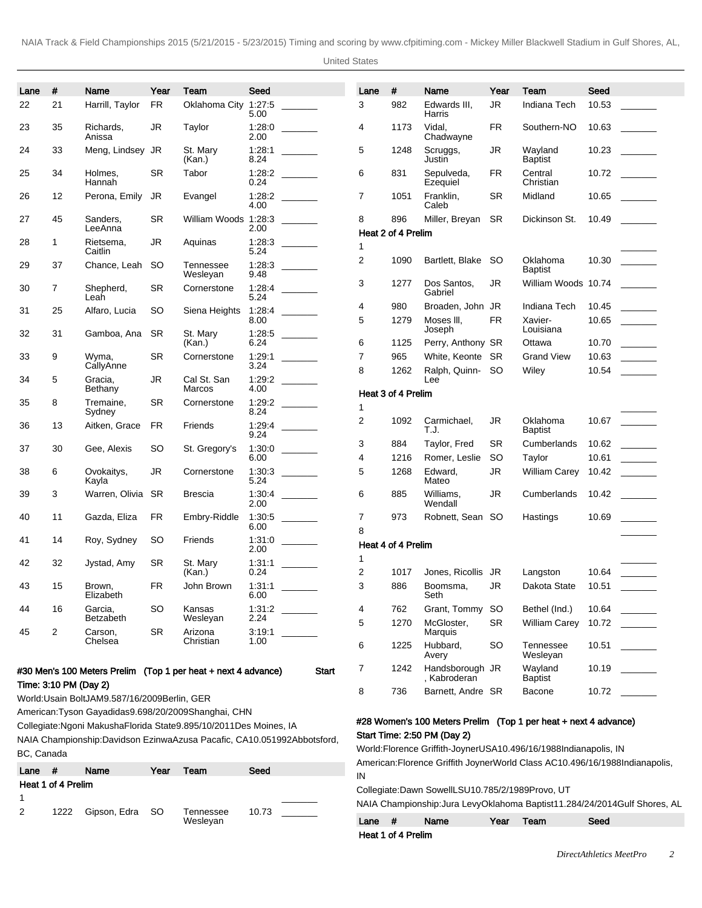United States

| Lane | #                     | Name                 | Year       | Team                                                          | Seed           |                                                           | Lane   | $\pmb{\#}$         | Name                            | Year      | Team                       | Seed  |                                                             |
|------|-----------------------|----------------------|------------|---------------------------------------------------------------|----------------|-----------------------------------------------------------|--------|--------------------|---------------------------------|-----------|----------------------------|-------|-------------------------------------------------------------|
| 22   | 21                    | Harrill, Taylor      | FR         | Oklahoma City 1:27:5                                          | 5.00           |                                                           | 3      | 982                | Edwards III,<br>Harris          | <b>JR</b> | Indiana Tech               | 10.53 |                                                             |
| 23   | 35                    | Richards,<br>Anissa  | JR         | Taylor                                                        | 1:28:0<br>2.00 |                                                           | 4      | 1173               | Vidal,<br>Chadwayne             | FR        | Southern-NO                | 10.63 |                                                             |
| 24   | 33                    | Meng, Lindsey JR     |            | St. Mary<br>(Kan.)                                            | 1:28:1<br>8.24 |                                                           | 5      | 1248               | Scruggs,<br>Justin              | <b>JR</b> | Wayland<br><b>Baptist</b>  | 10.23 |                                                             |
| 25   | 34                    | Holmes,<br>Hannah    | <b>SR</b>  | Tabor                                                         | 0.24           |                                                           | 6      | 831                | Sepulveda,<br>Ezequiel          | FR        | Central<br>Christian       | 10.72 |                                                             |
| 26   | 12                    | Perona, Emily        | <b>JR</b>  | Evangel                                                       | 1:28.2<br>4.00 |                                                           | 7      | 1051               | Franklin.<br>Caleb              | SR        | Midland                    | 10.65 |                                                             |
| 27   | 45                    | Sanders,<br>LeeAnna  | <b>SR</b>  | William Woods 1:28:3                                          | 2.00           |                                                           | 8      | 896                | Miller, Breyan                  | SR.       | Dickinson St.              | 10.49 |                                                             |
| 28   | 1                     | Rietsema,<br>Caitlin | JR         | Aquinas                                                       | 1:28:3<br>5.24 |                                                           | 1      | Heat 2 of 4 Prelim |                                 |           |                            |       |                                                             |
| 29   | 37                    | Chance, Leah         | <b>SO</b>  | Tennessee<br>Wesleyan                                         | 1:28:3<br>9.48 |                                                           | 2      | 1090               | Bartlett, Blake SO              |           | Oklahoma<br><b>Baptist</b> | 10.30 |                                                             |
| 30   | 7                     | Shepherd,<br>Leah    | <b>SR</b>  | Cornerstone                                                   | 1:28.4<br>5.24 |                                                           | 3      | 1277               | Dos Santos,<br>Gabriel          | <b>JR</b> | William Woods 10.74        |       |                                                             |
| 31   | 25                    | Alfaro, Lucia        | SO         | Siena Heights                                                 | 1:28.4         |                                                           | 4      | 980                | Broaden, John JR                |           | Indiana Tech               | 10.45 |                                                             |
| 32   | 31                    | Gamboa, Ana          | <b>SR</b>  | St. Mary                                                      | 8.00<br>1:28:5 |                                                           | 5      | 1279               | Moses III,<br>Joseph            | FR        | Xavier-<br>Louisiana       | 10.65 |                                                             |
|      |                       |                      |            | (Kan.)                                                        | 6.24           |                                                           | 6      | 1125               | Perry, Anthony SR               |           | Ottawa                     | 10.70 | $\mathcal{L}^{\text{max}}$ and $\mathcal{L}^{\text{max}}$   |
| 33   | 9                     | Wyma,                | <b>SR</b>  | Cornerstone                                                   | 1:29:1         |                                                           | 7      | 965                | White, Keonte SR                |           | <b>Grand View</b>          | 10.63 | $\frac{1}{2}$                                               |
| 34   | 5                     | CallyAnne<br>Gracia, | <b>JR</b>  | Cal St. San                                                   | 3.24<br>1:29.2 |                                                           | 8      | 1262               | Ralph, Quinn-<br>Lee            | -SO       | Wiley                      | 10.54 |                                                             |
|      |                       | Bethany              |            | Marcos                                                        | 4.00           |                                                           |        | Heat 3 of 4 Prelim |                                 |           |                            |       |                                                             |
| 35   | 8                     | Tremaine,<br>Sydney  | <b>SR</b>  | Cornerstone                                                   | 1:29:2<br>8.24 |                                                           | 1      |                    |                                 |           |                            |       |                                                             |
| 36   | 13                    | Aitken, Grace        | <b>FR</b>  | Friends                                                       | 1:29:4<br>9.24 |                                                           | 2      | 1092               | Carmichael,<br>T.J.             | <b>JR</b> | Oklahoma<br><b>Baptist</b> | 10.67 |                                                             |
| 37   | 30                    | Gee, Alexis          | SO         | St. Gregory's                                                 | 1:30:0         |                                                           | 3      | 884                | Taylor, Fred                    | SR        | Cumberlands                | 10.62 |                                                             |
|      |                       |                      |            |                                                               | 6.00           |                                                           | 4      | 1216               | Romer, Leslie                   | <b>SO</b> | Taylor                     | 10.61 | $\mathcal{L}^{\text{max}}$ , and $\mathcal{L}^{\text{max}}$ |
| 38   | 6                     | Ovokaitys,<br>Kayla  | <b>JR</b>  | Cornerstone                                                   | 1:30:3<br>5.24 |                                                           | 5      | 1268               | Edward,<br>Mateo                | <b>JR</b> | <b>William Carey</b>       | 10.42 |                                                             |
| 39   | 3                     | Warren, Olivia       | SR.        | <b>Brescia</b>                                                | 1:30:4<br>2.00 | $\mathcal{L}^{\text{max}}$ and $\mathcal{L}^{\text{max}}$ | 6      | 885                | Williams,<br>Wendall            | <b>JR</b> | Cumberlands                | 10.42 |                                                             |
| 40   | 11                    | Gazda, Eliza         | FR         | Embry-Riddle                                                  | 1:30:5<br>6.00 |                                                           | 7<br>8 | 973                | Robnett, Sean SO                |           | Hastings                   | 10.69 |                                                             |
| 41   | 14                    | Roy, Sydney          | SO         | Friends                                                       | 1:31:0<br>2.00 |                                                           |        | Heat 4 of 4 Prelim |                                 |           |                            |       |                                                             |
| 42   | 32                    | Jystad, Amy          | SR         | St. Mary<br>(Kan.)                                            | 1:31:1<br>0.24 |                                                           | 1<br>2 | 1017               | Jones, Ricollis JR              |           | Langston                   | 10.64 |                                                             |
| 43   | 15                    | Brown,<br>Elizabeth  | ${\sf FR}$ | John Brown                                                    | 1:31:1<br>6.00 |                                                           | 3      | 886                | Boomsma,<br>Seth                | JR        | Dakota State               | 10.51 |                                                             |
| 44   | 16                    | Garcia,              | SO         | Kansas                                                        | 1:31:2         |                                                           | 4      | 762                | Grant, Tommy                    | -SO       | Bethel (Ind.)              | 10.64 |                                                             |
|      |                       | Betzabeth            |            | Wesleyan                                                      | 2.24           |                                                           | 5      | 1270               | McGloster,                      | <b>SR</b> | <b>William Carey</b>       |       | 10.72                                                       |
| 45   | $\overline{c}$        | Carson,<br>Chelsea   | SR         | Arizona<br>Christian                                          | 3:19:1<br>1.00 |                                                           | 6      | 1225               | Marquis<br>Hubbard,             | <b>SO</b> | Tennessee                  |       |                                                             |
|      |                       |                      |            |                                                               |                |                                                           |        |                    | Avery                           |           | Wesleyan                   |       |                                                             |
|      |                       |                      |            | #30 Men's 100 Meters Prelim (Top 1 per heat + next 4 advance) |                | Start                                                     | 7      | 1242               | Handsborough JR<br>, Kabroderan |           | Wayland<br>Baptist         | 10.19 |                                                             |
|      | Time: 3:10 PM (Day 2) | 141100024000000      |            |                                                               |                |                                                           | 8      | 736                | Barnett, Andre SR               |           | Bacone                     |       |                                                             |

World: Usain Bolt JAM 9.58 7/16/2009 Berlin, GER

American: Tyson Gay adidas 9.69 8/20/2009 Shanghai, CHN

Collegiate: Ngoni Makusha Florida State 9.89 5/10/2011 Des Moines, IA

NAIA Championship: Davidson Ezinwa Azusa Pacafic, CA 10.05 1992Abbotsford, BC, Canada

| Lane | #                  | Name         | Year | Team                  | Seed  |
|------|--------------------|--------------|------|-----------------------|-------|
|      | Heat 1 of 4 Prelim |              |      |                       |       |
|      |                    |              |      |                       |       |
| 2    | 1222               | Gipson, Edra | - SO | Tennessee<br>Wesleyan | 10.73 |

#28 Women's 100 Meters Prelim (Top 1 per heat + next 4 advance) Start Time: 2:50 PM (Day 2)

World: Florence Griffith-Joyner USA 10.49 6/16/1988 Indianapolis, IN American: Florence Griffith Joyner World Class AC 10.49 6/16/1988 Indianapolis, IN

Collegiate: Dawn Sowell LSU 10.78 5/2/1989 Provo, UT

NAIA Championship: Jura Levy Oklahoma Baptist 11.28 4/24/2014 Gulf Shores, AL

| Lane $#$ |                    | Name | Year | Team | Seed |
|----------|--------------------|------|------|------|------|
|          | Heat 1 of 4 Prelim |      |      |      |      |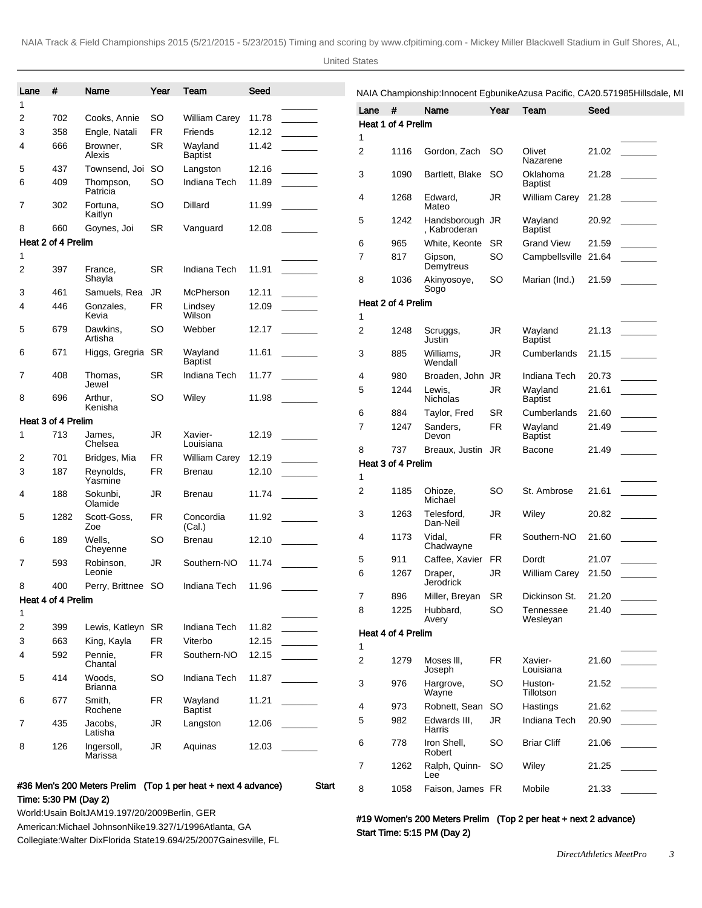| Lane           | $\#$                      | Name                       | Year                   | Team                                                          | Seed           |                                                                                                                                                                                                                                                                                                                                                                                                                        |                |                    |                           |           |                            | NAIA Championship: Innocent Egbunike Azusa Pacific, CA 20.57 1985 Hillsdale, MI                      |
|----------------|---------------------------|----------------------------|------------------------|---------------------------------------------------------------|----------------|------------------------------------------------------------------------------------------------------------------------------------------------------------------------------------------------------------------------------------------------------------------------------------------------------------------------------------------------------------------------------------------------------------------------|----------------|--------------------|---------------------------|-----------|----------------------------|------------------------------------------------------------------------------------------------------|
| 1              |                           |                            |                        |                                                               |                |                                                                                                                                                                                                                                                                                                                                                                                                                        | Lane $#$       |                    | Name                      | Year      | Team                       | Seed                                                                                                 |
| 2              | 702                       | Cooks, Annie               | <b>SO</b>              | <b>William Carey</b>                                          | 11.78          |                                                                                                                                                                                                                                                                                                                                                                                                                        |                | Heat 1 of 4 Prelim |                           |           |                            |                                                                                                      |
| 3              | 358                       | Engle, Natali              | <b>FR</b><br><b>SR</b> | Friends                                                       | 12.12<br>11.42 |                                                                                                                                                                                                                                                                                                                                                                                                                        | 1              |                    |                           |           |                            |                                                                                                      |
| 4              | 666                       | Browner,<br>Alexis         |                        | Wayland<br><b>Baptist</b>                                     |                |                                                                                                                                                                                                                                                                                                                                                                                                                        | 2              | 1116               | Gordon, Zach              | SO.       | Olivet<br>Nazarene         | 21.02                                                                                                |
| 5<br>6         | 437<br>409                | Townsend, Joi<br>Thompson, | <b>SO</b><br><b>SO</b> | Langston<br>Indiana Tech                                      | 12.16<br>11.89 | <b>Contract Contract</b>                                                                                                                                                                                                                                                                                                                                                                                               | 3              | 1090               | Bartlett, Blake           | -SO       | Oklahoma<br><b>Baptist</b> | 21.28<br>$\mathcal{L}^{\text{max}}$ and $\mathcal{L}^{\text{max}}$                                   |
| 7              | 302                       | Patricia<br>Fortuna.       | SO.                    | Dillard                                                       | 11.99          |                                                                                                                                                                                                                                                                                                                                                                                                                        | 4              | 1268               | Edward.<br>Mateo          | JR        | William Carey              | 21.28                                                                                                |
|                |                           | Kaitlyn                    |                        |                                                               |                |                                                                                                                                                                                                                                                                                                                                                                                                                        | 5              | 1242               | Handsborough JR           |           | Wayland                    | 20.92<br>$\mathcal{L}^{\mathcal{L}}$ and $\mathcal{L}^{\mathcal{L}}$ and $\mathcal{L}^{\mathcal{L}}$ |
| 8              | 660<br>Heat 2 of 4 Prelim | Goynes, Joi                | <b>SR</b>              | Vanguard                                                      | 12.08          |                                                                                                                                                                                                                                                                                                                                                                                                                        |                |                    | , Kabroderan              |           | <b>Baptist</b>             |                                                                                                      |
|                |                           |                            |                        |                                                               |                |                                                                                                                                                                                                                                                                                                                                                                                                                        | 6              | 965                | White, Keonte             | SR        | <b>Grand View</b>          | 21.59                                                                                                |
|                | 397                       | France,                    | <b>SR</b>              | Indiana Tech                                                  | 11.91          | $\mathcal{L}^{\text{max}}_{\text{max}}$                                                                                                                                                                                                                                                                                                                                                                                | $\overline{7}$ | 817                | Gipson,<br>Demytreus      | SO        | Campbellsville 21.64       |                                                                                                      |
|                |                           | Shayla                     |                        |                                                               |                |                                                                                                                                                                                                                                                                                                                                                                                                                        | 8              | 1036               | Akinyosoye,               | <b>SO</b> | Marian (Ind.)              | 21.59                                                                                                |
|                | 461                       | Samuels, Rea               | JR                     | McPherson                                                     | 12.11          | $\begin{tabular}{ccccc} \multicolumn{2}{c }{\textbf{1} & \textbf{2} & \textbf{3} & \textbf{4} & \textbf{5} & \textbf{5} & \textbf{6} & \textbf{6} & \textbf{7} & \textbf{8} & \textbf{8} & \textbf{9} & \textbf{10} & \textbf{10} & \textbf{10} & \textbf{10} & \textbf{10} & \textbf{10} & \textbf{10} & \textbf{10} & \textbf{10} & \textbf{10} & \textbf{10} & \textbf{10} & \textbf{10} & \textbf{10} & \textbf{1$ |                | Heat 2 of 4 Prelim | Sogo                      |           |                            |                                                                                                      |
|                | 446                       | Gonzales,<br>Kevia         | <b>FR</b>              | Lindsey<br>Wilson                                             | 12.09          |                                                                                                                                                                                                                                                                                                                                                                                                                        | 1              |                    |                           |           |                            |                                                                                                      |
|                | 679                       | Dawkins,<br>Artisha        | SO.                    | Webber                                                        | 12.17          |                                                                                                                                                                                                                                                                                                                                                                                                                        | $\overline{2}$ | 1248               | Scruggs,<br><b>Justin</b> | JR        | Wayland<br><b>Baptist</b>  | $21.13$ _______                                                                                      |
|                | 671                       | Higgs, Gregria             | <b>SR</b>              | Wayland<br><b>Baptist</b>                                     | 11.61          |                                                                                                                                                                                                                                                                                                                                                                                                                        | 3              | 885                | Williams,<br>Wendall      | JR        | Cumberlands                | 21.15<br><b>Contract Contract</b>                                                                    |
| $\overline{7}$ | 408                       | Thomas,                    | <b>SR</b>              | Indiana Tech                                                  |                |                                                                                                                                                                                                                                                                                                                                                                                                                        | 4              | 980                | Broaden, John             | JR        | Indiana Tech               | 20.73                                                                                                |
|                | 696                       | Jewel<br>Arthur.           | <b>SO</b>              | Wiley                                                         | 11.98          | $\mathcal{L}^{\text{max}}$ , where $\mathcal{L}^{\text{max}}$                                                                                                                                                                                                                                                                                                                                                          | 5              | 1244               | Lewis,<br>Nicholas        | <b>JR</b> | Wayland<br><b>Baptist</b>  | 21.61                                                                                                |
|                |                           | Kenisha                    |                        |                                                               |                |                                                                                                                                                                                                                                                                                                                                                                                                                        | 6              | 884                | Taylor, Fred              | SR        | Cumberlands                | 21.60<br>$\mathcal{L}^{\text{max}}$ and $\mathcal{L}^{\text{max}}$                                   |
|                | Heat 3 of 4 Prelim        |                            |                        |                                                               |                |                                                                                                                                                                                                                                                                                                                                                                                                                        | $\overline{7}$ | 1247               | Sanders,                  | <b>FR</b> | Wayland                    | 21.49                                                                                                |
|                | 713                       | James,<br>Chelsea          | <b>JR</b>              | Xavier-<br>Louisiana                                          |                |                                                                                                                                                                                                                                                                                                                                                                                                                        |                |                    | Devon                     |           | <b>Baptist</b>             |                                                                                                      |
|                | 701                       | Bridges, Mia               | FR                     | William Carey                                                 | 12.19          | $\frac{1}{1}$                                                                                                                                                                                                                                                                                                                                                                                                          | 8              | 737                | Breaux, Justin JR         |           | Bacone                     | 21.49<br><b>Contract Contract</b>                                                                    |
|                | 187                       | Reynolds,                  | <b>FR</b>              | <b>Brenau</b>                                                 | 12.10          |                                                                                                                                                                                                                                                                                                                                                                                                                        |                | Heat 3 of 4 Prelim |                           |           |                            |                                                                                                      |
|                |                           | Yasmine                    |                        |                                                               |                |                                                                                                                                                                                                                                                                                                                                                                                                                        | 1              |                    |                           |           |                            |                                                                                                      |
|                | 188                       | Sokunbi,<br>Olamide        | JR                     | <b>Brenau</b>                                                 | 11.74          |                                                                                                                                                                                                                                                                                                                                                                                                                        | 2              | 1185               | Ohioze.<br>Michael        | SO        | St. Ambrose                |                                                                                                      |
|                | 1282                      | Scott-Goss,<br>Zoe         | <b>FR</b>              | Concordia<br>(Cal.)                                           | 11.92          |                                                                                                                                                                                                                                                                                                                                                                                                                        | 3              | 1263               | Telesford,<br>Dan-Neil    | JR        | Wiley                      | 20.82                                                                                                |
|                | 189                       | Wells,<br>Cheyenne         | <b>SO</b>              | <b>Brenau</b>                                                 | 12.10          |                                                                                                                                                                                                                                                                                                                                                                                                                        | 4              | 1173               | Vidal.<br>Chadwayne       | FR.       | Southern-NO                | 21.60                                                                                                |
| 7              | 593                       | Robinson,                  | JR                     | Southern-NO                                                   | 11.74          |                                                                                                                                                                                                                                                                                                                                                                                                                        | 5              | 911                | Caffee, Xavier            | <b>FR</b> | Dordt                      | 21.07                                                                                                |
|                |                           | Leonie                     |                        |                                                               |                |                                                                                                                                                                                                                                                                                                                                                                                                                        | 6              | 1267               | Draper,<br>Jerodrick      | JR        | <b>William Carey</b>       | 21.50                                                                                                |
| 8              | 400                       | Perry, Brittnee SO         |                        | Indiana Tech                                                  | 11.96          |                                                                                                                                                                                                                                                                                                                                                                                                                        | 7              | 896                | Miller, Breyan            | <b>SR</b> | Dickinson St.              | 21.20                                                                                                |
|                | Heat 4 of 4 Prelim        |                            |                        |                                                               |                |                                                                                                                                                                                                                                                                                                                                                                                                                        | 8              | 1225               | Hubbard,                  | SO        | Tennessee                  | 21.40                                                                                                |
|                | 399                       | Lewis, Katleyn             | <b>SR</b>              | Indiana Tech                                                  | 11.82          |                                                                                                                                                                                                                                                                                                                                                                                                                        |                |                    | Avery                     |           | Wesleyan                   |                                                                                                      |
| $\overline{c}$ | 663                       | King, Kayla                | <b>FR</b>              | Viterbo                                                       | 12.15          |                                                                                                                                                                                                                                                                                                                                                                                                                        |                | Heat 4 of 4 Prelim |                           |           |                            |                                                                                                      |
| 3<br>4         | 592                       | Pennie,                    | <b>FR</b>              | Southern-NO                                                   | 12.15          |                                                                                                                                                                                                                                                                                                                                                                                                                        | 1              |                    |                           |           |                            |                                                                                                      |
| 5              |                           | Chantal                    |                        |                                                               |                |                                                                                                                                                                                                                                                                                                                                                                                                                        | 2              | 1279               | Moses III,<br>Joseph      | FR        | Xavier-<br>Louisiana       |                                                                                                      |
|                | 414                       | Woods,<br><b>Brianna</b>   | SO.                    | Indiana Tech                                                  | 11.87          |                                                                                                                                                                                                                                                                                                                                                                                                                        | 3              | 976                | Hargrove,<br>Wayne        | SO        | Huston-<br>Tillotson       |                                                                                                      |
|                | 677                       | Smith,<br>Rochene          | FR.                    | Wayland<br><b>Baptist</b>                                     | 11.21          |                                                                                                                                                                                                                                                                                                                                                                                                                        | 4              | 973                | Robnett, Sean             | SO.       | Hastings                   | 21.62<br>$\sim 10^{11}$ and $\sim 10^{11}$                                                           |
| 7              | 435                       | Jacobs.<br>Latisha         | <b>JR</b>              | Langston                                                      | 12.06          |                                                                                                                                                                                                                                                                                                                                                                                                                        | 5              | 982                | Edwards III,<br>Harris    | JR        | Indiana Tech               | 20.90                                                                                                |
| 8              | 126                       | Ingersoll,<br>Marissa      | JR                     | Aquinas                                                       | 12.03          |                                                                                                                                                                                                                                                                                                                                                                                                                        | 6              | 778                | Iron Shell,<br>Robert     | SO        | <b>Briar Cliff</b>         | 21.06                                                                                                |
|                |                           |                            |                        |                                                               |                |                                                                                                                                                                                                                                                                                                                                                                                                                        | $\overline{7}$ | 1262               | Ralph, Quinn-<br>Lee      | SO.       | Wiley                      | 21.25                                                                                                |
|                |                           |                            |                        | #36 Men's 200 Meters Prelim (Top 1 per heat + next 4 advance) |                | <b>Start</b>                                                                                                                                                                                                                                                                                                                                                                                                           | 8              | 1058               | Faison, James FR          |           | Mobile                     | 21.33                                                                                                |

#19 Women's 200 Meters Prelim (Top 2 per heat + next 2 advance) Start Time: 5:15 PM (Day 2)

World: Usain Bolt JAM 19.19 7/20/2009 Berlin, GER

Time: 5:30 PM (Day 2)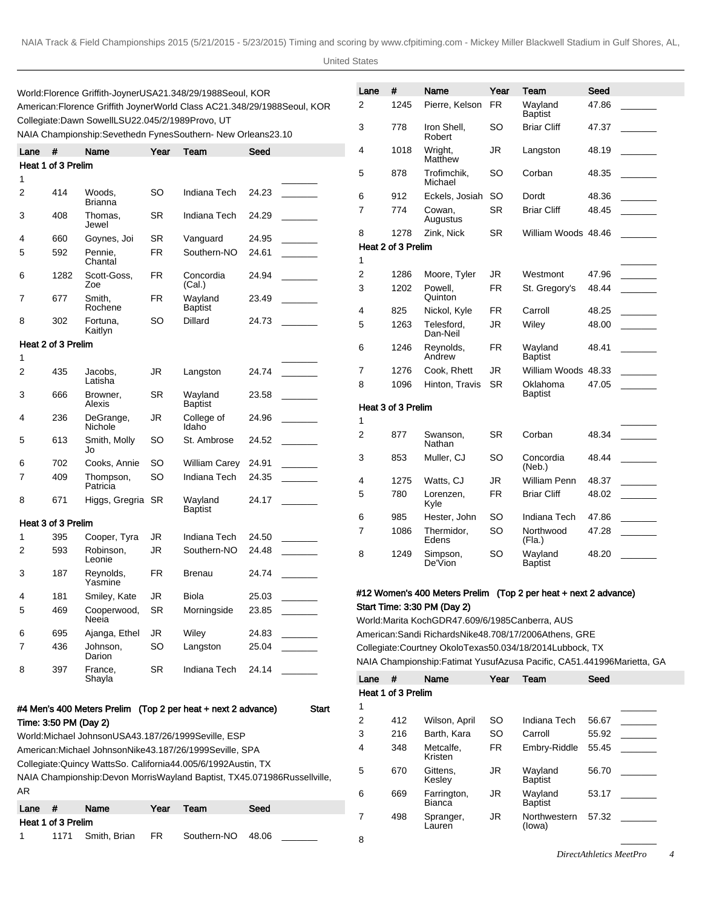United States

|                                                                                                                        |                                                                       | World: Florence Griffith-Joyner USA 21.34 8/29/1988 Seoul, KOR<br>American: Florence Griffith Joyner World Class AC 21.34 8/29/1988 Seoul, KOR |      |                           |       |                                         |  |  |  |
|------------------------------------------------------------------------------------------------------------------------|-----------------------------------------------------------------------|------------------------------------------------------------------------------------------------------------------------------------------------|------|---------------------------|-------|-----------------------------------------|--|--|--|
| Collegiate: Dawn Sowell LSU 22.04 5/2/1989 Provo, UT<br>NAIA Championship: Sevethedn Fynes Southern- New Orleans 23.10 |                                                                       |                                                                                                                                                |      |                           |       |                                         |  |  |  |
| Lane                                                                                                                   | #                                                                     | Name                                                                                                                                           | Year | Team                      | Seed  |                                         |  |  |  |
|                                                                                                                        | Heat 1 of 3 Prelim                                                    |                                                                                                                                                |      |                           |       |                                         |  |  |  |
| 1                                                                                                                      |                                                                       |                                                                                                                                                |      |                           |       |                                         |  |  |  |
| 2                                                                                                                      | 414                                                                   | Woods,<br><b>Brianna</b>                                                                                                                       | SO   | Indiana Tech              | 24.23 |                                         |  |  |  |
| 3                                                                                                                      | 408                                                                   | Thomas,<br>Jewel                                                                                                                               | SR   | Indiana Tech              | 24.29 |                                         |  |  |  |
| 4                                                                                                                      | 660                                                                   | Goynes, Joi                                                                                                                                    | SR   | Vanguard                  | 24.95 |                                         |  |  |  |
| 5                                                                                                                      | 592                                                                   | Pennie,<br>Chantal                                                                                                                             | FR   | Southern-NO               | 24.61 |                                         |  |  |  |
| 6                                                                                                                      | 1282                                                                  | Scott-Goss,<br>Zoe                                                                                                                             | FR   | Concordia<br>(Cal.)       | 24.94 |                                         |  |  |  |
| 7                                                                                                                      | 677                                                                   | Smith,<br>Rochene                                                                                                                              | FR   | Wayland<br><b>Baptist</b> | 23.49 |                                         |  |  |  |
| 8                                                                                                                      | 302                                                                   | Fortuna,<br>Kaitlyn                                                                                                                            | SO   | Dillard                   | 24.73 |                                         |  |  |  |
| 1                                                                                                                      | Heat 2 of 3 Prelim                                                    |                                                                                                                                                |      |                           |       |                                         |  |  |  |
| 2                                                                                                                      | 435                                                                   | Jacobs,<br>Latisha                                                                                                                             | JR   | Langston                  | 24.74 |                                         |  |  |  |
| 3                                                                                                                      | 666                                                                   | Browner,<br>Alexis                                                                                                                             | SR   | Wayland<br><b>Baptist</b> | 23.58 |                                         |  |  |  |
| 4                                                                                                                      | 236                                                                   | DeGrange,<br>Nichole                                                                                                                           | JR   | College of<br>Idaho       | 24.96 |                                         |  |  |  |
| 5                                                                                                                      | 613                                                                   | Smith, Molly<br>Jo                                                                                                                             | SO   | St. Ambrose               | 24.52 |                                         |  |  |  |
| 6                                                                                                                      | 702                                                                   | Cooks, Annie                                                                                                                                   | SO   | William Carey             | 24.91 |                                         |  |  |  |
| 7                                                                                                                      | 409                                                                   | Thompson,<br>Patricia                                                                                                                          | SO   | Indiana Tech              | 24.35 |                                         |  |  |  |
| 8                                                                                                                      | 671                                                                   | Higgs, Gregria                                                                                                                                 | SR   | Wayland<br>Baptist        | 24.17 |                                         |  |  |  |
|                                                                                                                        | Heat 3 of 3 Prelim                                                    |                                                                                                                                                |      |                           |       |                                         |  |  |  |
| 1                                                                                                                      | 395                                                                   | Cooper, Tyra                                                                                                                                   | JR   | Indiana Tech              | 24.50 |                                         |  |  |  |
| 2                                                                                                                      | 593                                                                   | Robinson.<br>Leonie                                                                                                                            | JR   | Southern-NO               | 24.48 |                                         |  |  |  |
| 3                                                                                                                      | 187                                                                   | Reynolds,<br>Yasmine                                                                                                                           | FR   | Brenau                    | 24.74 |                                         |  |  |  |
| 4                                                                                                                      | 181                                                                   | Smiley, Kate                                                                                                                                   | JR   | <b>Biola</b>              | 25.03 |                                         |  |  |  |
| 5                                                                                                                      | 469                                                                   | Cooperwood,<br>Neeia                                                                                                                           | SR.  | Morningside               | 23.85 | <u>and the state</u>                    |  |  |  |
| 6                                                                                                                      | 695                                                                   | Ajanga, Ethel                                                                                                                                  | JR   | Wiley                     | 24.83 | <b>Contract Contract</b>                |  |  |  |
| 7                                                                                                                      | 436                                                                   | Johnson,<br>Darion                                                                                                                             | SO   | Langston                  | 25.04 | $\mathcal{L}^{\text{max}}_{\text{max}}$ |  |  |  |
| 8                                                                                                                      | 397                                                                   | France,<br>Shayla                                                                                                                              | SR.  | Indiana Tech              | 24.14 |                                         |  |  |  |
|                                                                                                                        | #4 Men's 400 Meters Prelim (Top 2 per heat + next 2 advance)<br>Start |                                                                                                                                                |      |                           |       |                                         |  |  |  |
| Time: 3:50 PM (Day 2)                                                                                                  |                                                                       |                                                                                                                                                |      |                           |       |                                         |  |  |  |
|                                                                                                                        |                                                                       | World: Michael Johnson USA 43.18 7/26/1999 Seville, ESP                                                                                        |      |                           |       |                                         |  |  |  |

|                                           | World: Michael Johnson USA 43.18 7/26/1999 Seville, ESP                       |  |  |  |  |  |  |  |  |  |
|-------------------------------------------|-------------------------------------------------------------------------------|--|--|--|--|--|--|--|--|--|
|                                           | American: Michael Johnson Nike 43.18 7/26/1999 Seville, SPA                   |  |  |  |  |  |  |  |  |  |
|                                           | Collegiate: Quincy Watts So. California 44.00 5/6/1992 Austin, TX             |  |  |  |  |  |  |  |  |  |
|                                           | NAIA Championship: Devon Morris Wayland Baptist, TX 45.07 1986 Russell ville, |  |  |  |  |  |  |  |  |  |
| AR.                                       |                                                                               |  |  |  |  |  |  |  |  |  |
| Name<br>Seed<br>Lane<br>Year<br>#<br>Team |                                                                               |  |  |  |  |  |  |  |  |  |
| Heat 1 of 3 Prelim                        |                                                                               |  |  |  |  |  |  |  |  |  |

|  |  |  | 1171 Smith, Brian FR Southern-NO 48.06 |  |  |  |  |  |  |  |  |  |
|--|--|--|----------------------------------------|--|--|--|--|--|--|--|--|--|

| Lane | #                  | Name                   | Year      | Team                       | Seed  |  |
|------|--------------------|------------------------|-----------|----------------------------|-------|--|
| 2    | 1245               | Pierre, Kelson         | <b>FR</b> | Wayland<br><b>Baptist</b>  | 47.86 |  |
| 3    | 778                | Iron Shell,<br>Robert  | SO        | <b>Briar Cliff</b>         | 47.37 |  |
| 4    | 1018               | Wright,<br>Matthew     | JR        | Langston                   | 48.19 |  |
| 5    | 878                | Trofimchik,<br>Michael | SO        | Corban                     | 48.35 |  |
| 6    | 912                | Eckels, Josiah         | SO        | Dordt                      | 48.36 |  |
| 7    | 774                | Cowan,<br>Augustus     | SR        | <b>Briar Cliff</b>         | 48.45 |  |
| 8    | 1278               | Zink, Nick             | SR        | William Woods 48.46        |       |  |
|      | Heat 2 of 3 Prelim |                        |           |                            |       |  |
| 1    |                    |                        |           |                            |       |  |
| 2    | 1286               | Moore, Tyler           | JR        | Westmont                   | 47.96 |  |
| 3    | 1202               | Powell,<br>Quinton     | <b>FR</b> | St. Gregory's              | 48.44 |  |
| 4    | 825                | Nickol, Kyle           | FR        | Carroll                    | 48.25 |  |
| 5    | 1263               | Telesford,<br>Dan-Neil | JR        | Wiley                      | 48.00 |  |
| 6    | 1246               | Reynolds,<br>Andrew    | <b>FR</b> | Wayland<br>Baptist         | 48.41 |  |
| 7    | 1276               | Cook, Rhett            | JR        | William Woods 48.33        |       |  |
| 8    | 1096               | Hinton, Travis         | SR        | Oklahoma<br><b>Baptist</b> | 47.05 |  |
|      | Heat 3 of 3 Prelim |                        |           |                            |       |  |
| 1    |                    |                        |           |                            |       |  |
| 2    | 877                | Swanson,<br>Nathan     | SR        | Corban                     | 48.34 |  |
| 3    | 853                | Muller, CJ             | SO        | Concordia<br>(Neb.)        | 48.44 |  |
| 4    | 1275               | Watts, CJ              | JR        | William Penn               | 48.37 |  |
| 5    | 780                | Lorenzen,<br>Kyle      | <b>FR</b> | <b>Briar Cliff</b>         | 48.02 |  |
| 6    | 985                | Hester, John           | SO        | Indiana Tech               | 47.86 |  |
| 7    | 1086               | Thermidor.<br>Edens    | SO        | Northwood<br>(Fla.)        | 47.28 |  |
| 8    | 1249               | Simpson,<br>De'Vion    | SO        | Wayland<br><b>Baptist</b>  | 48.20 |  |
|      |                    |                        |           |                            |       |  |

# #12 Women's 400 Meters Prelim (Top 2 per heat + next 2 advance) Start Time: 3:30 PM (Day 2)

World: Marita Koch GDR 47.60 9/6/1985 Canberra, AUS American: Sandi Richards Nike 48.70 8/17/2006 Athens, GRE Collegiate: Courtney Okolo Texas 50.03 4/18/2014 Lubbock, TX NAIA Championship: Fatimat Yusuf Azusa Pacific, CA 51.44 1996Marietta, GA

| Lane | #                  | Name                         | Year      | Team                      | Seed  |  |  |  |  |  |  |  |  |
|------|--------------------|------------------------------|-----------|---------------------------|-------|--|--|--|--|--|--|--|--|
|      | Heat 1 of 3 Prelim |                              |           |                           |       |  |  |  |  |  |  |  |  |
| 1    |                    |                              |           |                           |       |  |  |  |  |  |  |  |  |
| 2    | 412                | Wilson, April                | SO        | Indiana Tech              | 56.67 |  |  |  |  |  |  |  |  |
| 3    | 216                | Barth, Kara                  | SO        | Carroll                   | 55.92 |  |  |  |  |  |  |  |  |
| 4    | 348                | Metcalfe.<br>Kristen         | <b>FR</b> | Embry-Riddle              | 55.45 |  |  |  |  |  |  |  |  |
| 5    | 670                | Gittens.<br>Kesley           | JR.       | Wayland<br><b>Baptist</b> | 56.70 |  |  |  |  |  |  |  |  |
| 6    | 669                | Farrington,<br><b>Bianca</b> | JR        | Wayland<br><b>Baptist</b> | 53.17 |  |  |  |  |  |  |  |  |
|      | 498                | Spranger,<br>Lauren          | JR        | Northwestern<br>(lowa)    | 57.32 |  |  |  |  |  |  |  |  |
|      |                    |                              |           |                           |       |  |  |  |  |  |  |  |  |

8 \_\_\_\_\_\_\_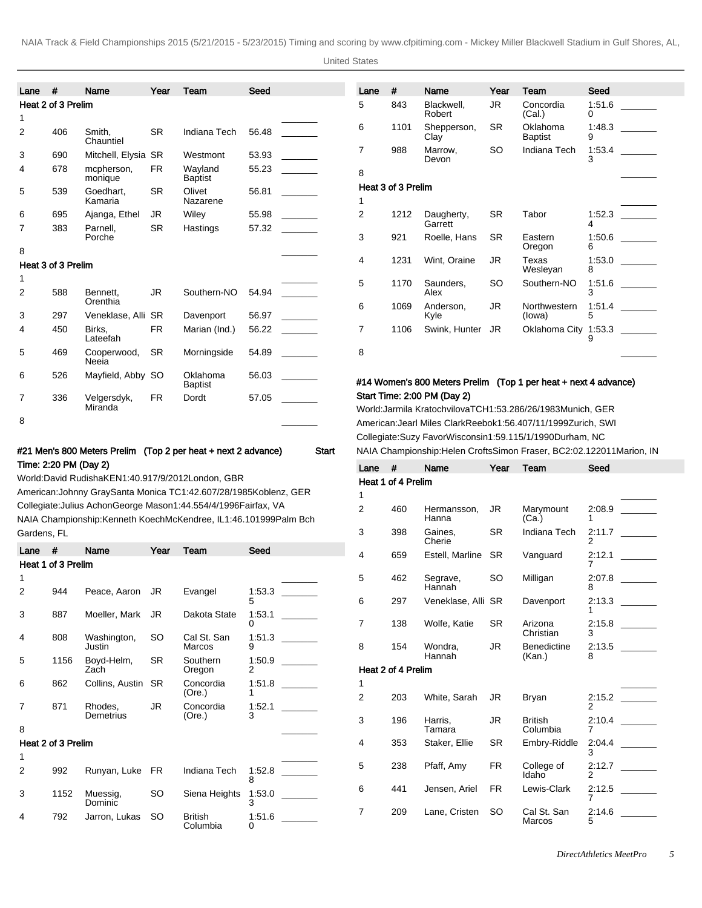United States

| Lane | #                  | Name                   | Year      | Team                       | Seed  |                          |
|------|--------------------|------------------------|-----------|----------------------------|-------|--------------------------|
|      | Heat 2 of 3 Prelim |                        |           |                            |       |                          |
| 1    |                    |                        |           |                            |       |                          |
| 2    | 406                | Smith,<br>Chauntiel    | <b>SR</b> | Indiana Tech               | 56.48 |                          |
| 3    | 690                | Mitchell, Elysia SR    |           | Westmont                   | 53.93 | $\sim 10^{11}$ m $^{-1}$ |
| 4    | 678                | mcpherson,<br>monique  | FR.       | Wayland<br><b>Baptist</b>  | 55.23 |                          |
| 5    | 539                | Goedhart,<br>Kamaria   | <b>SR</b> | Olivet<br>Nazarene         | 56.81 | <b>Contract Contract</b> |
| 6    | 695                | Ajanga, Ethel          | JR        | Wiley                      | 55.98 |                          |
| 7    | 383                | Parnell.<br>Porche     | <b>SR</b> | Hastings                   | 57.32 |                          |
| 8    |                    |                        |           |                            |       |                          |
|      | Heat 3 of 3 Prelim |                        |           |                            |       |                          |
| 1    |                    |                        |           |                            |       |                          |
| 2    | 588                | Bennett.<br>Orenthia   | JR.       | Southern-NO                | 54.94 |                          |
| 3    | 297                | Veneklase, Alli SR     |           | Davenport                  | 56.97 | <u> Tanzania (</u>       |
| 4    | 450                | Birks,<br>Lateefah     | FR.       | Marian (Ind.)              | 56.22 |                          |
| 5    | 469                | Cooperwood,<br>Neeia   | <b>SR</b> | Morningside                | 54.89 |                          |
| 6    | 526                | Mayfield, Abby SO      |           | Oklahoma<br><b>Baptist</b> | 56.03 |                          |
| 7    | 336                | Velgersdyk,<br>Miranda | FR        | Dordt                      | 57.05 |                          |
| 8    |                    |                        |           |                            |       |                          |

| Lane | #                  | Name                  | Year      | Team                       | Seed        |  |
|------|--------------------|-----------------------|-----------|----------------------------|-------------|--|
| 5    | 843                | Blackwell,<br>Robert  | JR.       | Concordia<br>(Cal.)        | 1:51.6<br>0 |  |
| 6    | 1101               | Shepperson,<br>Clay   | <b>SR</b> | Oklahoma<br><b>Baptist</b> | 1:48.3<br>9 |  |
| 7    | 988                | Marrow,<br>Devon      | SO        | Indiana Tech               | 1:53.4<br>3 |  |
| 8    |                    |                       |           |                            |             |  |
|      | Heat 3 of 3 Prelim |                       |           |                            |             |  |
| 1    |                    |                       |           |                            |             |  |
| 2    | 1212               | Daugherty,<br>Garrett | SR        | Tabor                      | 1:52.3<br>4 |  |
| 3    | 921                | Roelle, Hans          | <b>SR</b> | Eastern<br>Oregon          | 1:50.6<br>6 |  |
| 4    | 1231               | Wint, Oraine          | JR.       | Texas<br>Wesleyan          | 1:53.0<br>8 |  |
| 5    | 1170               | Saunders,<br>Alex     | SO        | Southern-NO                | 1:51.6<br>3 |  |
| 6    | 1069               | Anderson,<br>Kyle     | JR        | Northwestern<br>(lowa)     | 1:51.4<br>5 |  |
| 7    | 1106               | Swink, Hunter         | JR        | Oklahoma City              | 1:53.3<br>9 |  |
| 8    |                    |                       |           |                            |             |  |

## #14 Women's 800 Meters Prelim (Top 1 per heat + next 4 advance) Start Time: 2:00 PM (Day 2)

World: Jarmila Kratochvilova TCH 1:53.28 6/26/1983 Munich, GER American: Jearl Miles Clark Reebok 1:56.40 7/11/1999 Zurich, SWI Collegiate: Suzy Favor Wisconsin 1:59.11 5/1/1990 Durham, NC NAIA Championship: Helen Crofts Simon Fraser, BC 2:02.12 2011Marion, IN

| Lane           | #                  | Name                 | Year      | Team                         | Seed        |  |
|----------------|--------------------|----------------------|-----------|------------------------------|-------------|--|
|                | Heat 1 of 4 Prelim |                      |           |                              |             |  |
| 1              |                    |                      |           |                              |             |  |
| $\overline{2}$ | 460                | Hermansson,<br>Hanna | JR.       | Marymount<br>(Ca.)           | 2:08.9<br>1 |  |
| 3              | 398                | Gaines,<br>Cherie    | <b>SR</b> | <b>Indiana Tech</b>          | 2:11.7<br>2 |  |
|                | 659                | Estell, Marline      | <b>SR</b> | Vanguard                     | 2:12.1<br>7 |  |
| 5              | 462                | Segrave,<br>Hannah   | SO        | Milligan                     | 2:07.8<br>8 |  |
| 6              | 297                | Veneklase, Alli SR   |           | Davenport                    | 2:13.3<br>1 |  |
| $\overline{7}$ | 138                | Wolfe, Katie         | <b>SR</b> | Arizona<br>Christian         | 2:15.8<br>3 |  |
| 8              | 154                | Wondra.<br>Hannah    | JR        | <b>Benedictine</b><br>(Kan.) | 2:13.5<br>8 |  |
|                | Heat 2 of 4 Prelim |                      |           |                              |             |  |
| 1              |                    |                      |           |                              |             |  |
| $\overline{2}$ | 203                | White, Sarah         | JR        | Bryan                        | 2:15.2<br>2 |  |
| 3              | 196                | Harris,<br>Tamara    | JR        | <b>British</b><br>Columbia   | 2:10.4<br>7 |  |
| 4              | 353                | Staker, Ellie        | SR.       | Embry-Riddle                 | 2:04.4<br>3 |  |
| 5              | 238                | Pfaff, Amy           | <b>FR</b> | College of<br>Idaho          | 2:12.7<br>2 |  |
| 6              | 441                | Jensen, Ariel        | <b>FR</b> | Lewis-Clark                  | 2:12.5<br>7 |  |
| $\overline{7}$ | 209                | Lane, Cristen        | <b>SO</b> | Cal St. San<br>Marcos        | 2:14.6<br>5 |  |
|                |                    |                      |           |                              |             |  |

# #21 Men's 800 Meters Prelim (Top 2 per heat + next 2 advance) Start Time: 2:20 PM (Day 2)

World: David Rudisha KEN 1:40.91 7/9/2012 London, GBR American: Johnny Gray Santa Monica TC 1:42.60 7/28/1985 Koblenz, GER Collegiate: Julius Achon George Mason 1:44.55 4/4/1996 Fairfax, VA NAIA Championship: Kenneth Koech McKendree, IL 1:46.10 1999Palm Bch Gardens, FL

| Lane | #                  | Name                  | Year      | Team                       | Seed        |  |
|------|--------------------|-----------------------|-----------|----------------------------|-------------|--|
|      | Heat 1 of 3 Prelim |                       |           |                            |             |  |
| 1    |                    |                       |           |                            |             |  |
| 2    | 944                | Peace, Aaron          | JR        | Evangel                    | 1:53.3<br>5 |  |
| 3    | 887                | Moeller, Mark         | JR        | Dakota State               | 1:53.1<br>0 |  |
| 4    | 808                | Washington,<br>Justin | SO        | Cal St. San<br>Marcos      | 1:51.3<br>9 |  |
| 5    | 1156               | Boyd-Helm,<br>Zach    | <b>SR</b> | Southern<br>Oregon         | 1:50.9<br>2 |  |
| 6    | 862                | Collins, Austin       | <b>SR</b> | Concordia<br>(Ore.)        | 1:51.8<br>1 |  |
| 7    | 871                | Rhodes,<br>Demetrius  | JR        | Concordia<br>(Ore.)        | 1:52.1<br>3 |  |
| 8    |                    |                       |           |                            |             |  |
|      | Heat 2 of 3 Prelim |                       |           |                            |             |  |
| 1    |                    |                       |           |                            |             |  |
| 2    | 992                | Runyan, Luke          | FR        | Indiana Tech               | 1:52.8<br>8 |  |
| 3    | 1152               | Muessig,<br>Dominic   | SO        | Siena Heights              | 1:53.0<br>3 |  |
| 4    | 792                | Jarron, Lukas         | SO        | <b>British</b><br>Columbia | 1:51.6<br>0 |  |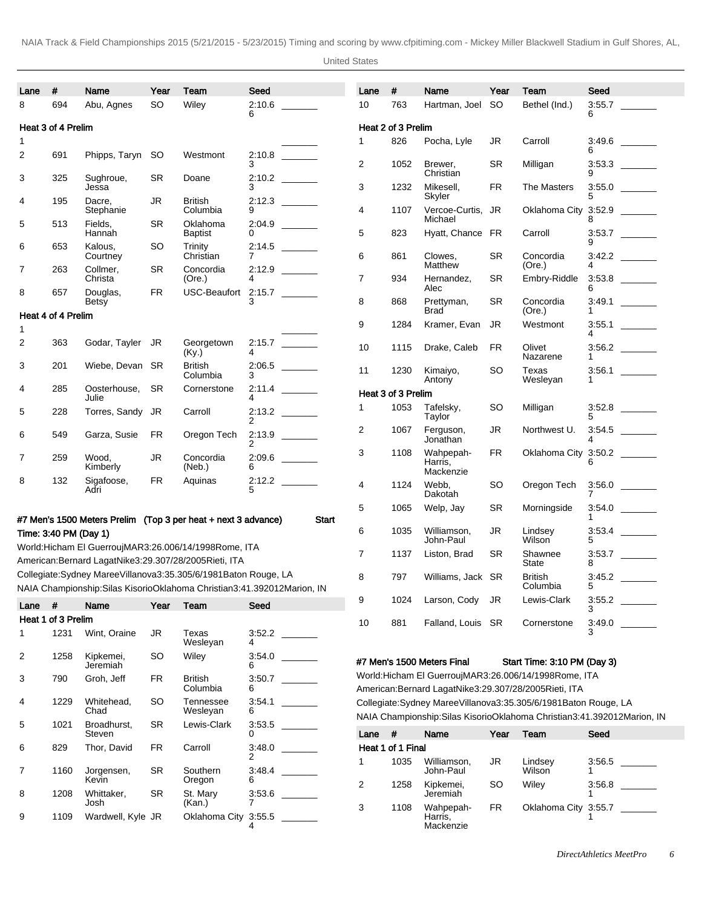United States

| Lane | #                     | Name                  | Year      | Team                                                                                                                                              | Seed        |       | Lane                                                                | #                  | Name                         | Year      | Team                                                      | Seed                                                                       |  |
|------|-----------------------|-----------------------|-----------|---------------------------------------------------------------------------------------------------------------------------------------------------|-------------|-------|---------------------------------------------------------------------|--------------------|------------------------------|-----------|-----------------------------------------------------------|----------------------------------------------------------------------------|--|
| 8    | 694                   | Abu, Agnes            | <b>SO</b> | Wiley                                                                                                                                             | 2:10.6<br>6 |       | 10                                                                  | 763                | Hartman, Joel                | <b>SO</b> | Bethel (Ind.)                                             | 3:55.7<br>6                                                                |  |
|      | Heat 3 of 4 Prelim    |                       |           |                                                                                                                                                   |             |       |                                                                     | Heat 2 of 3 Prelim |                              |           |                                                           |                                                                            |  |
| 1    |                       |                       |           |                                                                                                                                                   |             |       | 1                                                                   | 826                | Pocha, Lyle                  | JR        | Carroll                                                   |                                                                            |  |
| 2    | 691                   | Phipps, Taryn         | SO.       | Westmont                                                                                                                                          | 2:10.8      |       |                                                                     |                    |                              |           |                                                           | 6                                                                          |  |
|      |                       |                       |           |                                                                                                                                                   | 3           |       | $\overline{c}$                                                      | 1052               | Brewer,<br>Christian         | <b>SR</b> | Milligan                                                  | 9                                                                          |  |
| 3    | 325                   | Sughroue,             | SR        | Doane                                                                                                                                             | 2:10.2      |       | 3                                                                   | 1232               | Mikesell,                    | <b>FR</b> |                                                           |                                                                            |  |
|      |                       | Jessa<br>Dacre.       | <b>JR</b> |                                                                                                                                                   | 3<br>2:12.3 |       |                                                                     |                    | Skyler                       |           | The Masters                                               | 3:55.0<br>5                                                                |  |
| 4    | 195                   | Stephanie             |           | British<br>Columbia                                                                                                                               | 9           |       | 4                                                                   | 1107               | Vercoe-Curtis, JR<br>Michael |           | Oklahoma City 3:52.9                                      | 8                                                                          |  |
| 5    | 513                   | Fields,<br>Hannah     | SR        | Oklahoma<br><b>Baptist</b>                                                                                                                        | 2:04.9<br>0 |       | 5                                                                   | 823                | Hyatt, Chance FR             |           | Carroll                                                   | $3.53.7$                                                                   |  |
| 6    | 653                   | Kalous,               | SO        | Trinity                                                                                                                                           | 2:14.5      |       |                                                                     |                    |                              |           |                                                           | 9                                                                          |  |
|      |                       | Courtney              |           | Christian                                                                                                                                         |             |       | 6                                                                   | 861                | Clowes,<br>Matthew           | <b>SR</b> | Concordia<br>(Ore.)                                       | 4                                                                          |  |
| 7    | 263                   | Collmer,<br>Christa   | <b>SR</b> | Concordia<br>(Ore.)                                                                                                                               | 2:12.9<br>4 |       | $\overline{7}$                                                      | 934                | Hernandez,                   | <b>SR</b> | Embry-Riddle                                              |                                                                            |  |
| 8    | 657                   | Douglas,              | FR.       | USC-Beaufort                                                                                                                                      | 2:15.7      |       |                                                                     |                    | Alec                         |           |                                                           | 6                                                                          |  |
|      |                       | <b>Betsy</b>          |           |                                                                                                                                                   | 3           |       | 8                                                                   | 868                | Prettyman,                   | <b>SR</b> | Concordia                                                 |                                                                            |  |
|      | Heat 4 of 4 Prelim    |                       |           |                                                                                                                                                   |             |       |                                                                     |                    | <b>Brad</b>                  |           | (Ore.)                                                    | 1                                                                          |  |
| 1    |                       |                       |           |                                                                                                                                                   |             |       | 9                                                                   | 1284               | Kramer, Evan                 | JR        | Westmont                                                  | 3:55.1<br>4                                                                |  |
| 2    | 363                   | Godar, Tayler JR      |           | Georgetown<br>(Ky.)                                                                                                                               | 2:15.7<br>4 |       | 10                                                                  | 1115               | Drake, Caleb                 | FR        | Olivet<br>Nazarene                                        | 1                                                                          |  |
| 3    | 201                   | Wiebe, Devan SR       |           | <b>British</b>                                                                                                                                    | 2:06.5      |       | 11                                                                  | 1230               | Kimaiyo,                     | <b>SO</b> | Texas                                                     |                                                                            |  |
|      |                       |                       |           | Columbia                                                                                                                                          | 3           |       |                                                                     |                    | Antony                       |           | Wesleyan                                                  | 1                                                                          |  |
| 4    | 285                   | Oosterhouse,<br>Julie | <b>SR</b> | Cornerstone                                                                                                                                       | 2:11.4<br>4 |       |                                                                     | Heat 3 of 3 Prelim |                              |           |                                                           |                                                                            |  |
| 5    | 228                   | Torres, Sandy         | JR        | Carroll                                                                                                                                           | 2:13.2<br>2 |       | 1                                                                   | 1053               | Tafelsky,<br>Taylor          | <b>SO</b> | Milligan                                                  | $3.52.8$<br>5                                                              |  |
| 6    | 549                   | Garza, Susie          | <b>FR</b> | Oregon Tech                                                                                                                                       | 2:13.9      |       | 2                                                                   | 1067               | Ferguson,<br>Jonathan        | JR        | Northwest U.                                              |                                                                            |  |
|      |                       |                       |           |                                                                                                                                                   | 2           |       | 3                                                                   | 1108               | Wahpepah-                    | FR.       |                                                           | Oklahoma City 3:50.2                                                       |  |
| 7    | 259                   | Wood,<br>Kimberly     | JR        | Concordia<br>(Neb.)                                                                                                                               | 2:09.6<br>6 |       |                                                                     |                    | Harris,                      |           |                                                           | 6                                                                          |  |
| 8    | 132                   | Sigafoose,            | <b>FR</b> | Aquinas                                                                                                                                           |             |       |                                                                     |                    | Mackenzie                    |           |                                                           |                                                                            |  |
|      |                       | Adri                  |           |                                                                                                                                                   | 5           |       | 4                                                                   | 1124               | Webb,<br>Dakotah             | <b>SO</b> | Oregon Tech                                               | 7                                                                          |  |
|      |                       |                       |           |                                                                                                                                                   |             |       | 5                                                                   | 1065               | Welp, Jay                    | <b>SR</b> | Morningside                                               |                                                                            |  |
|      |                       |                       |           | #7 Men's 1500 Meters Prelim (Top 3 per heat + next 3 advance)                                                                                     |             | Start |                                                                     |                    |                              |           |                                                           | 1                                                                          |  |
|      | Time: 3:40 PM (Day 1) |                       |           |                                                                                                                                                   |             |       | 6                                                                   | 1035               | Williamson,<br>John-Paul     | <b>JR</b> | Lindsey<br>Wilson                                         | 5                                                                          |  |
|      |                       |                       |           | World: Hicham El Guerrouj MAR 3:26.00 6/14/1998 Rome, ITA                                                                                         |             |       | 7                                                                   | 1137               | Liston, Brad                 | SR        | Shawnee                                                   |                                                                            |  |
|      |                       |                       |           | American: Bernard Lagat Nike 3:29.30 7/28/2005 Rieti, ITA                                                                                         |             |       |                                                                     |                    |                              |           | State                                                     | 8                                                                          |  |
|      |                       |                       |           | Collegiate: Sydney Maree Villanova 3:35.30 5/6/1981 Baton Rouge, LA<br>NAIA Championship: Silas Kisorio Oklahoma Christian 3:41.39 2012Marion, IN |             |       | 8                                                                   | 797                | Williams, Jack SR            |           | <b>British</b><br>Columbia                                | 5                                                                          |  |
|      | $\#$                  | Name                  | Year      | <b>Team</b>                                                                                                                                       | Seed        |       | 9                                                                   | 1024               | Larson, Cody JR              |           | Lewis-Clark                                               |                                                                            |  |
| Lane |                       |                       |           |                                                                                                                                                   |             |       |                                                                     |                    |                              |           |                                                           | 3                                                                          |  |
|      | Heat 1 of 3 Prelim    |                       |           |                                                                                                                                                   |             |       | 10                                                                  | 881                | Falland, Louis SR            |           | Cornerstone                                               | 3:49.0<br>3                                                                |  |
| 1    | 1231                  | Wint, Oraine          | JR        | Texas<br>Wesleyan                                                                                                                                 | 3:52.2<br>4 |       |                                                                     |                    |                              |           |                                                           |                                                                            |  |
| 2    | 1258                  | Kipkemei,<br>Jeremiah | SO        | Wiley                                                                                                                                             | 3:54.0<br>6 |       |                                                                     |                    | #7 Men's 1500 Meters Final   |           | Start Time: 3:10 PM (Day 3)                               |                                                                            |  |
| 3    | 790                   | Groh, Jeff            | <b>FR</b> | British                                                                                                                                           | 3:50.7      |       |                                                                     |                    |                              |           | World: Hicham El Guerrouj MAR 3:26.00 6/14/1998 Rome, ITA |                                                                            |  |
|      |                       |                       |           | Columbia                                                                                                                                          | 6           |       | American: Bernard Lagat Nike 3:29.30 7/28/2005 Rieti, ITA           |                    |                              |           |                                                           |                                                                            |  |
| 4    | 1229                  | Whitehead,            | SO        | Tennessee                                                                                                                                         | 3:54.1      |       | Collegiate: Sydney Maree Villanova 3:35.30 5/6/1981 Baton Rouge, LA |                    |                              |           |                                                           |                                                                            |  |
|      |                       | Chad                  |           | Wesleyan                                                                                                                                          | 6           |       |                                                                     |                    |                              |           |                                                           | NAIA Championship: Silas Kisorio Oklahoma Christian 3:41.39 2012Marion, IN |  |
| 5    | 1021                  | Broadhurst,<br>Steven | <b>SR</b> | Lewis-Clark                                                                                                                                       | 3:53.5<br>0 |       | Lane #                                                              |                    | Name                         |           | Year Team                                                 | Seed                                                                       |  |

Kevin

Josh

7 1160 Jorgensen,

8 1208 Whittaker,

6 829 Thor, David FR Carroll

2

6

4

3:53.6 7

SR Southern Oregon

SR St. Mary (Kan.)

9 1109 Wardwell, Kyle JR Oklahoma City 3:55.5

 $\overline{\phantom{a}}$ 

 $\overline{\phantom{a}}$ 

 $\overline{\phantom{a}}$ 

3:48.4 \_\_\_\_\_\_\_

| Lane              | #    | Name                              | Year      | Team                 | Seed   |  |  |  |  |  |  |
|-------------------|------|-----------------------------------|-----------|----------------------|--------|--|--|--|--|--|--|
| Heat 1 of 1 Final |      |                                   |           |                      |        |  |  |  |  |  |  |
| 1                 | 1035 | Williamson,<br>John-Paul          | JR        | Lindsey<br>Wilson    | 3:56.5 |  |  |  |  |  |  |
| 2                 | 1258 | Kipkemei,<br>Jeremiah             | SO        | Wiley                | 3:56.8 |  |  |  |  |  |  |
| 3                 | 1108 | Wahpepah-<br>Harris,<br>Mackenzie | <b>FR</b> | Oklahoma City 3:55.7 |        |  |  |  |  |  |  |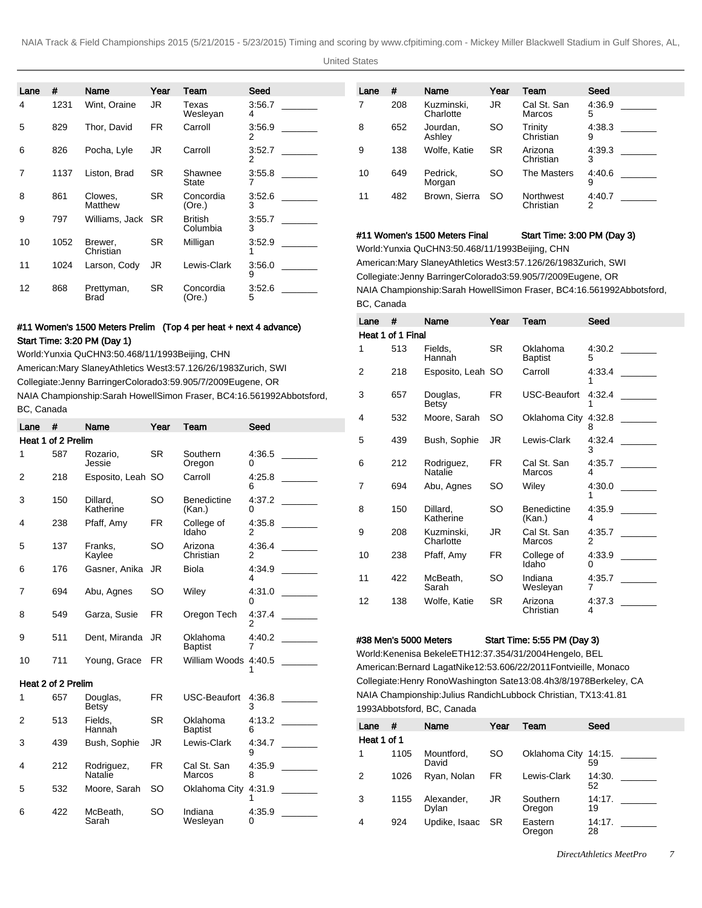United States

| Lane | #    | Name                 | Year      | Team                       | Seed        |
|------|------|----------------------|-----------|----------------------------|-------------|
| 4    | 1231 | Wint, Oraine         | JR.       | Texas<br>Wesleyan          | 3:56.7<br>4 |
| 5    | 829  | Thor. David          | FR.       | Carroll                    | 3:56.9<br>2 |
| 6    | 826  | Pocha, Lyle          | JR        | Carroll                    | 3:52.7<br>2 |
| 7    | 1137 | Liston, Brad         | <b>SR</b> | Shawnee<br>State           | 3:55.8<br>7 |
| 8    | 861  | Clowes.<br>Matthew   | SR.       | Concordia<br>(Ore.)        | 3:52.6<br>3 |
| 9    | 797  | Williams, Jack       | SR.       | <b>British</b><br>Columbia | 3:55.7<br>3 |
| 10   | 1052 | Brewer.<br>Christian | SR.       | Milligan                   | 3:52.9<br>1 |
| 11   | 1024 | Larson, Cody         | JR        | Lewis-Clark                | 3:56.0<br>9 |
| 12   | 868  | Prettyman,<br>Brad   | SR.       | Concordia<br>(Ore.)        | 3:52.6<br>5 |

# #11 Women's 1500 Meters Prelim (Top 4 per heat + next 4 advance) Start Time: 3:20 PM (Day 1)

World: Yunxia Qu CHN 3:50.46 8/11/1993 Beijing, CHN American: Mary Slaney Athletics West 3:57.12 6/26/1983 Zurich, SWI Collegiate: Jenny Barringer Colorado 3:59.90 5/7/2009 Eugene, OR NAIA Championship: Sarah Howell Simon Fraser, BC 4:16.56 1992Abbotsford, BC, Canada

| Lane | #                  | Name                  | Year      | Team                         | Seed        |
|------|--------------------|-----------------------|-----------|------------------------------|-------------|
|      | Heat 1 of 2 Prelim |                       |           |                              |             |
| 1    | 587                | Rozario.<br>Jessie    | SR        | Southern<br>Oregon           | 4:36.5<br>0 |
| 2    | 218                | Esposito, Leah SO     |           | Carroll                      | 4:25.8<br>6 |
| 3    | 150                | Dillard,<br>Katherine | SO        | <b>Benedictine</b><br>(Kan.) | 4:37.2<br>0 |
| 4    | 238                | Pfaff, Amy            | <b>FR</b> | College of<br>Idaho          | 4:35.8<br>2 |
| 5    | 137                | Franks.<br>Kaylee     | SO        | Arizona<br>Christian         | 4:36.4<br>2 |
| 6    | 176                | Gasner, Anika         | JR        | Biola                        | 4:34.9<br>4 |
| 7    | 694                | Abu, Agnes            | SO        | Wiley                        | 4:31.0<br>0 |
| 8    | 549                | Garza, Susie          | FR.       | Oregon Tech                  | 4:37.4<br>2 |
| 9    | 511                | Dent, Miranda         | JR        | Oklahoma<br><b>Baptist</b>   | 4:40.2<br>7 |
| 10   | 711                | Young, Grace          | FR.       | William Woods 4:40.5         |             |
|      | Heat 2 of 2 Prelim |                       |           |                              |             |
| 1    | 657                | Douglas,<br>Betsy     | FR        | USC-Beaufort                 | 4:36.8<br>3 |
| 2    | 513                | Fields.<br>Hannah     | SR        | Oklahoma<br><b>Baptist</b>   | 4:13.2<br>6 |
| 3    | 439                | Bush, Sophie          | JR        | Lewis-Clark                  | 4:34.7<br>9 |
| 4    | 212                | Rodriguez,<br>Natalie | <b>FR</b> | Cal St. San<br>Marcos        | 4:35.9<br>8 |
| 5    | 532                | Moore, Sarah          | SO        | Oklahoma City                | 4:31.9      |
| 6    | 422                | McBeath,<br>Sarah     | SO        | Indiana<br>Wesleyan          | 4:35.9<br>0 |

| Lane | #   | Name                    | Year      | Team                   | Seed        |
|------|-----|-------------------------|-----------|------------------------|-------------|
| 7    | 208 | Kuzminski.<br>Charlotte | JR.       | Cal St. San<br>Marcos  | 4:36.9<br>5 |
| 8    | 652 | Jourdan,<br>Ashley      | <b>SO</b> | Trinity<br>Christian   | 4:38.3<br>9 |
| 9    | 138 | Wolfe, Katie            | <b>SR</b> | Arizona<br>Christian   | 4:39.3<br>3 |
| 10   | 649 | Pedrick,<br>Morgan      | SO.       | The Masters            | 4:40.6<br>9 |
| 11   | 482 | Brown, Sierra           | <b>SO</b> | Northwest<br>Christian | 4:40.7<br>2 |

### #11 Women's 1500 Meters Final Start Time: 3:00 PM (Day 3)

World: Yunxia Qu CHN 3:50.46 8/11/1993 Beijing, CHN American: Mary Slaney Athletics West 3:57.12 6/26/1983 Zurich, SWI Collegiate: Jenny Barringer Colorado 3:59.90 5/7/2009 Eugene, OR NAIA Championship: Sarah Howell Simon Fraser, BC 4:16.56 1992Abbotsford, BC, Canada

| Lane | #                 | Name                    | Year      | Team                         | Seed        |
|------|-------------------|-------------------------|-----------|------------------------------|-------------|
|      | Heat 1 of 1 Final |                         |           |                              |             |
| 1    | 513               | Fields.<br>Hannah       | SR.       | Oklahoma<br><b>Baptist</b>   | 4:30.2<br>5 |
| 2    | 218               | Esposito, Leah SO       |           | Carroll                      | 4:33.4      |
| 3    | 657               | Douglas,<br>Betsy       | FR.       | USC-Beaufort                 | 4:32.4<br>1 |
| 4    | 532               | Moore, Sarah            | SO        | Oklahoma City                | 4:32.8<br>8 |
| 5    | 439               | Bush, Sophie            | JR        | Lewis-Clark                  | 4:32.4<br>3 |
| 6    | 212               | Rodriguez,<br>Natalie   | <b>FR</b> | Cal St. San<br><b>Marcos</b> | 4.35.7<br>4 |
| 7    | 694               | Abu, Agnes              | SO        | Wiley                        | 4:30.0<br>1 |
| 8    | 150               | Dillard.<br>Katherine   | SO        | <b>Benedictine</b><br>(Kan.) | 4:35.9<br>4 |
| 9    | 208               | Kuzminski.<br>Charlotte | JR        | Cal St. San<br>Marcos        | 4.35.7<br>2 |
| 10   | 238               | Pfaff, Amy              | FR.       | College of<br>Idaho          | 4:33.9<br>0 |
| 11   | 422               | McBeath,<br>Sarah       | SO        | Indiana<br>Wesleyan          | 4:35.7<br>7 |
| 12   | 138               | Wolfe, Katie            | SR        | Arizona<br>Christian         | 4:37.3<br>4 |

#38 Men's 5000 Meters Start Time: 5:55 PM (Day 3)

World: Kenenisa Bekele ETH 12:37.35 4/31/2004 Hengelo, BEL American: Bernard Lagat Nike 12:53.60 6/22/2011 Fontvieille, Monaco Collegiate: Henry Rono Washington Sate 13:08.4h 3/8/1978 Berkeley, CA NAIA Championship: Julius Randich Lubbock Christian, TX 13:41.81 1993Abbotsford, BC, Canada

| Lane        | #    | Name                | Year      | Team                 | Seed         |
|-------------|------|---------------------|-----------|----------------------|--------------|
| Heat 1 of 1 |      |                     |           |                      |              |
| 1           | 1105 | Mountford,<br>David | SO        | Oklahoma City 14:15. | 59           |
| 2           | 1026 | Ryan, Nolan         | FR.       | Lewis-Clark          | 14:30.<br>52 |
| 3           | 1155 | Alexander,<br>Dylan | JR        | Southern<br>Oregon   | 14:17.<br>19 |
| 4           | 924  | Updike, Isaac       | <b>SR</b> | Eastern<br>Oregon    | 14:17.<br>28 |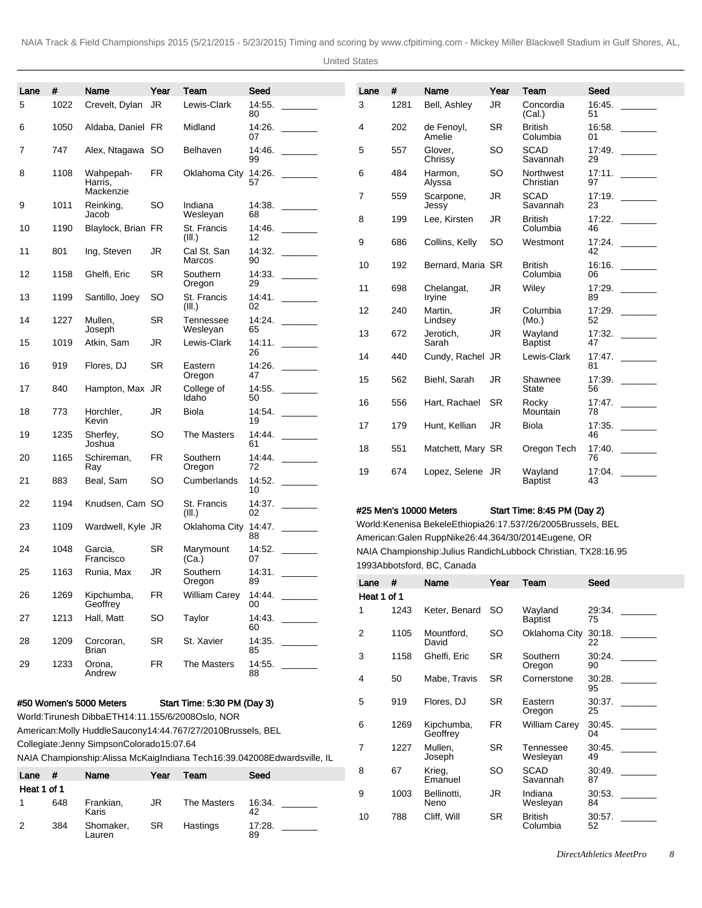United States

| Lane        | #                                                               | Name                                        | Year      | Team                                                                        | Seed         |        | Lane             | #                      | Name                                                                                                                        | Year                 | Team                        | Seed         |        |
|-------------|-----------------------------------------------------------------|---------------------------------------------|-----------|-----------------------------------------------------------------------------|--------------|--------|------------------|------------------------|-----------------------------------------------------------------------------------------------------------------------------|----------------------|-----------------------------|--------------|--------|
| 5           | 1022                                                            | Crevelt, Dylan                              | JR        | Lewis-Clark                                                                 | 14:55.       |        | 3                | 1281                   | Bell, Ashley                                                                                                                | <b>JR</b>            | Concordia                   | 16:45.       |        |
| 6           | 1050                                                            | Aldaba, Daniel FR                           |           | Midland                                                                     | 80<br>14:26. |        | 4                | 202                    | de Fenoyl,                                                                                                                  | <b>SR</b>            | (Cal.)<br><b>British</b>    | 51           | 16:58. |
|             |                                                                 |                                             |           |                                                                             | 07           |        |                  |                        | Amelie                                                                                                                      |                      | Columbia                    | 01           |        |
| 7           | 747                                                             | Alex, Ntagawa SO                            |           | Belhaven                                                                    | 14:46.<br>99 |        | 5                | 557                    | Glover,<br>Chrissy                                                                                                          | <b>SO</b>            | <b>SCAD</b><br>Savannah     | 17:49.<br>29 |        |
| 8           | 1108                                                            | Wahpepah-<br>Harris,<br>Mackenzie           | FR        | Oklahoma City                                                               | 14:26.<br>57 |        | 6                | 484                    | Harmon,<br>Alyssa                                                                                                           | <b>SO</b>            | Northwest<br>Christian      | 97           | 17:11. |
| 9           | 1011                                                            | Reinking,                                   | <b>SO</b> | Indiana                                                                     |              |        | $\overline{7}$   | 559                    | Scarpone,<br>Jessy                                                                                                          | JR                   | <b>SCAD</b><br>Savannah     | 23           | 17:19. |
| 10          | 1190                                                            | Jacob<br>Blaylock, Brian FR                 |           | Wesleyan<br>St. Francis                                                     | 68<br>14:46. |        | 8                | 199                    | Lee, Kirsten                                                                                                                | JR                   | <b>British</b><br>Columbia  | 46           | 17:22. |
|             |                                                                 |                                             |           | (III.)                                                                      | 12           |        | 9                | 686                    | Collins, Kelly                                                                                                              | <b>SO</b>            | Westmont                    |              | 17:24. |
| 11          | 801                                                             | Ing, Steven                                 | JR        | Cal St. San<br>Marcos                                                       | 90           |        | 10               | 192                    | Bernard, Maria SR                                                                                                           |                      | <b>British</b>              | 42           |        |
| 12          | 1158                                                            | Ghelfi, Eric                                | <b>SR</b> | Southern<br>Oregon                                                          | 14:33.<br>29 |        |                  |                        |                                                                                                                             |                      | Columbia                    | 06           |        |
| 13          | 1199                                                            | Santillo, Joey                              | <b>SO</b> | St. Francis                                                                 | 14:41.       |        | 11               | 698                    | Chelangat,<br>Iryine                                                                                                        | JR                   | Wiley                       | 89           | 17:29. |
| 14          | 1227                                                            | Mullen,                                     | <b>SR</b> | (III.)<br>Tennessee                                                         | 02           |        | 12               | 240                    | Martin,<br>Lindsey                                                                                                          | JR                   | Columbia<br>(Mo.)           | 52           | 17:29. |
| 15          | 1019                                                            | Joseph<br>Atkin, Sam                        | JR        | Wesleyan<br>Lewis-Clark                                                     | 65           | 14:11. | 13               | 672                    | Jerotich,<br>Sarah                                                                                                          | JR                   | Wayland<br><b>Baptist</b>   | 47           |        |
|             |                                                                 |                                             |           |                                                                             | 26           |        | 14               | 440                    | Cundy, Rachel JR                                                                                                            |                      | Lewis-Clark                 |              | 17:47. |
| 16          | 919                                                             | Flores, DJ                                  | <b>SR</b> | Eastern<br>Oregon                                                           | 14:26.<br>47 |        | 15               | 562                    | Biehl, Sarah                                                                                                                | JR                   | Shawnee                     | 81           | 17:39. |
| 17          | 840                                                             | Hampton, Max JR                             |           | College of<br>Idaho                                                         | 14:55.<br>50 |        |                  |                        |                                                                                                                             |                      | State                       | 56           |        |
| 18          | 773                                                             | Horchler,                                   | JR        | Biola                                                                       | 14:54.       |        | 16               | 556                    | Hart, Rachael                                                                                                               | <b>SR</b>            | Rocky<br>Mountain           | 78           |        |
| 19          | 1235                                                            | Kevin<br>Sherfey,                           | SO        | The Masters                                                                 | 19<br>14:44. |        | 17               | 179                    | Hunt, Kellian                                                                                                               | JR                   | Biola                       | 46           |        |
| 20          | 1165                                                            | Joshua<br>Schireman,                        | <b>FR</b> | Southern                                                                    | 61           |        | 18               | 551                    | Matchett, Mary SR                                                                                                           |                      | Oregon Tech                 | 76           | 17:40. |
|             |                                                                 | Ray                                         |           | Oregon                                                                      | 72           |        | 19               | 674                    | Lopez, Selene JR                                                                                                            |                      | Wayland                     |              | 17:04. |
| 21          | 883                                                             | Beal, Sam                                   | SO        | Cumberlands                                                                 | 10           |        |                  |                        |                                                                                                                             |                      | <b>Baptist</b>              | 43           |        |
| 22          | 1194                                                            | Knudsen, Cam SO                             |           | St. Francis<br>(III.)                                                       | 14:37.<br>02 |        |                  |                        | #25 Men's 10000 Meters                                                                                                      |                      | Start Time: 8:45 PM (Day 2) |              |        |
| 23          | 1109                                                            | Wardwell, Kyle JR                           |           | Oklahoma City 14:47.                                                        |              |        |                  |                        | World: Kenenisa Bekele Ethiopia 26:17.53 7/26/2005 Brussels, BEL                                                            |                      |                             |              |        |
| 24          | 1048                                                            | Garcia,                                     | <b>SR</b> | Marymount                                                                   | 88           |        |                  |                        | American: Galen Rupp Nike 26:44.36 4/30/2014 Eugene, OR<br>NAIA Championship: Julius Randich Lubbock Christian, TX 28:16.95 |                      |                             |              |        |
| 25          |                                                                 | Francisco<br>Runia, Max                     | JR        | (Ca.)<br>Southern                                                           | 07<br>14:31. |        |                  |                        | 1993Abbotsford, BC, Canada                                                                                                  |                      |                             |              |        |
|             | 1163                                                            |                                             |           | Oregon                                                                      | 89           |        | Lane #           |                        | Name                                                                                                                        | Year                 | Team                        | Seed         |        |
| 26          | 1269                                                            | Kipchumba,<br>Geoffrey                      | <b>FR</b> | <b>William Carey</b>                                                        | 14:44.<br>00 |        | Heat 1 of 1<br>1 | 1243                   | Keter, Benard                                                                                                               | SO.                  | Wayland                     | 29:34.       |        |
| 27          | 1213                                                            | Hall, Matt                                  | <b>SO</b> | Taylor                                                                      | 14:43.<br>60 |        |                  |                        |                                                                                                                             |                      | <b>Baptist</b>              | 75           |        |
| 28          | 1209                                                            | Corcoran,                                   | <b>SR</b> | St. Xavier                                                                  | 14:35.       |        | $\overline{c}$   | 1105                   | Mountford,<br>David                                                                                                         | <b>SO</b>            | Oklahoma City 30:18.<br>22  |              |        |
| 29          | 1233                                                            | Brian<br>Orona,                             | <b>FR</b> | The Masters                                                                 | 85<br>14:55. |        | 3                | 1158                   | Ghelfi, Eric                                                                                                                | <b>SR</b>            | Southern<br>Oregon          | 30:24.<br>90 |        |
|             |                                                                 | Andrew                                      |           |                                                                             | 88           |        | 4                | 50                     | Mabe, Travis                                                                                                                | <b>SR</b>            | Cornerstone                 | 30:28.       |        |
|             |                                                                 | #50 Women's 5000 Meters                     |           | Start Time: 5:30 PM (Day 3)                                                 |              |        | 5                | 919                    | Flores, DJ                                                                                                                  | <b>SR</b>            | Eastern                     | 95           | 30:37. |
|             |                                                                 |                                             |           | World: Tirunesh Dibba ETH 14:11.15 5/6/2008 Oslo, NOR                       |              |        |                  |                        |                                                                                                                             |                      | Oregon                      | 25           |        |
|             | American: Molly Huddle Saucony 14:44.76 7/27/2010 Brussels, BEL |                                             |           |                                                                             |              | 6      | 1269             | Kipchumba,<br>Geoffrey | FR.                                                                                                                         | <b>William Carey</b> | 30:45.<br>04                |              |        |
|             |                                                                 | Collegiate: Jenny Simpson Colorado 15:07.64 |           | NAIA Championship: Alissa McKaig Indiana Tech 16:39.04 2008Edwardsville, IL |              |        | $\overline{7}$   | 1227                   | Mullen,<br>Joseph                                                                                                           | <b>SR</b>            | Tennessee<br>Wesleyan       | 30:45.<br>49 |        |
| Lane #      |                                                                 | Name                                        | Year      | Team                                                                        | Seed         |        | 8                | 67                     | Krieg,<br>Emanuel                                                                                                           | <b>SO</b>            | <b>SCAD</b>                 | 87           | 30:49. |
| Heat 1 of 1 |                                                                 |                                             |           |                                                                             |              |        | 9                | 1003                   | Bellinotti,                                                                                                                 | JR                   | Savannah<br>Indiana         |              |        |
| 1           | 648                                                             | Frankian,<br>Karis                          | <b>JR</b> | The Masters                                                                 | 16:34.<br>42 |        | 10               | 788                    | Neno<br>Cliff, Will                                                                                                         | <b>SR</b>            | Wesleyan<br><b>British</b>  | 84           |        |
| 2           | 384                                                             | Shomaker,<br>Lauren                         | <b>SR</b> | Hastings                                                                    | 17:28.<br>89 |        |                  |                        |                                                                                                                             |                      | Columbia                    | 52           |        |
|             |                                                                 |                                             |           |                                                                             |              |        |                  |                        |                                                                                                                             |                      |                             |              |        |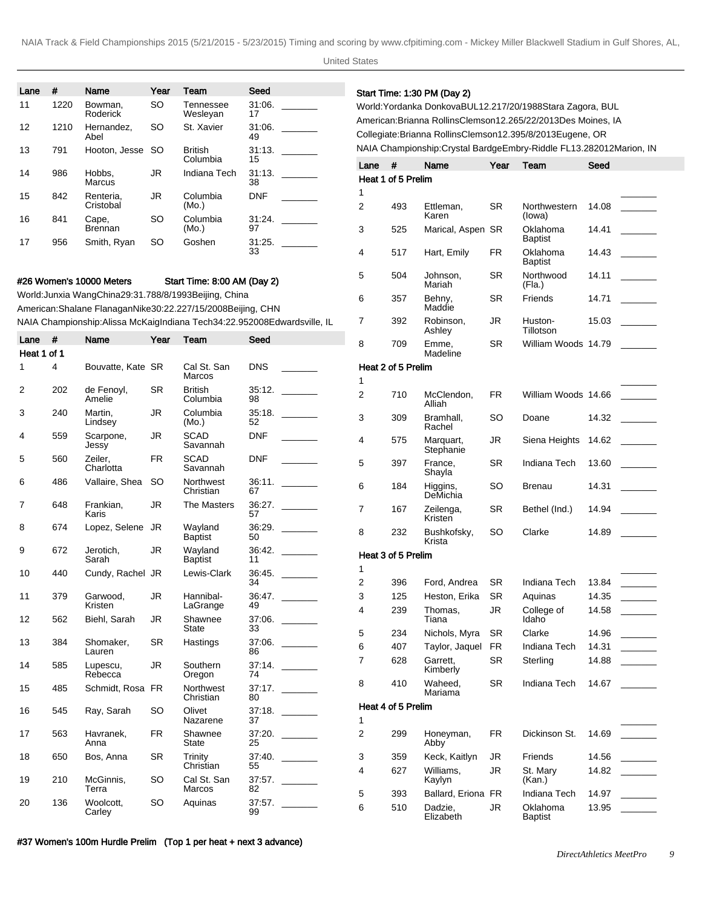United States

| Lane           | #    | Name                                                                                                                         | Year      | Team                        | Seed         |                      |                     |                    | Start Time: 1:30 PM (Day 2)     |                        |                                                                                                                                   |       |         |
|----------------|------|------------------------------------------------------------------------------------------------------------------------------|-----------|-----------------------------|--------------|----------------------|---------------------|--------------------|---------------------------------|------------------------|-----------------------------------------------------------------------------------------------------------------------------------|-------|---------|
| 11             | 1220 | Bowman,<br>Roderick                                                                                                          | <b>SO</b> | Tennessee<br>Wesleyan       | 31:06.<br>17 | <u>and the state</u> |                     |                    |                                 |                        | World: Yordanka Donkova BUL 12.21 7/20/1988 Stara Zagora, BUL<br>American: Brianna Rollins Clemson 12.26 5/22/2013 Des Moines, IA |       |         |
| 12             | 1210 | Hernandez,<br>Abel                                                                                                           | SO        | St. Xavier                  | 31:06.<br>49 |                      |                     |                    |                                 |                        | Collegiate: Brianna Rollins Clemson 12.39 5/8/2013 Eugene, OR                                                                     |       |         |
| 13             | 791  | Hooton, Jesse                                                                                                                | -SO       | <b>British</b>              | 31:13.       |                      |                     |                    |                                 |                        | NAIA Championship: Crystal Bardge Embry-Riddle FL 13.28 2012Marion, IN                                                            |       |         |
|                |      |                                                                                                                              |           | Columbia                    | 15           |                      | Lane                | #                  | Name                            | Year                   | Team                                                                                                                              | Seed  |         |
| 14             | 986  | Hobbs,<br>Marcus                                                                                                             | JR        | Indiana Tech                | 31:13.<br>38 |                      |                     | Heat 1 of 5 Prelim |                                 |                        |                                                                                                                                   |       |         |
| 15             | 842  | Renteria.<br>Cristobal                                                                                                       | JR        | Columbia<br>(Mo.)           | <b>DNF</b>   |                      | 1<br>$\overline{2}$ | 493                | Ettleman,                       | <b>SR</b>              | Northwestern                                                                                                                      | 14.08 |         |
| 16             | 841  | Cape,<br>Brennan                                                                                                             | SO        | Columbia<br>(Mo.)           | 31:24.<br>97 |                      | 3                   | 525                | Karen<br>Marical, Aspen SR      |                        | (lowa)<br>Oklahoma                                                                                                                | 14.41 |         |
| 17             | 956  | Smith, Ryan                                                                                                                  | SO        | Goshen                      | 31:25.<br>33 |                      | 4                   | 517                | Hart, Emily                     | <b>FR</b>              | <b>Baptist</b><br>Oklahoma                                                                                                        | 14.43 |         |
|                |      |                                                                                                                              |           |                             |              |                      | 5                   | 504                | Johnson,                        | <b>SR</b>              | <b>Baptist</b><br>Northwood                                                                                                       | 14.11 |         |
|                |      | #26 Women's 10000 Meters                                                                                                     |           | Start Time: 8:00 AM (Day 2) |              |                      |                     |                    | Mariah                          |                        | (Fla.)                                                                                                                            |       |         |
|                |      | World: Junxia Wang China 29:31.78 8/8/1993 Beijing, China<br>American: Shalane Flanagan Nike 30:22.22 7/15/2008 Beijing, CHN |           |                             |              |                      | 6                   | 357                | Behny,<br>Maddie                | <b>SR</b>              | Friends                                                                                                                           | 14.71 |         |
| Lane $#$       |      | NAIA Championship: Alissa McKaig Indiana Tech 34:22.95 2008Edwardsville, IL<br>Name                                          | Year      | Team                        | Seed         |                      | 7                   | 392                | Robinson.<br>Ashley             | JR                     | Huston-<br>Tillotson                                                                                                              | 15.03 |         |
| Heat 1 of 1    |      |                                                                                                                              |           |                             |              |                      | 8                   | 709                | Emme,<br>Madeline               | <b>SR</b>              | William Woods 14.79                                                                                                               |       |         |
| 1              | 4    | Bouvatte, Kate SR                                                                                                            |           | Cal St. San<br>Marcos       | <b>DNS</b>   |                      | 1                   | Heat 2 of 5 Prelim |                                 |                        |                                                                                                                                   |       |         |
| 2              | 202  | de Fenoyl,<br>Amelie                                                                                                         | SR        | British<br>Columbia         | 35:12.<br>98 |                      | $\overline{2}$      | 710                | McClendon,<br>Alliah            | <b>FR</b>              | William Woods 14.66                                                                                                               |       |         |
| 3              | 240  | Martin,<br>Lindsey                                                                                                           | JR        | Columbia<br>(Mo.)           | 35:18.<br>52 |                      | 3                   | 309                | Bramhall,<br>Rachel             | <b>SO</b>              | Doane                                                                                                                             |       | 14.32   |
| 4              | 559  | Scarpone,<br>Jessy                                                                                                           | <b>JR</b> | <b>SCAD</b><br>Savannah     | <b>DNF</b>   |                      | 4                   | 575                | Marquart,<br>Stephanie          | JR                     | Siena Heights 14.62                                                                                                               |       |         |
| 5              | 560  | Zeiler,<br>Charlotta                                                                                                         | FR        | <b>SCAD</b><br>Savannah     | <b>DNF</b>   |                      | 5                   | 397                | France,<br>Shayla               | <b>SR</b>              | Indiana Tech                                                                                                                      | 13.60 |         |
| 6              | 486  | Vallaire, Shea                                                                                                               | <b>SO</b> | Northwest<br>Christian      | 36:11.<br>67 |                      | 6                   | 184                | Higgins,<br>DeMichia            | <b>SO</b>              | <b>Brenau</b>                                                                                                                     | 14.31 |         |
| $\overline{7}$ | 648  | Frankian,<br>Karis                                                                                                           | JR        | The Masters                 | 36:27.<br>57 |                      | $\overline{7}$      | 167                | Zeilenga,<br>Kristen            | <b>SR</b>              | Bethel (Ind.)                                                                                                                     | 14.94 |         |
| 8              | 674  | Lopez, Selene JR                                                                                                             |           | Wayland<br><b>Baptist</b>   | 36:29.<br>50 |                      | 8                   | 232                | Bushkofsky,<br>Krista           | <b>SO</b>              | Clarke                                                                                                                            |       | 14.89   |
| 9              | 672  | Jerotich,<br>Sarah                                                                                                           | JR        | Wayland<br><b>Baptist</b>   | 36:42.<br>11 |                      |                     | Heat 3 of 5 Prelim |                                 |                        |                                                                                                                                   |       |         |
| 10             | 440  | Cundy, Rachel JR                                                                                                             |           | Lewis-Clark                 | 36.45.       |                      | $\mathbf{1}$<br>2   |                    |                                 |                        |                                                                                                                                   |       |         |
| 11             | 379  | Garwood,                                                                                                                     | <b>JR</b> | Hannibal-                   | 34           |                      |                     | 396<br>125         | Ford, Andrea<br>Heston, Erika   | <b>SR</b><br><b>SR</b> | Indiana Tech<br>Aquinas                                                                                                           | 13.84 |         |
|                |      | Kristen                                                                                                                      |           | LaGrange                    | 49           |                      | 3<br>4              | 239                | Thomas,                         | <b>JR</b>              | College of                                                                                                                        |       |         |
| 12             | 562  | Biehl, Sarah                                                                                                                 | <b>JR</b> | Shawnee<br>State            | 33           |                      |                     |                    | Tiana                           |                        | Idaho                                                                                                                             |       |         |
| 13             | 384  | Shomaker,                                                                                                                    | <b>SR</b> | Hastings                    |              |                      | 5<br>6              | 234<br>407         | Nichols, Myra<br>Taylor, Jaquel | <b>SR</b><br>FR        | Clarke<br>Indiana Tech                                                                                                            |       |         |
|                |      | Lauren                                                                                                                       |           |                             | 86           |                      | $\overline{7}$      | 628                | Garrett,                        | <b>SR</b>              | Sterling                                                                                                                          |       |         |
| 14             | 585  | Lupescu,<br>Rebecca                                                                                                          | <b>JR</b> | Southern<br>Oregon          | 74           | 37:14.               |                     |                    | Kimberly                        |                        |                                                                                                                                   |       |         |
| 15             | 485  | Schmidt, Rosa FR                                                                                                             |           | Northwest<br>Christian      | 80           | 37:17.               | 8                   | 410                | Waheed,<br>Mariama              | <b>SR</b>              | Indiana Tech                                                                                                                      |       |         |
| 16             | 545  | Ray, Sarah                                                                                                                   | <b>SO</b> | Olivet<br>Nazarene          | 37           | 37:18.               | 1                   | Heat 4 of 5 Prelim |                                 |                        |                                                                                                                                   |       |         |
| 17             | 563  | Havranek,<br>Anna                                                                                                            | FR        | Shawnee<br>State            | 25           | 37:20.               | $\overline{c}$      | 299                | Honeyman,<br>Abby               | <b>FR</b>              | Dickinson St.                                                                                                                     | 14.69 |         |
| 18             | 650  | Bos, Anna                                                                                                                    | <b>SR</b> | Trinity                     |              | 37:40.               | 3                   | 359                | Keck, Kaitlyn                   | JR                     | Friends                                                                                                                           |       | $14.56$ |
| 19             | 210  | McGinnis,                                                                                                                    | <b>SO</b> | Christian<br>Cal St. San    | 55           |                      | 4                   | 627                | Williams,<br>Kaylyn             | <b>JR</b>              | St. Mary<br>(Kan.)                                                                                                                |       |         |
|                |      | Terra                                                                                                                        |           | Marcos                      | 82           |                      | 5                   | 393                | Ballard, Eriona FR              |                        | Indiana Tech                                                                                                                      |       |         |
| 20             | 136  | Woolcott,<br>Carley                                                                                                          | <b>SO</b> | Aquinas                     | 99           |                      | 6                   | 510                | Dadzie,<br>Elizabeth            | JR                     | Oklahoma<br><b>Baptist</b>                                                                                                        |       | $13.95$ |

#37 Women's 100m Hurdle Prelim (Top 1 per heat + next 3 advance)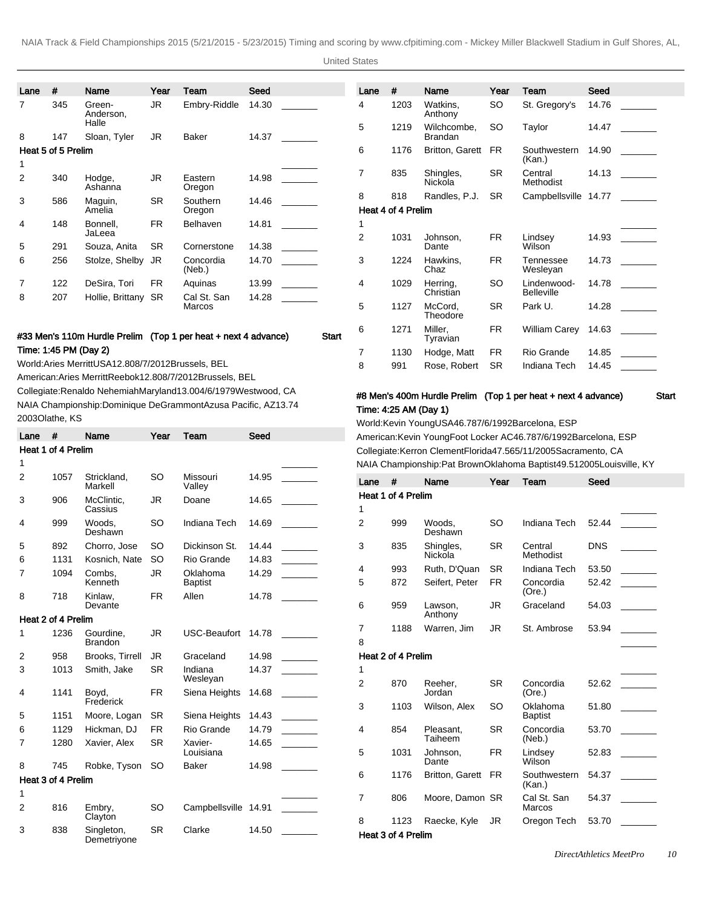United States

| Lane | #                  | <b>Name</b>           | Year      | Team                | Seed  |                                                           | Lane | #                  | Name                          | Year      | Team                   | Seed  |  |
|------|--------------------|-----------------------|-----------|---------------------|-------|-----------------------------------------------------------|------|--------------------|-------------------------------|-----------|------------------------|-------|--|
|      | 345                | Green-<br>Anderson.   | JR.       | Embry-Riddle        | 14.30 |                                                           | 4    | 1203               | Watkins.<br>Anthony           | SO.       | St. Gregory's          | 14.76 |  |
| 8    | 147                | Halle<br>Sloan, Tyler | <b>JR</b> | <b>Baker</b>        | 14.37 | $\sim 10^{11}$ and $\sim 10^{11}$                         | 5    | 1219               | Wilchcombe,<br><b>Brandan</b> | <b>SO</b> | Taylor                 | 14.47 |  |
|      | Heat 5 of 5 Prelim |                       |           |                     |       |                                                           | 6    | 1176               | <b>Britton, Garett</b>        | <b>FR</b> | Southwestern<br>(Kan.) | 14.90 |  |
| 2    | 340                | Hodge,<br>Ashanna     | <b>JR</b> | Eastern<br>Oregon   | 14.98 |                                                           | 7    | 835                | Shingles,<br>Nickola          | <b>SR</b> | Central<br>Methodist   | 14.13 |  |
| 3    | 586                | Maguin,               | <b>SR</b> | Southern            | 14.46 |                                                           | 8    | 818                | Randles, P.J.                 | <b>SR</b> | Campbellsville 14.77   |       |  |
|      |                    | Amelia                |           | Oregon              |       |                                                           |      | Heat 4 of 4 Prelim |                               |           |                        |       |  |
| 4    | 148                | Bonnell.              | <b>FR</b> | <b>Belhaven</b>     | 14.81 |                                                           |      |                    |                               |           |                        |       |  |
|      |                    | JaLeea                |           |                     |       |                                                           | 2    | 1031               | Johnson.                      | <b>FR</b> | Lindsey                | 14.93 |  |
| 5    | 291                | Souza, Anita          | <b>SR</b> | Cornerstone         | 14.38 | $\mathcal{L}^{\text{max}}$ and $\mathcal{L}^{\text{max}}$ |      |                    | Dante                         |           | Wilson                 |       |  |
| 6    | 256                | Stolze, Shelby        | JR        | Concordia<br>(Neb.) | 14.70 |                                                           | 3    | 1224               | Hawkins.<br>Chaz              | <b>FR</b> | Tennessee<br>Wesleyan  | 14.73 |  |
| 7    | 122                | DeSira, Tori          | FR.       | Aquinas             | 13.99 |                                                           | 4    | 1029               | Herring,                      | <b>SO</b> | Lindenwood-            | 14.78 |  |
| 8    | 207                | Hollie, Brittany SR   |           | Cal St. San         | 14.28 |                                                           |      |                    | Christian                     |           | <b>Belleville</b>      |       |  |
|      |                    |                       |           | Marcos              |       |                                                           | 5    | 1127               | McCord.<br>Theodore           | <b>SR</b> | Park U.                | 14.28 |  |
|      |                    |                       |           |                     |       |                                                           | 6    | 1271               | Miller.                       | <b>FR</b> | William Carev          | 14.63 |  |

## #33 Men's 110m Hurdle Prelim (Top 1 per heat + next 4 advance) Start Time: 1:45 PM (Day 2)

World: Aries Merritt USA 12.80 8/7/2012 Brussels, BEL

American: Aries Merritt Reebok 12.80 8/7/2012 Brussels, BEL

Collegiate: Renaldo Nehemiah Maryland 13.00 4/6/1979 Westwood, CA NAIA Championship: Dominique DeGrammont Azusa Pacific, AZ 13.74 2003Olathe, KS

| Lane           | #                  | Name                        | Year      | Team                       | Seed  |  |
|----------------|--------------------|-----------------------------|-----------|----------------------------|-------|--|
|                | Heat 1 of 4 Prelim |                             |           |                            |       |  |
| 1              |                    |                             |           |                            |       |  |
| $\overline{2}$ | 1057               | Strickland,<br>Markell      | SO        | Missouri<br>Valley         | 14.95 |  |
| 3              | 906                | McClintic,<br>Cassius       | JR        | Doane                      | 14.65 |  |
| 4              | 999                | Woods.<br>Deshawn           | SO        | Indiana Tech               | 14.69 |  |
| 5              | 892                | Chorro, Jose                | SO        | Dickinson St.              | 14.44 |  |
| 6              | 1131               | Kosnich, Nate               | SO        | Rio Grande                 | 14.83 |  |
| 7              | 1094               | Combs.<br>Kenneth           | JR        | Oklahoma<br><b>Baptist</b> | 14.29 |  |
| 8              | 718                | Kinlaw,<br>Devante          | FR.       | Allen                      | 14.78 |  |
|                | Heat 2 of 4 Prelim |                             |           |                            |       |  |
| 1              | 1236               | Gourdine,<br><b>Brandon</b> | JR        | <b>USC-Beaufort</b>        | 14.78 |  |
| 2              | 958                | Brooks, Tirrell             | JR        | Graceland                  | 14.98 |  |
| 3              | 1013               | Smith, Jake                 | <b>SR</b> | Indiana<br>Wesleyan        | 14.37 |  |
| 4              | 1141               | Bovd.<br>Frederick          | <b>FR</b> | Siena Heights              | 14.68 |  |
| 5              | 1151               | Moore, Logan                | SR        | Siena Heights              | 14.43 |  |
| 6              | 1129               | Hickman, DJ                 | FR.       | Rio Grande                 | 14.79 |  |
| 7              | 1280               | Xavier, Alex                | <b>SR</b> | Xavier-<br>Louisiana       | 14.65 |  |
| 8              | 745                | Robke, Tyson                | SO        | <b>Baker</b>               | 14.98 |  |
|                | Heat 3 of 4 Prelim |                             |           |                            |       |  |
| 1              |                    |                             |           |                            |       |  |
| $\overline{2}$ | 816                | Embry,<br>Clayton           | SO        | Campbellsville             | 14.91 |  |
| 3              | 838                | Singleton,<br>Demetriyone   | SR        | Clarke                     | 14.50 |  |

|   |                    |                       |           | (Kan.)                           |       |  |
|---|--------------------|-----------------------|-----------|----------------------------------|-------|--|
| 7 | 835                | Shingles,<br>Nickola  | <b>SR</b> | Central<br>Methodist             | 14.13 |  |
| 8 | 818                | Randles, P.J.         | <b>SR</b> | Campbellsville 14.77             |       |  |
|   | Heat 4 of 4 Prelim |                       |           |                                  |       |  |
| 1 |                    |                       |           |                                  |       |  |
| 2 | 1031               | Johnson.<br>Dante     | <b>FR</b> | Lindsey<br>Wilson                | 14.93 |  |
| 3 | 1224               | Hawkins.<br>Chaz      | <b>FR</b> | Tennessee<br>Wesleyan            | 14.73 |  |
| 4 | 1029               | Herring,<br>Christian | <b>SO</b> | Lindenwood-<br><b>Belleville</b> | 14.78 |  |
| 5 | 1127               | McCord.<br>Theodore   | SR.       | Park U.                          | 14.28 |  |
| 6 | 1271               | Miller,<br>Tyravian   | FR.       | <b>William Carey</b>             | 14.63 |  |
| 7 | 1130               | Hodge, Matt           | <b>FR</b> | Rio Grande                       | 14.85 |  |
| 8 | 991                | Rose, Robert          | <b>SR</b> | Indiana Tech                     | 14.45 |  |

# #8 Men's 400m Hurdle Prelim (Top 1 per heat + next 4 advance) Start Time: 4:25 AM (Day 1)

World: Kevin Young USA 46.78 7/6/1992 Barcelona, ESP American: Kevin Young Foot Locker AC 46.78 7/6/1992 Barcelona, ESP Collegiate: Kerron Clement Florida 47.56 5/11/2005 Sacramento, CA NAIA Championship: Pat Brown Oklahoma Baptist 49.51 2005Louisville, KY

| Lane           | #                  | Name                   | Year      | Team                       | Seed       |  |
|----------------|--------------------|------------------------|-----------|----------------------------|------------|--|
|                | Heat 1 of 4 Prelim |                        |           |                            |            |  |
| 1              |                    |                        |           |                            |            |  |
| $\overline{2}$ | 999                | Woods,<br>Deshawn      | SO        | Indiana Tech               | 52.44      |  |
| 3              | 835                | Shingles,<br>Nickola   | SR.       | Central<br>Methodist       | <b>DNS</b> |  |
| 4              | 993                | Ruth, D'Quan           | <b>SR</b> | Indiana Tech               | 53.50      |  |
| 5              | 872                | Seifert, Peter         | <b>FR</b> | Concordia<br>(Ore.)        | 52.42      |  |
| 6              | 959                | Lawson,<br>Anthony     | JR.       | Graceland                  | 54.03      |  |
| 7              | 1188               | Warren, Jim            | JR        | St. Ambrose                | 53.94      |  |
| 8              |                    |                        |           |                            |            |  |
|                | Heat 2 of 4 Prelim |                        |           |                            |            |  |
| 1              |                    |                        |           |                            |            |  |
| $\overline{2}$ | 870                | Reeher,<br>Jordan      | <b>SR</b> | Concordia<br>(Ore.)        | 52.62      |  |
| 3              | 1103               | Wilson, Alex           | SO        | Oklahoma<br><b>Baptist</b> | 51.80      |  |
| 4              | 854                | Pleasant.<br>Taiheem   | <b>SR</b> | Concordia<br>(Neb.)        | 53.70      |  |
| 5              | 1031               | Johnson,<br>Dante      | FR.       | Lindsey<br><b>Wilson</b>   | 52.83      |  |
| 6              | 1176               | <b>Britton, Garett</b> | <b>FR</b> | Southwestern<br>(Kan.)     | 54.37      |  |
| 7              | 806                | Moore, Damon SR        |           | Cal St. San<br>Marcos      | 54.37      |  |
| 8              | 1123               | Raecke, Kyle           | JR        | Oregon Tech                | 53.70      |  |
|                | Heat 3 of 4 Prelim |                        |           |                            |            |  |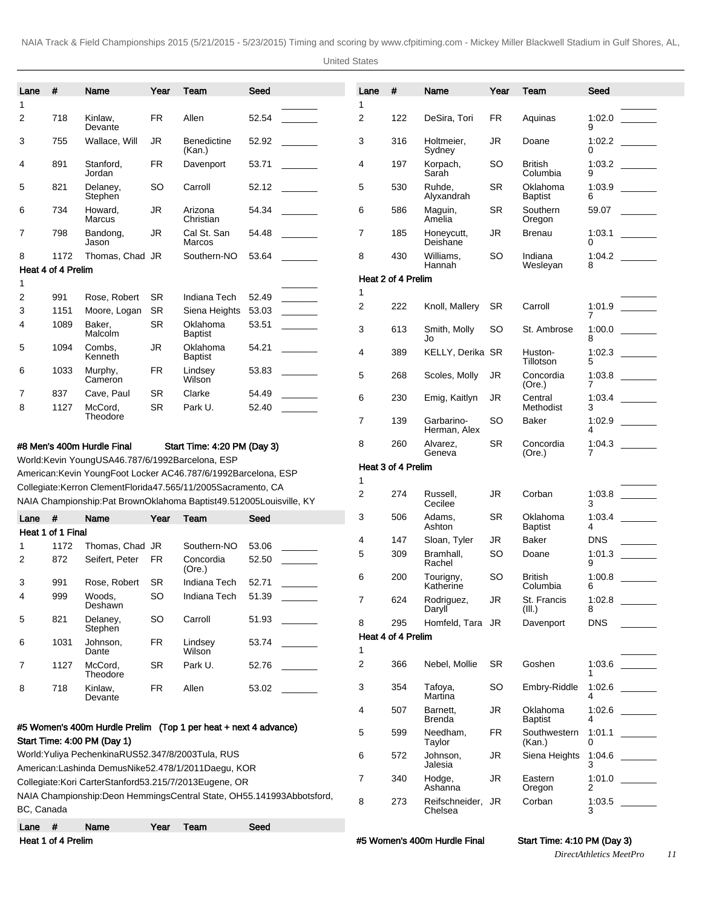United States

| Lane                   | #                          | Name                                                                                                             | Year            | Team                         | Seed                                                                     | Lane           | #                  | Name                         | Year      | Team                       | Seed             |
|------------------------|----------------------------|------------------------------------------------------------------------------------------------------------------|-----------------|------------------------------|--------------------------------------------------------------------------|----------------|--------------------|------------------------------|-----------|----------------------------|------------------|
| 1                      |                            |                                                                                                                  |                 |                              |                                                                          | 1              |                    |                              |           |                            |                  |
| 2                      | 718                        | Kinlaw.<br>Devante                                                                                               | FR.             | Allen                        | 52.54                                                                    | 2              | 122                | DeSira, Tori                 | FR        | Aquinas                    | 1:02.0<br>9      |
| 3                      | 755                        | Wallace, Will                                                                                                    | <b>JR</b>       | <b>Benedictine</b><br>(Kan.) | 52.92                                                                    | 3              | 316                | Holtmeier.<br>Sydney         | JR        | Doane                      | 0                |
| 4                      | 891                        | Stanford,<br>Jordan                                                                                              | FR              | Davenport                    | 53.71                                                                    | 4              | 197                | Korpach,<br>Sarah            | SO        | <b>British</b><br>Columbia | 1:03.2<br>9      |
| 5                      | 821                        | Delaney,<br>Stephen                                                                                              | SO              | Carroll                      | 52.12                                                                    | 5              | 530                | Ruhde.<br>Alyxandrah         | <b>SR</b> | Oklahoma<br><b>Baptist</b> | 1:03.9<br>6      |
| 6                      | 734                        | Howard,<br>Marcus                                                                                                | <b>JR</b>       | Arizona<br>Christian         | 54.34                                                                    | 6              | 586                | Maguin,<br>Amelia            | <b>SR</b> | Southern<br>Oregon         | 59.07            |
| 7                      | 798                        | Bandong,<br>Jason                                                                                                | JR              | Cal St. San<br>Marcos        | 54.48                                                                    | 7              | 185                | Honeycutt,<br>Deishane       | JR        | <b>Brenau</b>              | 1:03.1<br>0      |
| 8                      | 1172<br>Heat 4 of 4 Prelim | Thomas, Chad JR                                                                                                  |                 | Southern-NO                  | 53.64                                                                    | 8              | 430                | Williams,<br>Hannah          | SO        | Indiana<br>Wesleyan        | 1:04.2<br>8      |
| 1                      |                            |                                                                                                                  |                 |                              |                                                                          |                | Heat 2 of 4 Prelim |                              |           |                            |                  |
| 2                      | 991                        | Rose, Robert                                                                                                     | <b>SR</b>       | Indiana Tech                 | $\overline{\phantom{a}}$<br>52.49                                        | 1              |                    |                              |           |                            |                  |
| 3                      | 1151                       | Moore, Logan                                                                                                     | <b>SR</b>       | Siena Heights                | 53.03                                                                    | 2              | 222                | Knoll, Mallery               | <b>SR</b> | Carroll                    | 1:01.9           |
| 4                      | 1089                       | Baker.<br>Malcolm                                                                                                | <b>SR</b>       | Oklahoma<br>Baptist          | 53.51                                                                    | 3              | 613                | Smith, Molly<br>Jo           | SO        | St. Ambrose                | 7<br>1:00.0<br>8 |
| 5                      | 1094                       | Combs.<br>Kenneth                                                                                                | JR              | Oklahoma<br>Baptist          | 54.21                                                                    | 4              | 389                | KELLY, Derika SR             |           | Huston-<br>Tillotson       | 1:02.3<br>5      |
| 6                      | 1033                       | Murphy,<br>Cameron                                                                                               | FR              | Lindsey<br>Wilson            | 53.83                                                                    | 5              | 268                | Scoles, Molly                | JR        | Concordia<br>(Ore.)        | 7                |
| 7<br>8                 | 837<br>1127                | Cave, Paul<br>McCord,                                                                                            | SR<br><b>SR</b> | Clarke<br>Park U.            | 54.49<br>52.40                                                           | 6              | 230                | Emig, Kaitlyn                | JR        | Central<br>Methodist       | 1:03.4<br>3      |
|                        |                            | Theodore                                                                                                         |                 |                              |                                                                          | $\overline{7}$ | 139                | Garbarino-<br>Herman, Alex   | <b>SO</b> | <b>Baker</b>               | 1:02.9<br>4      |
|                        |                            | #8 Men's 400m Hurdle Final<br>World: Kevin Young USA 46.78 7/6/1992 Barcelona, ESP                               |                 | Start Time: 4:20 PM (Day 3)  |                                                                          | 8              | 260                | Alvarez,<br>Geneva           | <b>SR</b> | Concordia<br>(Ore.)        | 1:04.3<br>7      |
|                        |                            | American: Kevin Young Foot Locker AC 46.78 7/6/1992 Barcelona, ESP                                               |                 |                              |                                                                          |                | Heat 3 of 4 Prelim |                              |           |                            |                  |
|                        |                            | Collegiate: Kerron Clement Florida 47.56 5/11/2005 Sacramento, CA                                                |                 |                              |                                                                          | 1              |                    |                              |           |                            |                  |
|                        |                            |                                                                                                                  |                 |                              | NAIA Championship: Pat Brown Oklahoma Baptist 49.51 2005Louisville, KY   | 2              | 274                | Russell,<br>Cecilee          | JR        | Corban                     | 1:03.8<br>3      |
| Lane                   | #                          | Name                                                                                                             | Year            | Team                         | Seed                                                                     | 3              | 506                | Adams.<br>Ashton             | <b>SR</b> | Oklahoma<br><b>Baptist</b> | 1:03.4<br>4      |
|                        | Heat 1 of 1 Final          |                                                                                                                  |                 |                              |                                                                          | 4              | 147                | Sloan, Tyler                 | JR        | Baker                      | <b>DNS</b>       |
| 1                      | 1172                       | Thomas, Chad JR                                                                                                  |                 | Southern-NO                  | 53.06                                                                    | 5              | 309                | Bramhall,                    | <b>SO</b> | Doane                      | 1:01.3           |
| 2                      | 872                        | Seifert, Peter                                                                                                   | FR              | Concordia<br>(Ore.)          | 52.50                                                                    | 6              | 200                | Rachel<br>Tourigny,          | SO        | <b>British</b>             | 9<br>1:00.8      |
| 3                      | 991                        | Rose, Robert                                                                                                     | <b>SR</b>       | Indiana Tech                 | 52.71                                                                    |                |                    | Katherine                    |           | Columbia                   |                  |
| 4                      | 999                        | Woods,<br>Deshawn                                                                                                | SO              | Indiana Tech                 | 51.39                                                                    | $\overline{7}$ | 624                | Rodriguez,<br>Daryll         | JR        | St. Francis<br>(III.)      | 8                |
|                        | 821                        | Delaney,                                                                                                         | <b>SO</b>       | Carroll                      | 51.93                                                                    | 8              |                    |                              |           | Davenport                  | <b>DNS</b>       |
|                        |                            |                                                                                                                  |                 |                              |                                                                          |                | 295                | Homfeld, Tara JR             |           |                            |                  |
|                        |                            | Stephen                                                                                                          |                 |                              |                                                                          |                | Heat 4 of 4 Prelim |                              |           |                            |                  |
|                        | 1031                       | Johnson,<br>Dante                                                                                                | FR              | Lindsey<br>Wilson            | 53.74                                                                    | 1              |                    |                              |           |                            |                  |
|                        | 1127                       | McCord,<br>Theodore                                                                                              | SR              | Park U.                      | 52.76                                                                    | 2              | 366                | Nebel, Mollie                | <b>SR</b> | Goshen                     | 1:03.6           |
|                        | 718                        | Kinlaw,<br>Devante                                                                                               | <b>FR</b>       | Allen                        | 53.02                                                                    | 3              | 354                | Tafoya,<br>Martina           | <b>SO</b> | Embry-Riddle               | 1:02.6<br>4      |
|                        |                            |                                                                                                                  |                 |                              |                                                                          | 4              | 507                | Barnett,<br>Brenda           | JR        | Oklahoma<br><b>Baptist</b> | 1:02.6<br>4      |
|                        |                            | #5 Women's 400m Hurdle Prelim (Top 1 per heat + next 4 advance)<br>Start Time: 4:00 PM (Day 1)                   |                 |                              |                                                                          | 5              | 599                | Needham,<br>Taylor           | <b>FR</b> | Southwestern<br>(Kan.)     | 1:01.1<br>0      |
|                        |                            | World: Yuliya Pechenkina RUS 52.34 7/8/2003 Tula, RUS<br>American: Lashinda Demus Nike 52.47 8/1/2011 Daegu, KOR |                 |                              |                                                                          | 6              | 572                | Johnson,<br>Jalesia          | JR        | Siena Heights              | 1:04.6<br>3      |
| 5<br>6<br>7<br>8       |                            | Collegiate: Kori Carter Stanford 53.21 5/7/2013 Eugene, OR                                                       |                 |                              |                                                                          | $\overline{7}$ | 340                | Hodge,                       | JR        | Eastern                    |                  |
|                        |                            |                                                                                                                  |                 |                              | NAIA Championship: Deon Hemmings Central State, OH 55.14 1993Abbotsford, | 8              | 273                | Ashanna<br>Reifschneider, JR |           | Oregon<br>Corban           | 2<br>1:03.5      |
| BC, Canada<br>Lane $#$ |                            | Name                                                                                                             | Year            | Team                         | Seed                                                                     |                |                    | Chelsea                      |           |                            |                  |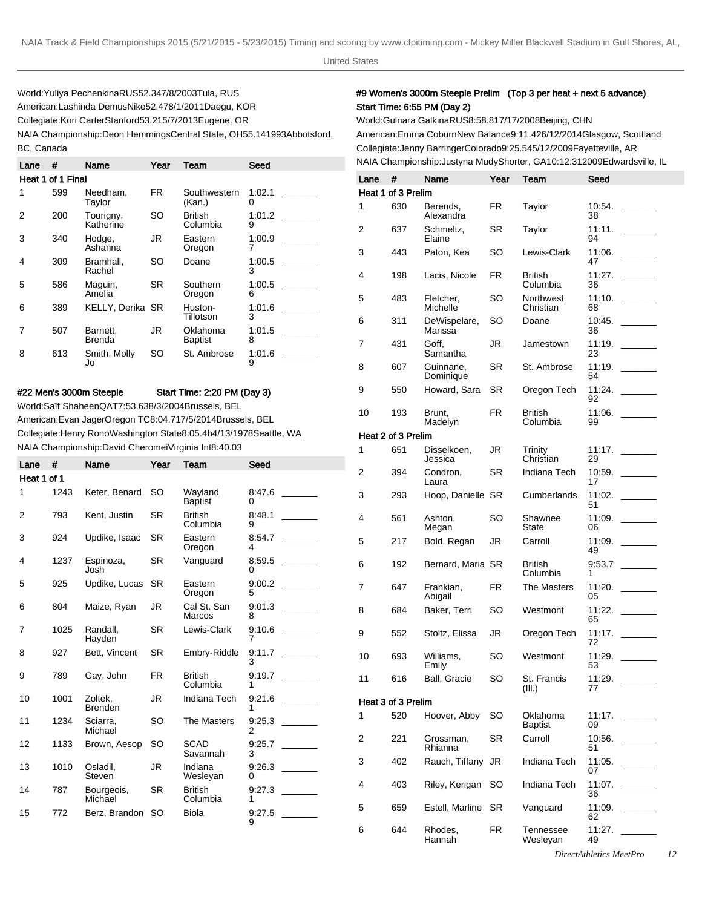World: Yuliya Pechenkina RUS 52.34 7/8/2003 Tula, RUS American: Lashinda Demus Nike 52.47 8/1/2011 Daegu, KOR Collegiate: Kori Carter Stanford 53.21 5/7/2013 Eugene, OR NAIA Championship: Deon Hemmings Central State, OH 55.14 1993Abbotsford,

| Lane | #                 | Name                      | Year      | Team                       | Seed        |
|------|-------------------|---------------------------|-----------|----------------------------|-------------|
|      | Heat 1 of 1 Final |                           |           |                            |             |
|      | 599               | Needham.<br>Taylor        | FR.       | Southwestern<br>(Kan.)     | 1:02.1<br>0 |
| 2    | 200               | Tourigny,<br>Katherine    | SO        | British<br>Columbia        | 1:01.2<br>9 |
| 3    | 340               | Hodge,<br>Ashanna         | JR        | Eastern<br>Oregon          | 1:00.9      |
| 4    | 309               | Bramhall.<br>Rachel       | SO        | Doane                      | 1:00.5<br>3 |
| 5    | 586               | Maguin,<br>Amelia         | <b>SR</b> | Southern<br>Oregon         | 1:00.5<br>6 |
| 6    | 389               | <b>KELLY, Derika SR</b>   |           | Huston-<br>Tillotson       | 1:01.6<br>3 |
| 7    | 507               | Barnett.<br><b>Brenda</b> | JR        | Oklahoma<br><b>Baptist</b> | 1:01.5<br>8 |
| 8    | 613               | Smith, Molly<br>Jo        | SO        | St. Ambrose                | 1:01.6<br>9 |

BC, Canada

#### #22 Men's 3000m Steeple Start Time: 2:20 PM (Day 3)

World: Saïf Shaheen QAT 7:53.63 8/3/2004 Brussels, BEL American: Evan Jager Oregon TC 8:04.71 7/5/2014 Brussels, BEL Collegiate: Henry Rono Washington State 8:05.4h 4/13/1978 Seattle, WA NAIA Championship: David Cheromei Virginia Int 8:40.03

| Lane        | #    | Name                      | Year      | Team                       | Seed        |
|-------------|------|---------------------------|-----------|----------------------------|-------------|
| Heat 1 of 1 |      |                           |           |                            |             |
| 1           | 1243 | Keter, Benard             | <b>SO</b> | Wayland<br><b>Baptist</b>  | 8:47.6<br>0 |
| 2           | 793  | Kent, Justin              | <b>SR</b> | <b>British</b><br>Columbia | 8:48.1<br>9 |
| 3           | 924  | Updike, Isaac             | <b>SR</b> | Eastern<br>Oregon          | 8:54.7<br>4 |
| 4           | 1237 | Espinoza,<br>Josh         | SR.       | Vanguard                   | 8:59.5<br>0 |
| 5           | 925  | Updike, Lucas             | <b>SR</b> | Eastern<br>Oregon          | 9:00.2<br>5 |
| 6           | 804  | Maize, Ryan               | JR.       | Cal St. San<br>Marcos      | 9:01.3<br>8 |
| 7           | 1025 | Randall.<br>Hayden        | <b>SR</b> | Lewis-Clark                | 9:10.6<br>7 |
| 8           | 927  | Bett, Vincent             | <b>SR</b> | Embry-Riddle               | 9:11.7<br>3 |
| 9           | 789  | Gay, John                 | FR.       | <b>British</b><br>Columbia | 9:19.7<br>1 |
| 10          | 1001 | Zoltek,<br><b>Brenden</b> | JR.       | Indiana Tech               | 9.21.6<br>1 |
| 11          | 1234 | Sciarra.<br>Michael       | SO.       | The Masters                | 9.25.3<br>2 |
| 12          | 1133 | Brown, Aesop              | SO        | <b>SCAD</b><br>Savannah    | 9:25.7<br>3 |
| 13          | 1010 | Osladil,<br>Steven        | JR        | Indiana<br>Wesleyan        | 9.26.3<br>0 |
| 14          | 787  | Bourgeois,<br>Michael     | <b>SR</b> | <b>British</b><br>Columbia | 9:27.3<br>1 |
| 15          | 772  | Berz, Brandon             | SO        | Biola                      | 9:27.5<br>9 |

## #9 Women's 3000m Steeple Prelim (Top 3 per heat + next 5 advance) Start Time: 6:55 PM (Day 2)

World: Gulnara Galkina RUS 8:58.81 7/17/2008 Beijing, CHN American: Emma Coburn New Balance 9:11.42 6/12/2014 Glasgow, Scottland Collegiate: Jenny Barringer Colorado 9:25.54 5/12/2009 Fayetteville, AR NAIA Championship: Justyna Mudy Shorter, GA 10:12.31 2009Edwardsville, IL

| Lane | #                  | Name                    | Year | Team                       | Seed         |  |
|------|--------------------|-------------------------|------|----------------------------|--------------|--|
|      | Heat 1 of 3 Prelim |                         |      |                            |              |  |
| 1    | 630                | Berends,<br>Alexandra   | FR   | Taylor                     | 10:54.<br>38 |  |
| 2    | 637                | Schmeltz,<br>Elaine     | SR   | Taylor                     | 11:11.<br>94 |  |
| 3    | 443                | Paton, Kea              | SO   | Lewis-Clark                | 11:06.<br>47 |  |
| 4    | 198                | Lacis, Nicole           | FR.  | British<br>Columbia        | 11:27.<br>36 |  |
| 5    | 483                | Fletcher,<br>Michelle   | SO   | Northwest<br>Christian     | 11:10.<br>68 |  |
| 6    | 311                | DeWispelare,<br>Marissa | SO   | Doane                      | 10:45.<br>36 |  |
| 7    | 431                | Goff,<br>Samantha       | JR   | Jamestown                  | 11:19.<br>23 |  |
| 8    | 607                | Guinnane,<br>Dominique  | SR   | St. Ambrose                | 11:19.<br>54 |  |
| 9    | 550                | Howard, Sara            | SR   | Oregon Tech                | 11:24.<br>92 |  |
| 10   | 193                | Brunt,<br>Madelyn       | FR   | British<br>Columbia        | 11:06.<br>99 |  |
|      | Heat 2 of 3 Prelim |                         |      |                            |              |  |
| 1    | 651                | Disselkoen,<br>Jessica  | JR   | Trinity<br>Christian       | 11:17.<br>29 |  |
| 2    | 394                | Condron,<br>Laura       | SR   | Indiana Tech               | 10:59.<br>17 |  |
| 3    | 293                | Hoop, Danielle SR       |      | Cumberlands                | 11:02.<br>51 |  |
| 4    | 561                | Ashton,<br>Megan        | SO   | Shawnee<br>State           | 11:09.<br>06 |  |
| 5    | 217                | Bold, Regan             | JR   | Carroll                    | 11:09.<br>49 |  |
| 6    | 192                | Bernard, Maria SR       |      | British<br>Columbia        | 9:53.7<br>1  |  |
| 7    | 647                | Frankian,<br>Abigail    | FR   | <b>The Masters</b>         | 11:20.<br>05 |  |
| 8    | 684                | Baker, Terri            | SO   | Westmont                   | 11:22.<br>65 |  |
| 9    | 552                | Stoltz, Elissa          | JR   | Oregon Tech                | 11:17.<br>72 |  |
| 10   | 693                | Williams,<br>Emily      | SO   | Westmont                   | 11:29.<br>53 |  |
| 11   | 616                | Ball, Gracie            | SO   | St. Francis<br>(III.)      | 11:29.<br>77 |  |
|      | Heat 3 of 3 Prelim |                         |      |                            |              |  |
| 1    | 520                | Hoover, Abby            | SO   | Oklahoma<br><b>Baptist</b> | 11:17.<br>09 |  |
| 2    | 221                | Grossman,<br>Rhianna    | SR   | Carroll                    | 10:56.<br>51 |  |
| 3    | 402                | Rauch, Tiffany          | JR   | <b>Indiana Tech</b>        | 11:05.<br>07 |  |
| 4    | 403                | Riley, Kerigan          | SO   | Indiana Tech               | 11:07.<br>36 |  |
| 5    | 659                | Estell, Marline         | SR   | Vanguard                   | 11:09.<br>62 |  |
| 6    | 644                | Rhodes,<br>Hannah       | FR.  | Tennessee<br>Wesleyan      | 11:27.<br>49 |  |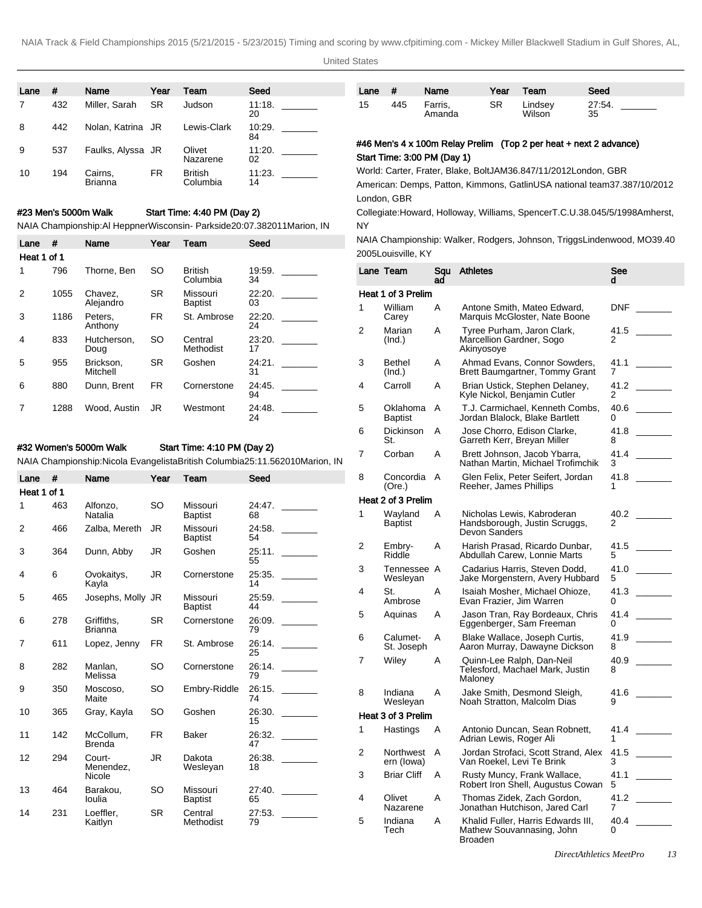United States

| Lane | #   | Name               | Year      | Team                       | Seed         |
|------|-----|--------------------|-----------|----------------------------|--------------|
|      | 432 | Miller, Sarah      | <b>SR</b> | Judson                     | 11:18.<br>20 |
| 8    | 442 | Nolan, Katrina JR  |           | Lewis-Clark                | 10:29.<br>84 |
| 9    | 537 | Faulks, Alyssa JR  |           | Olivet<br>Nazarene         | 11:20.<br>02 |
| 10   | 194 | Cairns,<br>Brianna | FR        | <b>British</b><br>Columbia | 11:23.<br>14 |

### #23 Men's 5000m Walk Start Time: 4:40 PM (Day 2)

NAIA Championship: Al Heppner Wisconsin- Parkside 20:07.38 2011Marion, IN

| Lane        | #    | Name                  | Year      | Team                       | Seed         |
|-------------|------|-----------------------|-----------|----------------------------|--------------|
| Heat 1 of 1 |      |                       |           |                            |              |
| 1           | 796  | Thorne, Ben           | SO        | <b>British</b><br>Columbia | 19:59.<br>34 |
| 2           | 1055 | Chavez,<br>Alejandro  | <b>SR</b> | Missouri<br><b>Baptist</b> | 22:20.<br>03 |
| 3           | 1186 | Peters.<br>Anthony    | <b>FR</b> | St. Ambrose                | 22:20.<br>24 |
| 4           | 833  | Hutcherson,<br>Doug   | SO.       | Central<br>Methodist       | 23:20.<br>17 |
| 5           | 955  | Brickson.<br>Mitchell | <b>SR</b> | Goshen                     | 24:21.<br>31 |
| 6           | 880  | Dunn, Brent           | <b>FR</b> | Cornerstone                | 24:45.<br>94 |
|             | 1288 | Wood. Austin          | JR.       | Westmont                   | 24:48.<br>24 |

# #32 Women's 5000m Walk Start Time: 4:10 PM (Day 2)

NAIA Championship: Nicola Evangelista British Columbia 25:11.56 2010Marion, IN

| Lane        | #   | Name                          | Year      | Team                       | Seed         |  |
|-------------|-----|-------------------------------|-----------|----------------------------|--------------|--|
| Heat 1 of 1 |     |                               |           |                            |              |  |
| 1           | 463 | Alfonzo,<br>Natalia           | SO        | Missouri<br><b>Baptist</b> | 24:47.<br>68 |  |
| 2           | 466 | Zalba, Mereth                 | JR        | Missouri<br>Baptist        | 24:58.<br>54 |  |
| 3           | 364 | Dunn, Abby                    | JR        | Goshen                     | 25:11.<br>55 |  |
| 4           | 6   | Ovokaitys,<br>Kayla           | JR        | Cornerstone                | 25:35.<br>14 |  |
| 5           | 465 | Josephs, Molly JR             |           | Missouri<br><b>Baptist</b> | 25:59.<br>44 |  |
| 6           | 278 | Griffiths,<br><b>Brianna</b>  | SR        | Cornerstone                | 26:09.<br>79 |  |
| 7           | 611 | Lopez, Jenny                  | <b>FR</b> | St. Ambrose                | 26:14.<br>25 |  |
| 8           | 282 | Manlan.<br>Melissa            | SO        | Cornerstone                | 26:14.<br>79 |  |
| 9           | 350 | Moscoso,<br>Maite             | SO        | Embry-Riddle               | 26:15.<br>74 |  |
| 10          | 365 | Gray, Kayla                   | SO        | Goshen                     | 26:30.<br>15 |  |
| 11          | 142 | McCollum,<br><b>Brenda</b>    | FR.       | <b>Baker</b>               | 26:32.<br>47 |  |
| 12          | 294 | Court-<br>Menendez,<br>Nicole | JR        | Dakota<br>Wesleyan         | 26:38.<br>18 |  |
| 13          | 464 | Barakou,<br>loulia            | SO        | Missouri<br><b>Baptist</b> | 27:40.<br>65 |  |
| 14          | 231 | Loeffler,<br>Kaitlyn          | <b>SR</b> | Central<br>Methodist       | 27:53.<br>79 |  |

| Lane | #   | Name              | Year | Team              | Seed         |
|------|-----|-------------------|------|-------------------|--------------|
| 15   | 445 | Farris,<br>Amanda | SR   | Lindsey<br>Wilson | 27:54.<br>35 |

# #46 Men's 4 x 100m Relay Prelim (Top 2 per heat + next 2 advance) Start Time: 3:00 PM (Day 1)

World: Carter, Frater, Blake, Bolt JAM 36.84 7/11/2012 London, GBR American: Demps, Patton, Kimmons, Gatlin USA national team 37.38 7/10/2012 London, GBR

Collegiate: Howard, Holloway, Williams, Spencer T.C.U. 38.04 5/5/1998 Amherst, NY

NAIA Championship: Walker, Rodgers, Johnson, Triggs Lindenwood, MO 39.40 2005Louisville, KY

|   | Lane Team                  | Sau<br>ad | <b>Athletes</b>                                                              | See<br>d  |
|---|----------------------------|-----------|------------------------------------------------------------------------------|-----------|
|   | Heat 1 of 3 Prelim         |           |                                                                              |           |
| 1 | William<br>Carey           | Α         | Antone Smith, Mateo Edward,<br>Marquis McGloster, Nate Boone                 | DNF       |
| 2 | Marian<br>(Ind.)           | A         | Tyree Purham, Jaron Clark,<br>Marcellion Gardner, Sogo<br>Akinyosoye         | 41.5<br>2 |
| 3 | <b>Bethel</b><br>(Ind.)    | Α         | Ahmad Evans, Connor Sowders,<br>Brett Baumgartner, Tommy Grant               | 41.1<br>7 |
| 4 | Carroll                    | Α         | Brian Ustick, Stephen Delaney,<br>Kyle Nickol, Benjamin Cutler               | 41.2<br>2 |
| 5 | Oklahoma<br><b>Baptist</b> | Α         | T.J. Carmichael, Kenneth Combs,<br>Jordan Blalock, Blake Bartlett            | 40.6<br>0 |
| 6 | Dickinson<br>St.           | Α         | Jose Chorro, Edison Clarke,<br>Garreth Kerr, Breyan Miller                   | 41.8<br>8 |
| 7 | Corban                     | Α         | Brett Johnson, Jacob Ybarra,<br>Nathan Martin, Michael Trofimchik            | 41.4<br>3 |
| 8 | Concordia<br>(Ore.)        | A         | Glen Felix, Peter Seifert, Jordan<br>Reeher, James Phillips                  | 41.8<br>1 |
|   | Heat 2 of 3 Prelim         |           |                                                                              |           |
| 1 | Wayland<br>Baptist         | Α         | Nicholas Lewis, Kabroderan<br>Handsborough, Justin Scruggs,<br>Devon Sanders | 40.2<br>2 |
| 2 | Embry-<br>Riddle           | A         | Harish Prasad, Ricardo Dunbar,<br>Abdullah Carew, Lonnie Marts               | 41.5<br>5 |
| 3 | Tennessee A<br>Wesleyan    |           | Cadarius Harris, Steven Dodd,<br>Jake Morgenstern, Avery Hubbard             | 41.0<br>5 |
| 4 | St.<br>Ambrose             | A         | Isaiah Mosher, Michael Ohioze,<br>Evan Frazier, Jim Warren                   | 41.3<br>0 |
| 5 | Aquinas                    | Α         | Jason Tran, Ray Bordeaux, Chris<br>Eggenberger, Sam Freeman                  | 41.4<br>0 |
| 6 | Calumet-<br>St. Joseph     | A         | Blake Wallace, Joseph Curtis,<br>Aaron Murray, Dawayne Dickson               | 41.9<br>8 |
| 7 | Wiley                      | Α         | Quinn-Lee Ralph, Dan-Neil<br>Telesford, Machael Mark, Justin<br>Maloney      | 40.9<br>8 |
| 8 | Indiana<br>Wesleyan        | Α         | Jake Smith, Desmond Sleigh,<br>Noah Stratton, Malcolm Dias                   | 41.6<br>9 |
|   | Heat 3 of 3 Prelim         |           |                                                                              |           |
| 1 | Hastings                   | Α         | Antonio Duncan, Sean Robnett,<br>Adrian Lewis, Roger Ali                     | 41.4      |
| 2 | Northwest<br>ern (lowa)    | Α         | Jordan Strofaci, Scott Strand, Alex<br>Van Roekel, Levi Te Brink             | 41.5<br>3 |
| 3 | <b>Briar Cliff</b>         | Α         | Rusty Muncy, Frank Wallace,<br>Robert Iron Shell, Augustus Cowan             | 41.1<br>5 |
| 4 | Olivet<br>Nazarene         | Α         | Thomas Zidek, Zach Gordon,<br>Jonathan Hutchison, Jared Carl                 | 41.2<br>7 |
| 5 | Indiana<br>Tech            | A         | Khalid Fuller, Harris Edwards III,<br>Mathew Souvannasing, John<br>Broaden   | 40.4<br>0 |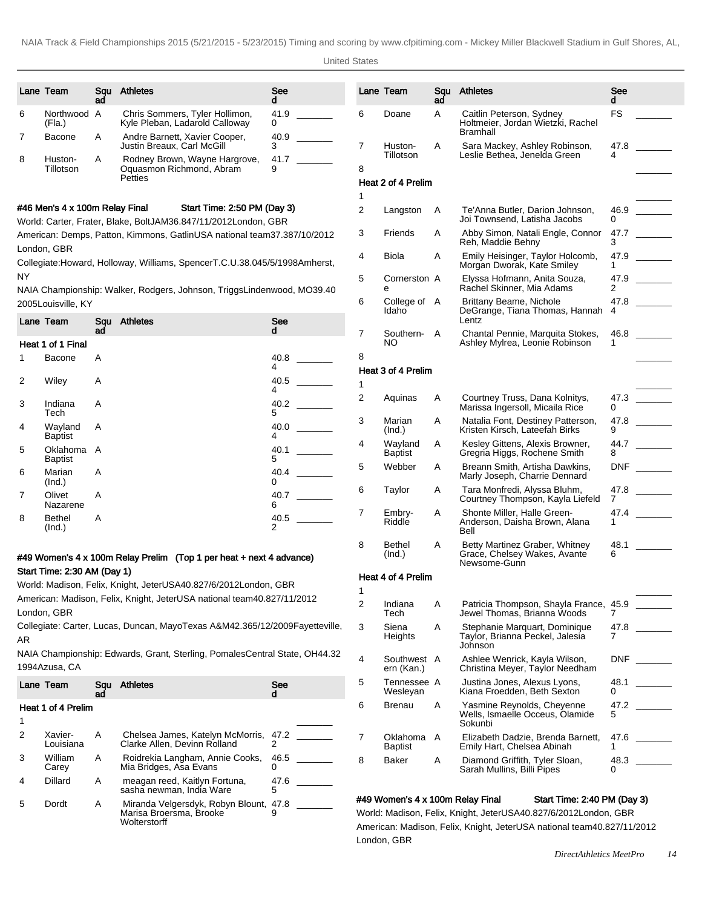|        | Lane Team                      | Sau<br>ad | <b>Athletes</b>                                                                   | See<br>d  | Lan      |
|--------|--------------------------------|-----------|-----------------------------------------------------------------------------------|-----------|----------|
| 6      | Northwood A<br>(Fla.)          |           | Chris Sommers, Tyler Hollimon,<br>Kyle Pleban, Ladarold Calloway                  | 41.9<br>0 | 6        |
| 7      | Bacone                         | A         | Andre Barnett, Xavier Cooper,<br>Justin Breaux. Carl McGill                       | 40.9<br>3 | 7        |
| 8      | Huston-<br>Tillotson           | Α         | Rodney Brown, Wayne Hargrove,<br>Oquasmon Richmond, Abram<br>Petties              | 41.7<br>9 | 8<br>Hea |
|        | #46 Men's 4 x 100m Relay Final |           | Start Time: 2:50 PM (Day 3)                                                       |           | 1        |
|        |                                |           | World: Carter, Frater, Blake, Bolt JAM 36.84 7/11/2012 London, GBR                |           | 2<br>3   |
|        | London, GBR                    |           | American: Demps, Patton, Kimmons, Gatlin USA national team 37.38 7/10/2012        |           |          |
| NY     |                                |           | Collegiate: Howard, Holloway, Williams, Spencer T.C.U. 38.04 5/5/1998 Amherst,    |           | 4        |
|        | 2005Louisville, KY             |           | NAIA Championship: Walker, Rodgers, Johnson, Triggs Lindenwood, MO 39.40          |           | 5<br>6   |
|        | Lane Team                      | Squ<br>ad | <b>Athletes</b>                                                                   | See<br>d  |          |
|        | Heat 1 of 1 Final              |           |                                                                                   |           | 7        |
| 1      | Bacone                         | Α         |                                                                                   | 40.8<br>4 | 8        |
| 2      | Wiley                          | A         |                                                                                   | 40.5<br>4 | He<br>1  |
| 3      | Indiana<br>Tech                | Α         |                                                                                   | 40.2<br>5 | 2        |
| 4      | Wayland<br><b>Baptist</b>      | A         |                                                                                   | 40.0<br>4 | 3        |
| 5      | Oklahoma<br><b>Baptist</b>     | A         |                                                                                   | 40.1<br>5 | 4        |
| 6      | Marian<br>(Ind.)               | Α         |                                                                                   | 40.4<br>0 | 5        |
| 7      | Olivet<br>Nazarene             | Α         |                                                                                   | 40.7<br>6 | 6        |
| 8      | <b>Bethel</b><br>(Ind.)        | A         |                                                                                   | 40.5<br>2 | 7        |
|        |                                |           |                                                                                   |           | 8        |
|        |                                |           |                                                                                   |           |          |
|        |                                |           | #49 Women's 4 x 100m Relay Prelim (Top 1 per heat + next 4 advance)               |           |          |
|        | Start Time: 2:30 AM (Day 1)    |           | World: Madison, Felix, Knight, Jeter USA 40.82 7/6/2012 London, GBR               |           | He       |
|        |                                |           | American: Madison, Felix, Knight, Jeter USA national team 40.82 7/11/2012         |           | 1<br>2   |
|        | London, GBR                    |           | Collegiate: Carter, Lucas, Duncan, Mayo Texas A&M 42.36 5/12/2009 Fayetteville, 3 |           |          |
| AR     |                                |           |                                                                                   |           |          |
|        | 1994Azusa, CA                  |           | NAIA Championship: Edwards, Grant, Sterling, Pomales Central State, OH 44.32      |           | 4        |
|        | Lane Team                      | Squ       | <b>Athletes</b>                                                                   | See       | 5        |
|        | Heat 1 of 4 Prelim             | ad        |                                                                                   | d         | 6        |
| 1<br>2 | Xavier-<br>Louisiana           | A         | Chelsea James, Katelyn McMorris,<br>Clarke Allen, Devinn Rolland                  | 47.2<br>2 | 7        |
| 3      | William<br>Carey               | Α         | Roidrekia Langham, Annie Cooks,<br>Mia Bridges, Asa Evans                         | 46.5<br>0 | 8        |
| 4      | Dillard                        | A         | meagan reed, Kaitlyn Fortuna,<br>sasha newman, India Ware                         | 47.6<br>5 | #49      |

|   | Lane Team                 | Sau<br>ad | <b>Athletes</b>                                                                | See<br>d  |  |
|---|---------------------------|-----------|--------------------------------------------------------------------------------|-----------|--|
| 6 | Doane                     | Α         | Caitlin Peterson, Sydney<br>Holtmeier, Jordan Wietzki, Rachel<br>Bramhall      | FS        |  |
| 7 | Huston-<br>Tillotson      | Α         | Sara Mackey, Ashley Robinson,<br>Leslie Bethea, Jenelda Green                  | 47.8<br>4 |  |
| 8 |                           |           |                                                                                |           |  |
| 1 | Heat 2 of 4 Prelim        |           |                                                                                |           |  |
| 2 | Langston                  | A         | Te'Anna Butler, Darion Johnson,<br>Joi Townsend. Latisha Jacobs                | 46.9<br>0 |  |
| 3 | Friends                   | Α         | Abby Simon, Natali Engle, Connor<br>Reh, Maddie Behny                          | 47.7<br>3 |  |
| 4 | Biola                     | Α         | Emily Heisinger, Taylor Holcomb,<br>Morgan Dworak, Kate Smiley                 | 47.9<br>1 |  |
| 5 | Cornerston A<br>е         |           | Elyssa Hofmann, Anita Souza,<br>Rachel Skinner, Mia Adams                      | 47.9<br>2 |  |
| 6 | College of<br>Idaho       | Α         | Brittany Beame, Nichole<br>DeGrange, Tiana Thomas, Hannah<br>Lentz             | 47.8<br>4 |  |
| 7 | Southern-<br>NO           | A         | Chantal Pennie, Marquita Stokes,<br>Ashley Mylrea, Leonie Robinson             | 46.8<br>1 |  |
| 8 |                           |           |                                                                                |           |  |
| 1 | Heat 3 of 4 Prelim        |           |                                                                                |           |  |
| 2 | Aquinas                   | Α         | Courtney Truss, Dana Kolnitys,<br>Marissa Ingersoll, Micaila Rice              | 47.3<br>0 |  |
| 3 | Marian<br>(Ind.)          | Α         | Natalia Font, Destiney Patterson,<br>Kristen Kirsch, Lateefah Birks            | 47.8<br>9 |  |
| 4 | Wayland<br><b>Baptist</b> | A         | Kesley Gittens, Alexis Browner,<br>Gregria Higgs, Rochene Smith                | 44.7<br>8 |  |
| 5 | Webber                    | Α         | Breann Smith, Artisha Dawkins,<br>Marly Joseph, Charrie Dennard                | DNF       |  |
| 6 | Taylor                    | A         | Tara Monfredi, Alyssa Bluhm,<br>Courtney Thompson, Kayla Liefeld               | 47.8<br>7 |  |
| 7 | Embry-<br>Riddle          | Α         | Shonte Miller, Halle Green-<br>Anderson, Daisha Brown, Alana<br>Bell           | 47.4<br>1 |  |
| 8 | Bethel<br>(Ind.)          | Α         | Betty Martinez Graber, Whitney<br>Grace, Chelsey Wakes, Avante<br>Newsome-Gunn | 48.1<br>6 |  |
|   | Heat 4 of 4 Prelim        |           |                                                                                |           |  |
| 1 |                           |           |                                                                                |           |  |
| 2 | Indiana<br>Tech           | Α         | Patricia Thompson, Shayla France,<br>Jewel Thomas, Brianna Woods               | 45.9<br>7 |  |
| 3 | Siena<br>Heights          | Α         | Stephanie Marquart, Dominique<br>Taylor, Brianna Peckel, Jalesia<br>Johnson    | 47.8<br>7 |  |
| 4 | Southwest<br>ern (Kan.)   | A         | Ashlee Wenrick, Kayla Wilson,<br>Christina Meyer, Taylor Needham               | DNF       |  |
| 5 | Tennessee A<br>Wesleyan   |           | Justina Jones, Alexus Lyons,<br>Kiana Froedden, Beth Sexton                    | 48.1<br>0 |  |
| 6 | <b>Brenau</b>             | Α         | Yasmine Reynolds, Cheyenne<br>Wells, Ismaelle Occeus, Olamide<br>Sokunbi       | 47.2<br>5 |  |
| 7 | Oklahoma<br>Baptist       | A         | Elizabeth Dadzie, Brenda Barnett,<br>Emily Hart, Chelsea Abinah                | 47.6<br>1 |  |
| 8 | Baker                     | A         | Diamond Griffith, Tyler Sloan,<br>Sarah Mullins, Billi Pipes                   | 48.3<br>0 |  |

# #49 Women's 4 x 100m Relay Final Start Time: 2:40 PM (Day 3)

/orld: Madison, Felix, Knight, Jeter USA 40.82 7/6/2012 London, GBR American: Madison, Felix, Knight, Jeter USA national team 40.82 7/11/2012 London, GBR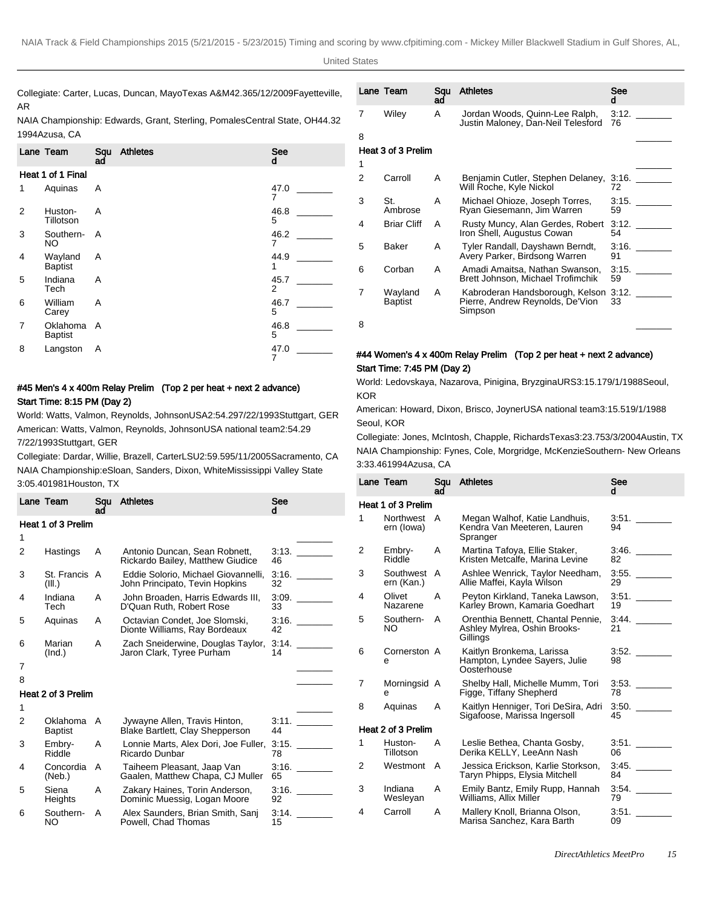| <b>United States</b> |
|----------------------|
|                      |

Collegiate: Carter, Lucas, Duncan, Mayo Texas A&M 42.36 5/12/2009 Fayetteville, Lane Team Squ AR

NAIA Championship: Edwards, Grant, Sterling, Pomales Central State, OH 44.32 1994Azusa, CA

|                   | Lane Team                  | Squ<br>ad | <b>Athletes</b> | <b>See</b><br>d        |  |  |  |  |
|-------------------|----------------------------|-----------|-----------------|------------------------|--|--|--|--|
| Heat 1 of 1 Final |                            |           |                 |                        |  |  |  |  |
| 1                 | Aquinas                    | A         |                 | 47.0<br>7              |  |  |  |  |
| 2                 | Huston-<br>Tillotson       | A         |                 | 46.8<br>5              |  |  |  |  |
| 3                 | Southern-<br>NO.           | A         |                 | 46.2<br>7              |  |  |  |  |
| 4                 | Wayland<br><b>Baptist</b>  | A         |                 | 44.9<br>1              |  |  |  |  |
| 5                 | Indiana<br>Tech            | A         |                 | 45.7<br>$\overline{2}$ |  |  |  |  |
| 6                 | William<br>Carey           | A         |                 | 46.7<br>5              |  |  |  |  |
| 7                 | Oklahoma<br><b>Baptist</b> | A         |                 | 46.8<br>5              |  |  |  |  |
| 8                 | Langston                   | A         |                 | 47.0<br>7              |  |  |  |  |

# #45 Men's 4 x 400m Relay Prelim (Top 2 per heat + next 2 advance) Start Time: 8:15 PM (Day 2)

World: Watts, Valmon, Reynolds, Johnson USA 2:54.29 7/22/1993 Stuttgart, GER American: Watts, Valmon, Reynolds, Johnson USA national team 2:54.29 7/22/1993 Stuttgart, GER

Collegiate: Dardar, Willie, Brazell, Carter LSU 2:59.59 5/11/2005 Sacramento, CA NAIA Championship: eSloan, Sanders, Dixon, White Mississippi Valley State

|   | Lane Team                 | Sau<br>ad | <b>Athletes</b>                                                                | See<br>d    |  |
|---|---------------------------|-----------|--------------------------------------------------------------------------------|-------------|--|
| 7 | Wiley                     | A         | Jordan Woods, Quinn-Lee Ralph,<br>Justin Maloney, Dan-Neil Telesford           | 3:12.<br>76 |  |
| 8 |                           |           |                                                                                |             |  |
|   | Heat 3 of 3 Prelim        |           |                                                                                |             |  |
| 1 |                           |           |                                                                                |             |  |
| 2 | Carroll                   | A         | Benjamin Cutler, Stephen Delaney,<br>Will Roche, Kyle Nickol                   | 3:16.<br>72 |  |
| 3 | St.<br>Ambrose            | A         | Michael Ohioze, Joseph Torres,<br>Ryan Giesemann, Jim Warren                   | 3:15.<br>59 |  |
| 4 | <b>Briar Cliff</b>        | A         | Rusty Muncy, Alan Gerdes, Robert<br>Iron Shell, Augustus Cowan                 | 3:12.<br>54 |  |
| 5 | Baker                     | A         | Tyler Randall, Dayshawn Berndt,<br>Avery Parker, Birdsong Warren               | 3:16.<br>91 |  |
| 6 | Corban                    | A         | Amadi Amaitsa, Nathan Swanson,<br>Brett Johnson, Michael Trofimchik            | 3:15.<br>59 |  |
| 7 | Wayland<br><b>Baptist</b> | Α         | Kabroderan Handsborough, Kelson<br>Pierre, Andrew Reynolds, De'Vion<br>Simpson | 3:12.<br>33 |  |
| 8 |                           |           |                                                                                |             |  |

## #44 Women's 4 x 400m Relay Prelim (Top 2 per heat + next 2 advance) Start Time: 7:45 PM (Day 2)

World: Ledovskaya, Nazarova, Pinigina, Bryzgina URS 3:15.17 9/1/1988 Seoul, KOR

American: Howard, Dixon, Brisco, Joyner USA national team 3:15.51 9/1/1988 Seoul, KOR

Collegiate: Jones, McIntosh, Chapple, Richards Texas 3:23.75 3/3/2004 Austin, TX NAIA Championship: Fynes, Cole, Morgridge, McKenzie Southern- New Orleans 3:33.46 1994Azusa, CA

| 3:05.40 1981 Houston, TX |                         |                |                                                                       |             |       |   | Lane Team                 | Squ<br>ad    | <b>Athletes</b>                                                                       | <b>See</b>  |
|--------------------------|-------------------------|----------------|-----------------------------------------------------------------------|-------------|-------|---|---------------------------|--------------|---------------------------------------------------------------------------------------|-------------|
|                          | Lane Team               | Squ<br>ad      | Athletes                                                              | See<br>d.   |       |   | Heat 1 of 3 Prelim        |              |                                                                                       |             |
|                          | Heat 1 of 3 Prelim      |                |                                                                       |             |       |   | Northwest A<br>ern (lowa) |              | Megan Walhof, Katie Landhuis,<br>Kendra Van Meeteren, Lauren<br>Spranger              | 3:51.<br>94 |
| $\overline{2}$           | Hastings                | A              | Antonio Duncan, Sean Robnett,<br>Rickardo Bailey, Matthew Giudice     | 3:13.<br>46 |       | 2 | Embry-<br>Riddle          | $\mathsf{A}$ | Martina Tafoya, Ellie Staker,<br>Kristen Metcalfe, Marina Levine                      | 3:46.<br>82 |
| 3                        | St. Francis A<br>(III.) |                | Eddie Solorio, Michael Giovannelli,<br>John Principato, Tevin Hopkins | 3:16.<br>32 |       | 3 | Southwest A<br>ern (Kan.) |              | Ashlee Wenrick, Taylor Needham,<br>Allie Maffei, Kayla Wilson                         | 3:55.<br>29 |
| 4                        | Indiana<br>Tech         | A              | John Broaden, Harris Edwards III,<br>D'Quan Ruth, Robert Rose         | 3:09.<br>33 |       | 4 | Olivet<br>Nazarene        | A            | Peyton Kirkland, Taneka Lawson,<br>Karley Brown, Kamaria Goedhart                     | 3:51.<br>19 |
| 5                        | Aquinas                 | A              | Octavian Condet, Joe Slomski.<br>Dionte Williams, Ray Bordeaux        | 42          | 3:16. | 5 | Southern-<br>NO.          | A            | Orenthia Bennett, Chantal Pennie,<br>Ashley Mylrea, Oshin Brooks-                     | 3.44.<br>21 |
| 6                        | Marian<br>(Ind.)        | A              | Zach Sneiderwine, Douglas Taylor,<br>Jaron Clark, Tyree Purham        | 14          | 3:14. | 6 | Cornerston A<br>е         |              | Gillings<br>Kaitlyn Bronkema, Larissa<br>Hampton, Lyndee Sayers, Julie<br>Oosterhouse | 3:52.<br>98 |
| 8                        | Heat 2 of 3 Prelim      |                |                                                                       |             |       | 7 | Morningsid A<br>e         |              | Shelby Hall, Michelle Mumm, Tori<br>Figge, Tiffany Shepherd                           | 3:53.<br>78 |
| 2                        | Oklahoma A              |                | Jywayne Allen, Travis Hinton,                                         |             | 3:11. | 8 | Aquinas                   | A            | Kaitlyn Henniger, Tori DeSira, Adri<br>Sigafoose, Marissa Ingersoll                   | 3:50.<br>45 |
|                          | <b>Baptist</b>          |                | Blake Bartlett, Clay Shepperson                                       | 44          |       |   | Heat 2 of 3 Prelim        |              |                                                                                       |             |
| 3                        | Embry-<br>Riddle        | A              | Lonnie Marts, Alex Dori, Joe Fuller,<br>Ricardo Dunbar                | 3:15.<br>78 |       |   | Huston-<br>Tillotson      | A            | Leslie Bethea, Chanta Gosby,<br>Derika KELLY, LeeAnn Nash                             | 3:51.<br>06 |
| 4                        | Concordia<br>(Neb.)     | $\overline{A}$ | Taiheem Pleasant, Jaap Van<br>Gaalen, Matthew Chapa, CJ Muller        | 3:16.<br>65 |       | 2 | Westmont A                |              | Jessica Erickson, Karlie Storkson,<br>Taryn Phipps, Elysia Mitchell                   | 3:45.<br>84 |
| 5                        | Siena<br>Heights        | A              | Zakary Haines, Torin Anderson,<br>Dominic Muessig, Logan Moore        | 3:16.<br>92 |       | 3 | Indiana<br>Wesleyan       | $\mathsf{A}$ | Emily Bantz, Emily Rupp, Hannah<br>Williams, Allix Miller                             | 3:54.<br>79 |
| 6                        | Southern-<br>NO.        | A              | Alex Saunders, Brian Smith, Sanj<br>Powell, Chad Thomas               | 3:14.<br>15 |       | 4 | Carroll                   | A            | Mallery Knoll, Brianna Olson,<br>Marisa Sanchez, Kara Barth                           | 3:51.<br>09 |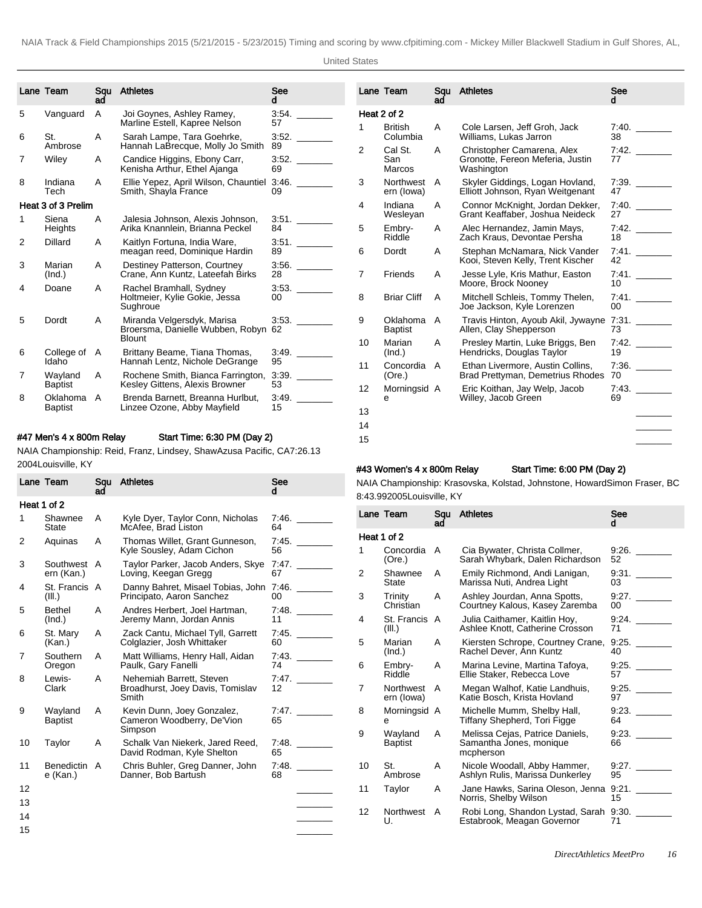|   | Lane Team                  | Sau<br>ad | <b>Athletes</b>                                                                 | See<br>d    |
|---|----------------------------|-----------|---------------------------------------------------------------------------------|-------------|
| 5 | Vanguard                   | A         | Joi Goynes, Ashley Ramey,<br>Marline Estell, Kapree Nelson                      | 3:54.<br>57 |
| 6 | St.<br>Ambrose             | A         | Sarah Lampe, Tara Goehrke,<br>Hannah LaBrecque, Molly Jo Smith                  | 3:52.<br>89 |
| 7 | Wiley                      | A         | Candice Higgins, Ebony Carr,<br>Kenisha Arthur, Ethel Ajanga                    | 3:52.<br>69 |
| 8 | Indiana<br>Tech            | A         | Ellie Yepez, April Wilson, Chauntiel<br>Smith, Shayla France                    | 3:46.<br>09 |
|   | Heat 3 of 3 Prelim         |           |                                                                                 |             |
| 1 | Siena<br>Heights           | A         | Jalesia Johnson, Alexis Johnson,<br>Arika Knannlein, Brianna Peckel             | 3:51.<br>84 |
| 2 | Dillard                    | A         | Kaitlyn Fortuna, India Ware,<br>meagan reed, Dominique Hardin                   | 3.51.<br>89 |
| 3 | Marian<br>(Ind.)           | A         | Destiney Patterson, Courtney<br>Crane, Ann Kuntz, Lateefah Birks                | 3:56.<br>28 |
| 4 | Doane                      | A         | Rachel Bramhall, Sydney<br>Holtmeier, Kylie Gokie, Jessa<br>Sughroue            | 3:53.<br>00 |
| 5 | Dordt                      | A         | Miranda Velgersdyk, Marisa<br>Broersma, Danielle Wubben, Robyn<br><b>Blount</b> | 3:53.<br>62 |
| 6 | College of<br>Idaho        | A         | Brittany Beame, Tiana Thomas,<br>Hannah Lentz, Nichole DeGrange                 | 3:49.<br>95 |
| 7 | Wayland<br><b>Baptist</b>  | A         | Rochene Smith, Bianca Farrington,<br>Kesley Gittens, Alexis Browner             | 3:39.<br>53 |
| 8 | Oklahoma<br><b>Baptist</b> | А         | Brenda Barnett, Breanna Hurlbut,<br>Linzee Ozone, Abby Mayfield                 | 3:49.<br>15 |

# #47 Men's 4 x 800m Relay Start Time: 6:30 PM (Day 2)

NAIA Championship: Reid, Franz, Lindsey, Shaw Azusa Pacific, CA 7:26.13 2004Louisville, KY

|    | Lane Team                     | Squ<br>ad | <b>Athletes</b>                                                       | See<br>d    |
|----|-------------------------------|-----------|-----------------------------------------------------------------------|-------------|
|    | Heat 1 of 2                   |           |                                                                       |             |
| 1  | Shawnee<br><b>State</b>       | A         | Kyle Dyer, Taylor Conn, Nicholas<br>McAfee, Brad Liston               | 7:46.<br>64 |
| 2  | Aquinas                       | A         | Thomas Willet, Grant Gunneson,<br>Kyle Sousley, Adam Cichon           | 7:45.<br>56 |
| 3  | Southwest<br>ern (Kan.)       | A         | Taylor Parker, Jacob Anders, Skye<br>Loving, Keegan Gregg             | 7:47.<br>67 |
| 4  | St. Francis A<br>(III.)       |           | Danny Bahret, Misael Tobias, John<br>Principato, Aaron Sanchez        | 7:46.<br>00 |
| 5  | <b>Bethel</b><br>(Ind.)       | A         | Andres Herbert, Joel Hartman,<br>Jeremy Mann, Jordan Annis            | 7:48.<br>11 |
| 6  | St. Mary<br>(Kan.)            | A         | Zack Cantu, Michael Tyll, Garrett<br>Colglazier, Josh Whittaker       | 7:45.<br>60 |
| 7  | Southern<br>Oregon            | A         | Matt Williams, Henry Hall, Aidan<br>Paulk, Gary Fanelli               | 7:43.<br>74 |
| 8  | Lewis-<br>Clark               | A         | Nehemiah Barrett, Steven<br>Broadhurst, Joey Davis, Tomislav<br>Smith | 7:47.<br>12 |
| 9  | Wayland<br><b>Baptist</b>     | A         | Kevin Dunn, Joey Gonzalez,<br>Cameron Woodberry, De'Vion<br>Simpson   | 7:47.<br>65 |
| 10 | Taylor                        | A         | Schalk Van Niekerk, Jared Reed,<br>David Rodman, Kyle Shelton         | 7:48.<br>65 |
| 11 | <b>Benedictin</b><br>e (Kan.) | A         | Chris Buhler, Greg Danner, John<br>Danner, Bob Bartush                | 7:48.<br>68 |
| 12 |                               |           |                                                                       |             |
| 13 |                               |           |                                                                       |             |
| 14 |                               |           |                                                                       |             |
| 15 |                               |           |                                                                       |             |

|             | Lane Team                      | Sau<br>ad | <b>Athletes</b>                                                              | See<br>d    |
|-------------|--------------------------------|-----------|------------------------------------------------------------------------------|-------------|
| Heat 2 of 2 |                                |           |                                                                              |             |
| 1           | <b>British</b><br>Columbia     | A         | Cole Larsen, Jeff Groh, Jack<br>Williams, Lukas Jarron                       | 7:40.<br>38 |
| 2           | Cal St.<br>San<br>Marcos       | A         | Christopher Camarena, Alex<br>Gronotte, Fereon Meferia, Justin<br>Washington | 7:42.<br>77 |
| 3           | <b>Northwest</b><br>ern (lowa) | A         | Skyler Giddings, Logan Hovland,<br>Elliott Johnson, Ryan Weitgenant          | 7.39.<br>47 |
| 4           | Indiana<br>Wesleyan            | А         | Connor McKnight, Jordan Dekker,<br>Grant Keaffaber, Joshua Neideck           | 7:40.<br>27 |
| 5           | Embry-<br>Riddle               | A         | Alec Hernandez, Jamin Mays,<br>Zach Kraus. Devontae Persha                   | 7:42.<br>18 |
| 6           | Dordt                          | A         | Stephan McNamara, Nick Vander<br>Kooi, Steven Kelly, Trent Kischer           | 7:41.<br>42 |
| 7           | Friends                        | A         | Jesse Lyle, Kris Mathur, Easton<br>Moore, Brock Nooney                       | 7:41.<br>10 |
| 8           | <b>Briar Cliff</b>             | A         | Mitchell Schleis, Tommy Thelen,<br>Joe Jackson, Kyle Lorenzen                | 7:41.<br>00 |
| 9           | Oklahoma<br><b>Baptist</b>     | A         | Travis Hinton, Ayoub Akil, Jywayne<br>Allen, Clay Shepperson                 | 7:31.<br>73 |
| 10          | Marian<br>(Ind.)               | A         | Presley Martin, Luke Briggs, Ben<br>Hendricks, Douglas Taylor                | 7:42.<br>19 |
| 11          | Concordia<br>(Ore.)            | A         | Ethan Livermore, Austin Collins,<br>Brad Prettyman, Demetrius Rhodes         | 7:36.<br>70 |
| 12          | Morningsid A<br>е              |           | Eric Koithan, Jay Welp, Jacob<br>Willey, Jacob Green                         | 7:43.<br>69 |
| 13          |                                |           |                                                                              |             |
| 14          |                                |           |                                                                              |             |
| 15          |                                |           |                                                                              |             |

## #43 Women's 4 x 800m Relay Start Time: 6:00 PM (Day 2)

NAIA Championship: Krasovska, Kolstad, Johnstone, Howard Simon Fraser, BC 8:43.99 2005Louisville, KY

|    | Lane Team                      | Sau<br>ad | <b>Athletes</b>                                                         | See<br>d    |
|----|--------------------------------|-----------|-------------------------------------------------------------------------|-------------|
|    | Heat 1 of 2                    |           |                                                                         |             |
| 1  | Concordia<br>(Ore.)            | A         | Cia Bywater, Christa Collmer,<br>Sarah Whybark, Dalen Richardson        | 9:26.<br>52 |
| 2  | Shawnee<br><b>State</b>        | A         | Emily Richmond, Andi Lanigan,<br>Marissa Nuti, Andrea Light             | 9:31.<br>03 |
| 3  | Trinity<br>Christian           | A         | Ashley Jourdan, Anna Spotts,<br>Courtney Kalous, Kasey Zaremba          | 9:27.<br>00 |
| 4  | St. Francis<br>(III.)          | A         | Julia Caithamer, Kaitlin Hoy,<br>Ashlee Knott, Catherine Crosson        | 9:24.<br>71 |
| 5  | Marian<br>(Ind.)               | A         | Kiersten Schrope, Courtney Crane,<br>Rachel Dever, Ann Kuntz            | 9:25.<br>40 |
| 6  | Embry-<br>Riddle               | A         | Marina Levine, Martina Tafoya,<br>Ellie Staker, Rebecca Love            | 9:25.<br>57 |
| 7  | <b>Northwest</b><br>ern (lowa) | A         | Megan Walhof, Katie Landhuis,<br>Katie Bosch, Krista Hovland            | 9:25.<br>97 |
| 8  | Morningsid A<br>e              |           | Michelle Mumm, Shelby Hall,<br>Tiffany Shepherd, Tori Figge             | 9:23.<br>64 |
| 9  | Wayland<br><b>Baptist</b>      | A         | Melissa Cejas, Patrice Daniels,<br>Samantha Jones, monique<br>mcpherson | 9:23.<br>66 |
| 10 | St.<br>Ambrose                 | A         | Nicole Woodall, Abby Hammer,<br>Ashlyn Rulis, Marissa Dunkerley         | 9:27.<br>95 |
| 11 | Taylor                         | A         | Jane Hawks, Sarina Oleson, Jenna<br>Norris, Shelby Wilson               | 9.21.<br>15 |
| 12 | <b>Northwest</b><br>U.         | A         | Robi Long, Shandon Lystad, Sarah<br>Estabrook, Meagan Governor          | 9:30.<br>71 |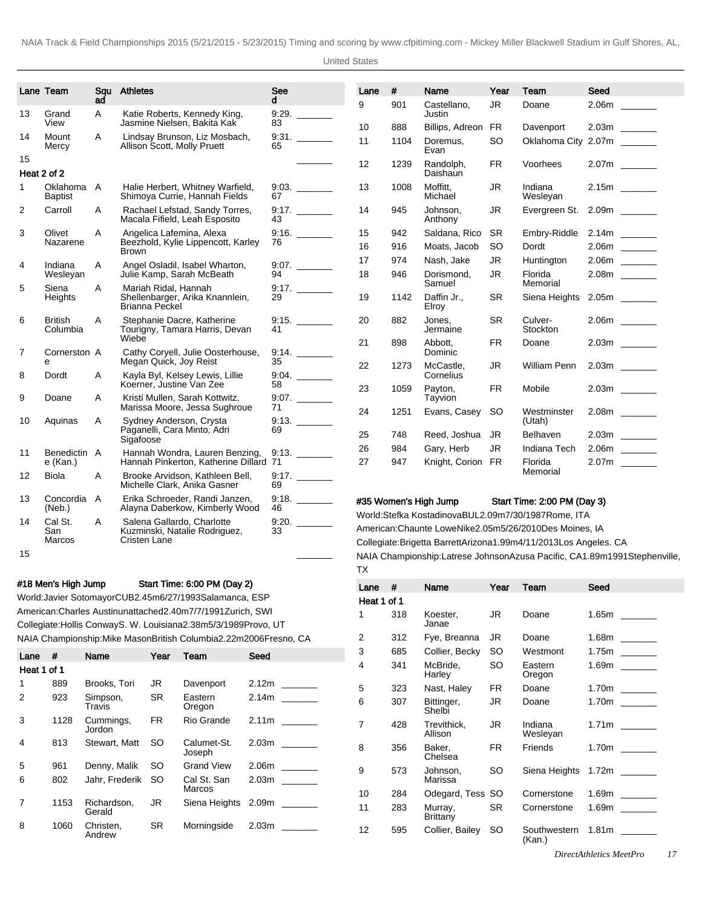|                | Lane Team                    | Squ<br>aď | <b>Athletes</b>                                                                  | See<br>d | Lane | #    | Name                                                                                                                               | Year      | Team                        | Seed                      |
|----------------|------------------------------|-----------|----------------------------------------------------------------------------------|----------|------|------|------------------------------------------------------------------------------------------------------------------------------------|-----------|-----------------------------|---------------------------|
| 13             | Grand                        | A         | Katie Roberts, Kennedy King,                                                     | 9:29.    | 9    | 901  | Castellano,<br>Justin                                                                                                              | JR.       | Doane                       |                           |
|                | View                         |           | Jasmine Nielsen, Bakita Kak                                                      | 83       | 10   | 888  | Billips, Adreon                                                                                                                    | <b>FR</b> | Davenport                   |                           |
| 14             | Mount<br>Mercy               | A         | Lindsay Brunson, Liz Mosbach,<br>Allison Scott, Molly Pruett                     | 65       | 11   | 1104 | Doremus,<br>Evan                                                                                                                   | <b>SO</b> |                             | Oklahoma City 2.07m _____ |
| 15             |                              |           |                                                                                  |          | 12   | 1239 | Randolph,                                                                                                                          | <b>FR</b> | Voorhees                    | $2.07m$ ________          |
|                | Heat 2 of 2                  |           |                                                                                  |          |      |      | Daishaun                                                                                                                           |           |                             |                           |
| 1              | Oklahoma A<br><b>Baptist</b> |           | Halie Herbert, Whitney Warfield,<br>Shimoya Currie, Hannah Fields                | 67       | 13   | 1008 | Moffitt.<br>Michael                                                                                                                | JR.       | Indiana<br>Wesleyan         |                           |
| 2              | Carroll                      | Α         | Rachael Lefstad, Sandy Torres,<br>Macala Fifield, Leah Esposito                  | 43       | 14   | 945  | Johnson,<br>Anthony                                                                                                                | JR        | Evergreen St.               |                           |
| 3              | Olivet                       | A         | Angelica Lafemina, Alexa                                                         |          | 15   | 942  | Saldana, Rico                                                                                                                      | <b>SR</b> | Embry-Riddle                |                           |
|                | Nazarene                     |           | Beezhold, Kylie Lippencott, Karley<br><b>Brown</b>                               | 76       | 16   | 916  | Moats, Jacob                                                                                                                       | <b>SO</b> | Dordt                       |                           |
| 4              | Indiana                      | A         | Angel Osladil, Isabel Wharton,                                                   |          | 17   | 974  | Nash, Jake                                                                                                                         | JR        | Huntington                  | $2.06m$ ________          |
|                | Wesleyan                     |           | Julie Kamp, Sarah McBeath                                                        | 94       | 18   | 946  | Dorismond,<br>Samuel                                                                                                               | JR.       | Florida<br>Memorial         |                           |
| 5              | Siena<br><b>Heights</b>      | A         | Mariah Ridal, Hannah<br>Shellenbarger, Arika Knannlein,<br><b>Brianna Peckel</b> | 29       | 19   | 1142 | Daffin Jr.,<br>Elroy                                                                                                               | <b>SR</b> | Siena Heights               |                           |
| 6              | <b>British</b><br>Columbia   | Α         | Stephanie Dacre, Katherine<br>Tourigny, Tamara Harris, Devan                     | 41       | 20   | 882  | Jones,<br>Jermaine                                                                                                                 | <b>SR</b> | Culver-<br>Stockton         |                           |
| $\overline{7}$ | Cornerston A                 |           | Wiebe<br>Cathy Coryell, Julie Oosterhouse,                                       | 9:14.    | 21   | 898  | Abbott.<br>Dominic                                                                                                                 | <b>FR</b> | Doane                       |                           |
|                | e                            |           | Megan Quick, Joy Reist                                                           | 35       | 22   | 1273 | McCastle,                                                                                                                          | <b>JR</b> | William Penn                |                           |
| 8              | Dordt                        | Α         | Kayla Byl, Kelsey Lewis, Lillie<br>Koerner, Justine Van Zee                      | 58       |      |      | Cornelius                                                                                                                          |           |                             |                           |
| 9              | Doane                        | A         | Kristi Mullen, Sarah Kottwitz,                                                   |          | 23   | 1059 | Payton,<br>Tayvion                                                                                                                 | <b>FR</b> | Mobile                      |                           |
| 10             | Aquinas                      | Α         | Marissa Moore, Jessa Sughroue<br>Sydney Anderson, Crysta                         | 71       | 24   | 1251 | Evans, Casey                                                                                                                       | <b>SO</b> | Westminster<br>(Utah)       |                           |
|                |                              |           | Paganelli, Cara Minto, Adri                                                      | 69       | 25   | 748  | Reed, Joshua                                                                                                                       | JR.       | Belhaven                    |                           |
|                |                              |           | Sigafoose                                                                        |          | 26   | 984  | Gary, Herb                                                                                                                         | <b>JR</b> | Indiana Tech                |                           |
| 11             | Benedictin A<br>e (Kan.)     |           | Hannah Wondra, Lauren Benzing,<br>Hannah Pinkerton, Katherine Dillard 71         |          | 27   | 947  | Knight, Corion FR                                                                                                                  |           | Florida                     |                           |
| 12             | Biola                        | Α         | Brooke Arvidson, Kathleen Bell,<br>Michelle Clark, Anika Gasner                  | 69       |      |      |                                                                                                                                    |           | Memorial                    |                           |
| 13             | Concordia A<br>(Neb.)        |           | Erika Schroeder, Randi Janzen,<br>Alayna Daberkow, Kimberly Wood                 | 46       |      |      | #35 Women's High Jump                                                                                                              |           | Start Time: 2:00 PM (Day 3) |                           |
| 14             | Cal St.                      | A         | Salena Gallardo, Charlotte                                                       | 9:20.    |      |      | World: Stefka Kostadinova BUL 2.09m 7/30/1987 Rome, ITA                                                                            |           |                             |                           |
|                | San<br>Marcos                |           | Kuzminski, Natalie Rodriguez,<br>Cristen Lane                                    | 33       |      |      | American: Chaunte Lowe Nike 2.05m 5/26/2010 Des Moines, IA<br>Collegiate: Brigetta Barrett Arizona 1.99m 4/11/2013 Los Angeles, CA |           |                             |                           |

15 \_\_\_\_\_\_\_

### #18 Men's High Jump Start Time: 6:00 PM (Day 2)

World: Javier Sotomayor CUB 2.45m 6/27/1993 Salamanca, ESP American: Charles Austin unattached 2.40m 7/7/1991 Zurich, SWI Collegiate: Hollis Conway S. W. Louisiana 2.38m 5/3/1989 Provo, UT NAIA Championship: Mike Mason British Columbia 2.22m 2006Fresno, CA

| Lane        | #    | Name                  | Year      | Team                  | Seed                                          |
|-------------|------|-----------------------|-----------|-----------------------|-----------------------------------------------|
| Heat 1 of 1 |      |                       |           |                       |                                               |
| 1           | 889  | Brooks, Tori          | JR.       | Davenport             | 2.12 <sub>m</sub>                             |
| 2           | 923  | Simpson,<br>Travis    | <b>SR</b> | Eastern<br>Oregon     | 2.14m                                         |
| 3           | 1128 | Cummings,<br>Jordon   | FR.       | Rio Grande            | 2.11 <sub>m</sub>                             |
| 4           | 813  | Stewart, Matt         | SO.       | Calumet-St.<br>Joseph | 2.03 <sub>m</sub>                             |
| 5           | 961  | Denny, Malik          | SO.       | <b>Grand View</b>     | 2.06m                                         |
| 6           | 802  | Jahr. Frederik        | <b>SO</b> | Cal St. San<br>Marcos | 2.03 <sub>m</sub><br><b>Contract Contract</b> |
| 7           | 1153 | Richardson,<br>Gerald | JR.       | Siena Heights         | 2.09 <sub>m</sub>                             |
| 8           | 1060 | Christen.<br>Andrew   | <b>SR</b> | Morningside           | 2.03 <sub>m</sub>                             |

Collegiate: Brigetta Barrett Arizona 1.99m 4/11/2013 Los Angeles. CA NAIA Championship: Latrese Johnson Azusa Pacific, CA 1.89m 1991Stephenville, TX

| Lane        | #   | Name                       | Year | Team                   | Seed                                       |
|-------------|-----|----------------------------|------|------------------------|--------------------------------------------|
| Heat 1 of 1 |     |                            |      |                        |                                            |
| 1           | 318 | Koester,<br>Janae          | JR   | Doane                  | 1.65m                                      |
| 2           | 312 | Fye, Breanna               | JR   | Doane                  |                                            |
| 3           | 685 | Collier, Becky             | SO   | Westmont               | 1.75m<br><b>Contract Contract</b>          |
| 4           | 341 | McBride,<br>Harley         | SO   | Eastern<br>Oregon      | 1.69m<br><b>Contract Contract</b>          |
| 5           | 323 | Nast, Haley                | FR   | Doane                  |                                            |
| 6           | 307 | Bittinger,<br>Shelbi       | JR   | Doane                  | 1.70m<br>$\sim 10^{11}$ and $\sim 10^{11}$ |
| 7           | 428 | Trevithick.<br>Allison     | JR.  | Indiana<br>Wesleyan    | $1.71m$ _______                            |
| 8           | 356 | Baker,<br>Chelsea          | FR   | Friends                | 1.70m                                      |
| 9           | 573 | Johnson,<br>Marissa        | SO   | Siena Heights          |                                            |
| 10          | 284 | Odegard, Tess SO           |      | Cornerstone            | 1.69m                                      |
| 11          | 283 | Murray,<br><b>Brittany</b> | SR.  | Cornerstone            | 1.69m<br><b>Contract Contract</b>          |
| 12          | 595 | Collier, Bailey            | SO   | Southwestern<br>(Kan.) | 1.81 <sub>m</sub>                          |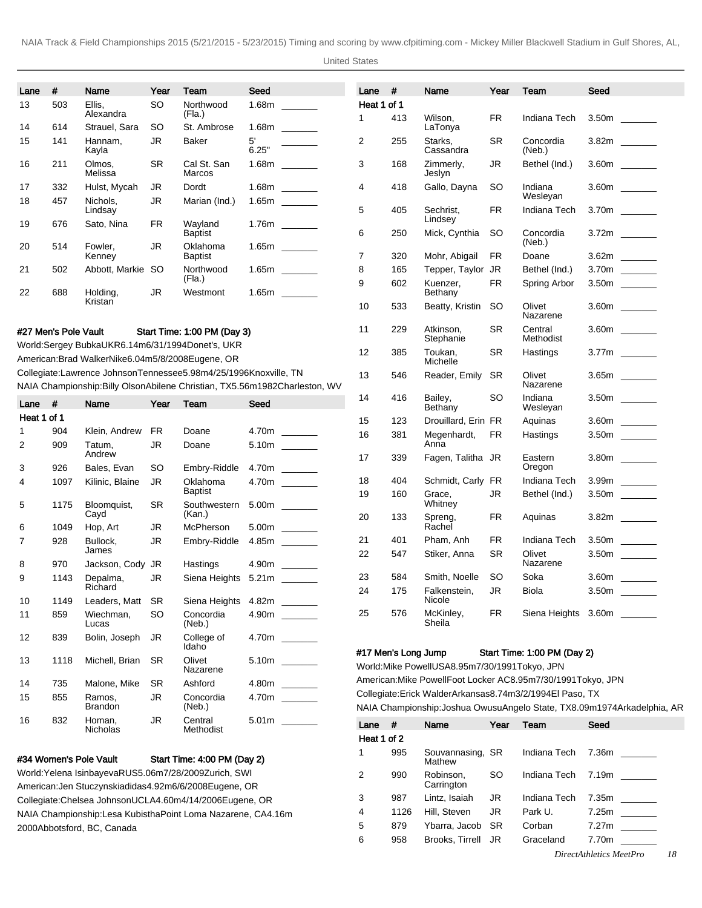United States

| Lane           | #                    | Name                                                                 | Year            | Team                           | Seed        |                                                                               | Lane                  | #                   | Name                                              | Year                   | Team                                                            | Seed                                                                       |
|----------------|----------------------|----------------------------------------------------------------------|-----------------|--------------------------------|-------------|-------------------------------------------------------------------------------|-----------------------|---------------------|---------------------------------------------------|------------------------|-----------------------------------------------------------------|----------------------------------------------------------------------------|
| 13             | 503                  | Ellis,                                                               | SO              | Northwood                      |             |                                                                               | Heat 1 of 1           |                     |                                                   |                        |                                                                 |                                                                            |
|                | 614                  | Alexandra                                                            |                 | (Fla.)                         |             |                                                                               | 1                     | 413                 | Wilson,                                           | FR                     | Indiana Tech                                                    |                                                                            |
| 14<br>15       | 141                  | Strauel, Sara<br>Hannam.<br>Kayla                                    | SO<br><b>JR</b> | St. Ambrose<br>Baker           | 5'<br>6.25" |                                                                               | 2                     | 255                 | LaTonya<br>Starks,<br>Cassandra                   | <b>SR</b>              | Concordia<br>(Neb.)                                             |                                                                            |
| 16             | 211                  | Olmos,<br>Melissa                                                    | <b>SR</b>       | Cal St. San<br>Marcos          |             |                                                                               | 3                     | 168                 | Zimmerly,<br>Jeslyn                               | JR                     | Bethel (Ind.)                                                   |                                                                            |
| 17             | 332                  | Hulst, Mycah                                                         | <b>JR</b>       | Dordt                          |             |                                                                               | 4                     | 418                 | Gallo, Dayna                                      | SO                     | Indiana                                                         |                                                                            |
| 18             | 457                  | Nichols,<br>Lindsay                                                  | JR              | Marian (Ind.)                  |             | $1.65m$ _______                                                               | 5                     | 405                 | Sechrist,                                         | <b>FR</b>              | Wesleyan<br>Indiana Tech                                        |                                                                            |
| 19             | 676                  | Sato, Nina                                                           | <b>FR</b>       | Wayland<br><b>Baptist</b>      |             |                                                                               | 6                     | 250                 | Lindsey<br>Mick, Cynthia                          | SO.                    | Concordia                                                       |                                                                            |
| 20             | 514                  | Fowler,<br>Kenney                                                    | JR              | Oklahoma<br><b>Baptist</b>     |             |                                                                               | $\overline{7}$        | 320                 | Mohr, Abigail                                     | FR.                    | (Neb.)<br>Doane                                                 |                                                                            |
| 21             | 502                  | Abbott, Markie                                                       | so              | Northwood                      |             |                                                                               | 8                     | 165                 | Tepper, Taylor                                    | JR                     | Bethel (Ind.)                                                   |                                                                            |
|                |                      |                                                                      |                 | (Fla.)                         |             |                                                                               | 9                     | 602                 | Kuenzer,                                          | FR                     | Spring Arbor                                                    |                                                                            |
| 22             | 688                  | Holding,<br>Kristan                                                  | <b>JR</b>       | Westmont                       |             |                                                                               | 10                    | 533                 | Bethany<br>Beatty, Kristin                        | <b>SO</b>              | Olivet                                                          |                                                                            |
|                |                      |                                                                      |                 |                                |             |                                                                               |                       |                     |                                                   |                        | Nazarene                                                        |                                                                            |
|                | #27 Men's Pole Vault | World: Sergey Bubka UKR 6.14m 6/31/1994 Donet's, UKR                 |                 | Start Time: 1:00 PM (Day 3)    |             |                                                                               | 11                    | 229                 | Atkinson,<br>Stephanie                            | <b>SR</b>              | Central<br>Methodist                                            |                                                                            |
|                |                      | American: Brad Walker Nike 6.04m 5/8/2008 Eugene, OR                 |                 |                                |             |                                                                               | 12                    | 385                 | Toukan,<br>Michelle                               | SR                     | Hastings                                                        |                                                                            |
|                |                      | Collegiate: Lawrence Johnson Tennessee 5.98m 4/25/1996 Knoxville, TN |                 |                                |             | NAIA Championship: Billy Olson Abilene Christian, TX 5.56m 1982Charleston, WV | 13                    | 546                 | Reader, Emily                                     | <b>SR</b>              | Olivet<br>Nazarene                                              |                                                                            |
| Lane $#$       |                      | Name                                                                 | Year            | Team                           | Seed        |                                                                               | 14                    | 416                 | Bailey,<br>Bethany                                | SO                     | Indiana<br>Wesleyan                                             |                                                                            |
| Heat 1 of 1    |                      |                                                                      |                 |                                |             |                                                                               | 15                    | 123                 | Drouillard, Erin FR                               |                        | Aquinas                                                         | 3.60m ______                                                               |
| 1              | 904                  | Klein, Andrew                                                        | FR.             | Doane                          |             |                                                                               | 16                    | 381                 | Megenhardt,                                       | FR.                    | Hastings                                                        |                                                                            |
| 2              | 909                  | Tatum,<br>Andrew                                                     | <b>JR</b>       | Doane                          |             |                                                                               | 17                    | 339                 | Anna<br>Fagen, Talitha JR                         |                        | Eastern                                                         |                                                                            |
| 3              | 926                  | Bales, Evan                                                          | <b>SO</b>       | Embry-Riddle                   |             |                                                                               |                       |                     |                                                   |                        | Oregon                                                          |                                                                            |
| 4              | 1097                 | Kilinic, Blaine                                                      | <b>JR</b>       | Oklahoma                       |             |                                                                               | 18                    | 404                 | Schmidt, Carly                                    | FR                     | Indiana Tech                                                    |                                                                            |
| 5              | 1175                 | Bloomquist,                                                          | SR.             | <b>Baptist</b><br>Southwestern |             |                                                                               | 19                    | 160                 | Grace,<br>Whitney                                 | JR                     | Bethel (Ind.)                                                   |                                                                            |
| 6              | 1049                 | Cayd<br>Hop, Art                                                     | <b>JR</b>       | (Kan.)<br>McPherson            |             | 5.00m                                                                         | 20                    | 133                 | Spreng,<br>Rachel                                 | <b>FR</b>              | Aquinas                                                         |                                                                            |
| $\overline{7}$ | 928                  | Bullock,                                                             | <b>JR</b>       | Embry-Riddle                   |             | $4.85m$ ________                                                              | 21                    | 401                 | Pham, Anh                                         | <b>FR</b>              | Indiana Tech                                                    |                                                                            |
|                |                      | James                                                                |                 |                                |             |                                                                               | 22                    | 547                 | Stiker, Anna                                      | <b>SR</b>              | Olivet                                                          |                                                                            |
| 8              | 970                  | Jackson, Cody                                                        | JR              | Hastings                       |             | 4.90 <sub>m</sub>                                                             |                       |                     |                                                   |                        | Nazarene                                                        |                                                                            |
| 9              | 1143                 | Depalma,<br>Richard                                                  | <b>JR</b>       | Siena Heights                  | 5.21m       |                                                                               | 23<br>24              | 584<br>175          | Smith, Noelle<br>Falkenstein,                     | <b>SO</b><br><b>JR</b> | Soka<br>Biola                                                   | 3.60m                                                                      |
| 10             | 1149                 | Leaders, Matt                                                        | SR.             | Siena Heights 4.82m _____      |             |                                                                               |                       |                     | Nicole                                            |                        |                                                                 |                                                                            |
| 11             | 859                  | Wiechman,<br>Lucas                                                   | <b>SO</b>       | Concordia<br>(Neb.)            |             | 4.90m ______                                                                  | 25                    | 576                 | McKinley,<br>Sheila                               | <b>FR</b>              |                                                                 | Siena Heights 3.60m                                                        |
| 12             | 839                  | Bolin, Joseph                                                        | JR              | College of<br>Idaho            |             | 4.70m _______                                                                 |                       |                     |                                                   |                        |                                                                 |                                                                            |
| 13             | 1118                 | Michell, Brian                                                       | <b>SR</b>       | Olivet<br>Nazarene             |             |                                                                               |                       | #17 Men's Long Jump | World: Mike Powell USA 8.95m 7/30/1991 Tokyo, JPN |                        | Start Time: 1:00 PM (Day 2)                                     |                                                                            |
| 14             | 735                  | Malone, Mike                                                         | SR.             | Ashford                        |             |                                                                               |                       |                     |                                                   |                        | American: Mike Powell Foot Locker AC 8.95m 7/30/1991 Tokyo, JPN |                                                                            |
| 15             | 855                  | Ramos,<br><b>Brandon</b>                                             | JR              | Concordia<br>(Neb.)            |             | 4.70m _______                                                                 |                       |                     |                                                   |                        | Collegiate: Erick Walder Arkansas 8.74m 3/2/1994 El Paso, TX    | NAIA Championship: Joshua Owusu Angelo State, TX 8.09m 1974Arkadelphia, AR |
| 16             | 832                  | Homan,                                                               | JR              | Central                        |             |                                                                               |                       |                     |                                                   |                        |                                                                 |                                                                            |
|                |                      | Nicholas                                                             |                 | Methodist                      |             |                                                                               | Lane #<br>Heat 1 of 2 |                     | Name                                              |                        | Year Team                                                       | Seed                                                                       |

#34 Women's Pole Vault Start Time: 4:00 PM (Day 2)

World: Yelena Isinbayeva RUS 5.06m 7/28/2009 Zurich, SWI American: Jen Stuczynski adidas 4.92m 6/6/2008 Eugene, OR Collegiate: Chelsea Johnson UCLA 4.60m 4/14/2006 Eugene, OR NAIA Championship: Lesa Kubistha Point Loma Nazarene, CA 4.16m 2000Abbotsford, BC, Canada

1 995 Souvannasing, SR Mathew Indiana Tech 7.36m 2 990 Robinson, **Carrington** SO Indiana Tech 7.19m \_\_ 3 987 Lintz, Isaiah JR Indiana Tech 7.35m \_ 4 1126 Hill, Steven JR Park U. 7.25m 5 879 Ybarra, Jacob SR Corban 7.27m \_ 6 958 Brooks, Tirrell JR Graceland 7.70m

*DirectAthletics MeetPro 18*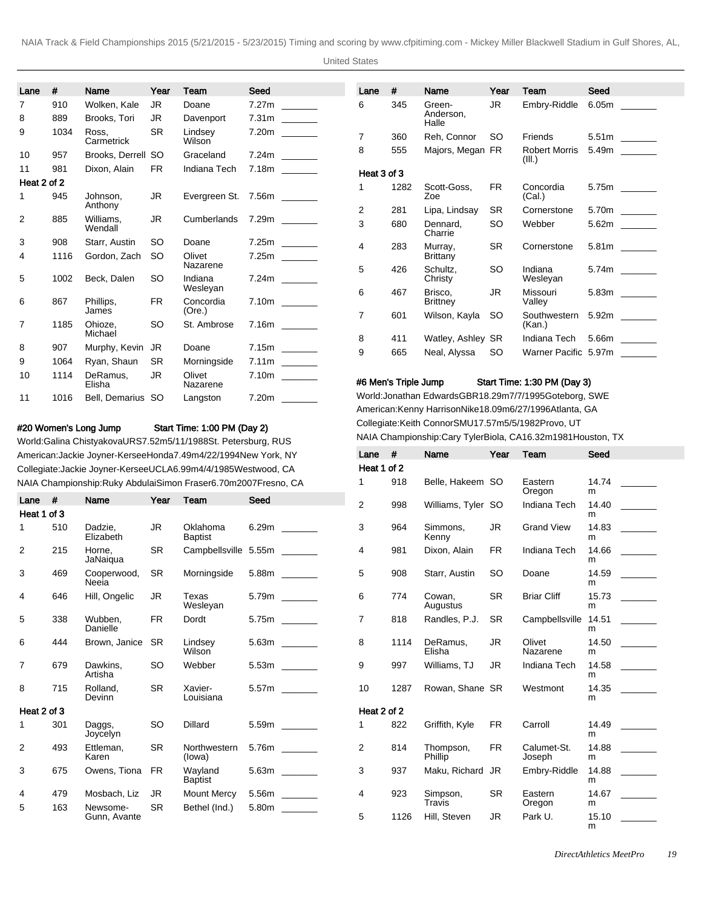United States

| Lane           | #    | Name                 | Year      | Team                | Seed                      | Lane           | #    | Name                                                       | Year      | Team                           | Seed                 |
|----------------|------|----------------------|-----------|---------------------|---------------------------|----------------|------|------------------------------------------------------------|-----------|--------------------------------|----------------------|
| 7              | 910  | Wolken, Kale         | JR.       | Doane               |                           | 6              | 345  | Green-                                                     | JR.       | Embry-Riddle                   | 6.05m                |
| 8              | 889  | Brooks, Tori         | JR.       | Davenport           |                           |                |      | Anderson,<br>Halle                                         |           |                                |                      |
| 9              | 1034 | Ross.<br>Carmetrick  | <b>SR</b> | Lindsey<br>Wilson   |                           | $\overline{7}$ | 360  | Reh, Connor                                                | SO.       | Friends                        | $5.51m$ _______      |
| 10             | 957  | Brooks, Derrell SO   |           | Graceland           |                           | 8              | 555  | Majors, Megan FR                                           |           | <b>Robert Morris</b><br>(III.) |                      |
| 11             | 981  | Dixon, Alain         | <b>FR</b> | Indiana Tech        | $7.18m$ _______           | Heat 3 of 3    |      |                                                            |           |                                |                      |
| Heat 2 of 2    |      |                      |           |                     |                           | 1              | 1282 | Scott-Goss,                                                | <b>FR</b> | Concordia                      | 5.75m _____          |
| 1.             | 945  | Johnson.             | JR.       |                     | Evergreen St. 7.56m _____ |                |      | Zoe                                                        |           | (Cal.)                         |                      |
|                |      | Anthony              |           |                     |                           | $\overline{2}$ | 281  | Lipa, Lindsay                                              | <b>SR</b> | Cornerstone                    | 5.70m                |
| 2              | 885  | Williams.<br>Wendall | JR.       | Cumberlands         |                           | 3              | 680  | Dennard.<br>Charrie                                        | <b>SO</b> | Webber                         |                      |
| 3              | 908  | Starr, Austin        | SO.       | Doane               | $7.25m$ ________          | $\overline{4}$ | 283  | Murray,                                                    | <b>SR</b> | Cornerstone                    | 5.81m                |
| 4              | 1116 | Gordon, Zach         | SO.       | Olivet              |                           |                |      | Brittany                                                   |           |                                |                      |
|                |      |                      |           | Nazarene            |                           | 5              | 426  | Schultz,                                                   | <b>SO</b> | Indiana                        |                      |
| 5              | 1002 | Beck, Dalen          | <b>SO</b> | Indiana             |                           |                |      | Christy                                                    |           | Wesleyan                       |                      |
|                |      |                      |           | Wesleyan            |                           | 6              | 467  | Brisco.                                                    | <b>JR</b> | Missouri                       |                      |
| 6              | 867  | Phillips,<br>James   | <b>FR</b> | Concordia<br>(Ore.) |                           |                |      | <b>Brittney</b>                                            |           | Valley                         |                      |
|                |      |                      |           |                     |                           | $\overline{7}$ | 601  | Wilson, Kayla                                              | <b>SO</b> | Southwestern                   | $5.92m$ ________     |
| $\overline{7}$ | 1185 | Ohioze.<br>Michael   | <b>SO</b> | St. Ambrose         |                           |                |      |                                                            |           | (Kan.)                         |                      |
|                |      |                      |           |                     |                           | 8              | 411  | Watley, Ashley SR                                          |           | Indiana Tech                   | 5.66m                |
| 8              | 907  | Murphy, Kevin        | JR.       | Doane               | $7.15m$ ________          | 9              | 665  | Neal, Alyssa                                               | <b>SO</b> |                                | Warner Pacific 5.97m |
| 9              | 1064 | Ryan, Shaun          | <b>SR</b> | Morningside         | $7.11m$ _______           |                |      |                                                            |           |                                |                      |
| 10             | 1114 | DeRamus,             | JR.       | Olivet              |                           |                |      | #6 Men's Triple Jump                                       |           | Start Time: 1:30 PM (Day 3)    |                      |
|                |      | Elisha               |           | Nazarene            |                           |                |      |                                                            |           |                                |                      |
| 11             | 1016 | Bell, Demarius SO    |           | Langston            | 7.20m                     |                |      | World: Jonathan Edwards GBR 18.29m 7/7/1995 Goteborg, SWE  |           |                                |                      |
|                |      |                      |           |                     |                           |                |      | American: Kenny Harrison Nike 18.09m 6/27/1996 Atlanta, GA |           |                                |                      |

Collegiate: Keith Connor SMU 17.57m 5/5/1982 Provo, UT

NAIA Championship: Cary Tyler Biola, CA 16.32m 1981Houston, TX Lane # Name Year Team Seed

## #20 Women's Long Jump Start Time: 1:00 PM (Day 2)

World: Galina Chistyakova URS 7.52m 5/11/1988 St. Petersburg, RUS American: Jackie Joyner-Kersee Honda 7.49m 4/22/1994 New York, NY Collegiate: Jackie Joyner-Kersee UCLA 6.99m 4/4/1985 Westwood, CA NAIA Championship: Ruky Abdulai Simon Fraser 6.70m 2007Fresno, CA

|                |     |                      |           |                            | NAIA Championship: Ruky Abdulai Simon Fraser 6.70m 2007 Fresno, CA | 1           | 918  | Belle, Hakeem SO   |           | Eastern            | 14.74      |  |
|----------------|-----|----------------------|-----------|----------------------------|--------------------------------------------------------------------|-------------|------|--------------------|-----------|--------------------|------------|--|
| Lane           | #   | Name                 | Year      | Team                       | Seed                                                               |             |      |                    |           | Oregon             | m          |  |
| Heat 1 of 3    |     |                      |           |                            |                                                                    | 2           | 998  | Williams, Tyler SO |           | Indiana Tech       | 14.40      |  |
|                |     |                      |           |                            |                                                                    |             |      |                    |           |                    | m          |  |
|                | 510 | Dadzie.<br>Elizabeth | JR        | Oklahoma<br><b>Baptist</b> |                                                                    | 3           | 964  | Simmons.<br>Kenny  | JR.       | <b>Grand View</b>  | 14.83<br>m |  |
| 2              | 215 | Horne.               | <b>SR</b> |                            | Campbellsville 5.55m                                               | 4           | 981  | Dixon, Alain       | <b>FR</b> | Indiana Tech       | 14.66      |  |
|                |     | JaNaigua             |           |                            |                                                                    |             |      |                    |           |                    | m          |  |
| 3              | 469 | Cooperwood,          | <b>SR</b> | Morningside                |                                                                    | 5           | 908  | Starr, Austin      | <b>SO</b> | Doane              | 14.59      |  |
|                |     | Neeia                |           |                            |                                                                    |             |      |                    |           |                    | m          |  |
| 4              | 646 | Hill, Ongelic        | JR.       | Texas                      |                                                                    | 6           | 774  | Cowan.             | <b>SR</b> | <b>Briar Cliff</b> | 15.73      |  |
|                |     |                      |           | Wesleyan                   |                                                                    |             |      | Augustus           |           |                    | m          |  |
| 5              | 338 | Wubben.<br>Danielle  | <b>FR</b> | Dordt                      |                                                                    | 7           | 818  | Randles, P.J.      | <b>SR</b> | Campbellsville     | 14.51<br>m |  |
|                |     |                      |           |                            |                                                                    |             |      |                    |           |                    |            |  |
| 6              | 444 | Brown, Janice        | <b>SR</b> | Lindsey<br>Wilson          | $5.63m$ ________                                                   | 8           | 1114 | DeRamus.<br>Elisha | JR.       | Olivet<br>Nazarene | 14.50<br>m |  |
| $\overline{7}$ | 679 | Dawkins,             | <b>SO</b> | Webber                     |                                                                    | 9           | 997  | Williams, TJ       | JR.       | Indiana Tech       | 14.58      |  |
|                |     | Artisha              |           |                            |                                                                    |             |      |                    |           |                    | m          |  |
| 8              | 715 | Rolland,             | <b>SR</b> | Xavier-                    | 5.57m                                                              | 10          | 1287 | Rowan, Shane SR    |           | Westmont           | 14.35      |  |
|                |     | Devinn               |           | Louisiana                  |                                                                    |             |      |                    |           |                    | m          |  |
| Heat 2 of 3    |     |                      |           |                            |                                                                    | Heat 2 of 2 |      |                    |           |                    |            |  |
|                | 301 | Daggs,               | <b>SO</b> | <b>Dillard</b>             | $5.59m$ ________                                                   | 1           | 822  | Griffith, Kyle     | <b>FR</b> | Carroll            | 14.49      |  |
|                |     | Joycelyn             |           |                            |                                                                    |             |      |                    |           |                    | m          |  |
| 2              | 493 | Ettleman.            | <b>SR</b> | Northwestern               | $5.76m$ ________                                                   | 2           | 814  | Thompson,          | <b>FR</b> | Calumet-St.        | 14.88      |  |
|                |     | Karen                |           | (lowa)                     |                                                                    |             |      | Phillip            |           | Joseph             | m          |  |
| 3              | 675 | Owens. Tiona         | <b>FR</b> | Wavland                    |                                                                    | 3           | 937  | Maku, Richard JR   |           | Embry-Riddle       | 14.88      |  |
|                |     |                      |           | <b>Baptist</b>             |                                                                    |             |      |                    |           |                    | m          |  |
| 4              | 479 | Mosbach, Liz         | JR.       | <b>Mount Mercy</b>         | $5.56m$ ________                                                   | 4           | 923  | Simpson,<br>Travis | <b>SR</b> | Eastern            | 14.67<br>m |  |
| 5              | 163 | Newsome-             | <b>SR</b> | Bethel (Ind.)              | 5.80m                                                              |             |      |                    |           | Oregon             |            |  |
|                |     | Gunn, Avante         |           |                            |                                                                    | 5           | 1126 | Hill. Steven       | JR.       | Park U.            | 15.10      |  |

Heat 1 of 2

m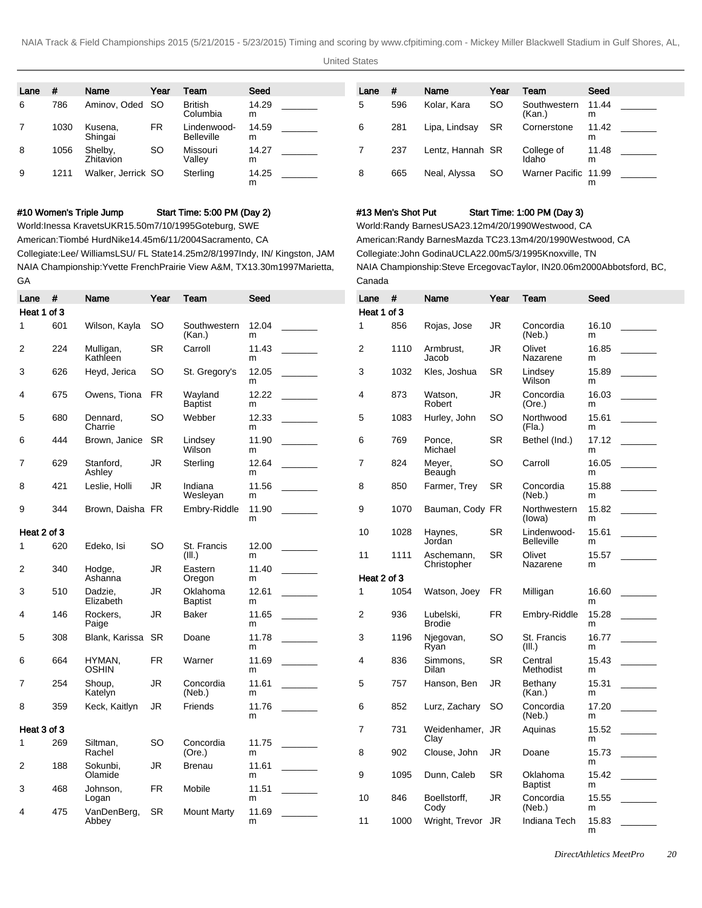United States

| Lane | #    | Name                 | Year      | Team                             | Seed       | Lane | #   | Name             | Year      | Team                   | Seed       |  |
|------|------|----------------------|-----------|----------------------------------|------------|------|-----|------------------|-----------|------------------------|------------|--|
| 6    | 786  | Aminov, Oded SO      |           | <b>British</b><br>Columbia       | 14.29<br>m |      | 596 | Kolar, Kara      | <b>SO</b> | Southwestern<br>(Kan.) | 11.44<br>m |  |
|      | 1030 | Kusena,<br>Shingai   | FR.       | Lindenwood-<br><b>Belleville</b> | 14.59<br>m | 6    | 281 | Lipa, Lindsay    | <b>SR</b> | Cornerstone            | 11.42<br>m |  |
| 8    | 1056 | Shelby,<br>Zhitavion | <b>SO</b> | Missouri<br>Vallev               | 14.27<br>m |      | 237 | Lentz. Hannah SR |           | College of<br>Idaho    | 11.48<br>m |  |
| 9    | 1211 | Walker, Jerrick SO   |           | Sterling                         | 14.25<br>m | 8    | 665 | Neal, Alyssa     | <b>SO</b> | Warner Pacific 11.99   | m          |  |

#### #10 Women's Triple Jump Start Time: 5:00 PM (Day 2)

World: Inessa Kravets UKR 15.50m 7/10/1995 Goteburg, SWE

American: Tiombé Hurd Nike 14.45m 6/11/2004 Sacramento, CA

Collegiate: Lee/ Williams LSU/ FL State 14.25m 2/8/1997 Indy, IN/ Kingston, JAM NAIA Championship: Yvette French Prairie View A&M, TX 13.30m 1997Marietta, GA

### #13 Men's Shot Put Start Time: 1:00 PM (Day 3)

World: Randy Barnes USA 23.12m 4/20/1990 Westwood, CA American: Randy Barnes Mazda TC 23.13m 4/20/1990 Westwood, CA Collegiate: John Godina UCLA 22.00m 5/3/1995 Knoxville, TN NAIA Championship: Steve Ercegovac Taylor, IN 20.06m 2000Abbotsford, BC, Canada

| Lane           | #   | Name                   | Year      | Team                       | Seed       | Lane           | #    | Name                       | Year      | Team                        | Seed                                                                      |
|----------------|-----|------------------------|-----------|----------------------------|------------|----------------|------|----------------------------|-----------|-----------------------------|---------------------------------------------------------------------------|
| Heat 1 of 3    |     |                        |           |                            |            | Heat 1 of 3    |      |                            |           |                             |                                                                           |
| $\mathbf{1}$   | 601 | Wilson, Kayla          | <b>SO</b> | Southwestern<br>(Kan.)     | 12.04<br>m | $\mathbf{1}$   | 856  | Rojas, Jose                | <b>JR</b> | Concordia<br>(Neb.)         | 16.10<br>m                                                                |
| 2              | 224 | Mulligan,<br>Kathleen  | <b>SR</b> | Carroll                    | 11.43<br>m | $\overline{2}$ | 1110 | Armbrust.<br>Jacob         | <b>JR</b> | Olivet<br>Nazarene          | 16.85<br>m                                                                |
| 3              | 626 | Heyd, Jerica           | SO        | St. Gregory's              | 12.05<br>m | 3              | 1032 | Kles, Joshua               | <b>SR</b> | Lindsey<br><b>Wilson</b>    | 15.89<br>m                                                                |
| 4              | 675 | Owens, Tiona           | <b>FR</b> | Wavland<br><b>Baptist</b>  | 12.22<br>m | 4              | 873  | Watson.<br>Robert          | <b>JR</b> | Concordia<br>(Ore.)         | 16.03<br>m                                                                |
| 5              | 680 | Dennard,<br>Charrie    | <b>SO</b> | Webber                     | 12.33<br>m | 5              | 1083 | Hurley, John               | <b>SO</b> | Northwood<br>(Fla.)         | 15.61<br>m                                                                |
| 6              | 444 | Brown, Janice          | <b>SR</b> | Lindsey<br>Wilson          | 11.90<br>m | 6              | 769  | Ponce.<br>Michael          | <b>SR</b> | Bethel (Ind.)               | 17.12<br>m                                                                |
| 7              | 629 | Stanford,<br>Ashley    | JR.       | Sterling                   | 12.64<br>m | 7              | 824  | Meyer,<br>Beaugh           | SO        | Carroll                     | 16.05<br>m                                                                |
| 8              | 421 | Leslie, Holli          | <b>JR</b> | Indiana<br>Wesleyan        | 11.56<br>m | 8              | 850  | Farmer, Trey               | <b>SR</b> | Concordia<br>(Neb.)         | 15.88<br>m                                                                |
| 9              | 344 | Brown, Daisha FR       |           | Embry-Riddle               | 11.90<br>m | 9              | 1070 | Bauman, Cody FR            |           | Northwestern<br>(lowa)      | 15.82<br>m                                                                |
| Heat 2 of 3    |     |                        |           |                            |            | 10             | 1028 | Haynes,                    | <b>SR</b> | Lindenwood-                 |                                                                           |
| $\mathbf{1}$   | 620 | Edeko, Isi             | <b>SO</b> | St. Francis<br>(III.)      | 12.00<br>m | 11             | 1111 | Jordan<br>Aschemann,       | <b>SR</b> | <b>Belleville</b><br>Olivet | m<br>15.57                                                                |
| $\overline{2}$ | 340 | Hodge,<br>Ashanna      | JR        | Eastern<br>Oregon          | 11.40<br>m | Heat 2 of 3    |      | Christopher                |           | Nazarene                    | m                                                                         |
| 3              | 510 | Dadzie,<br>Elizabeth   | JR        | Oklahoma<br><b>Baptist</b> | 12.61<br>m | 1              | 1054 | Watson, Joey               | FR.       | Milligan                    | 16.60<br>m                                                                |
| 4              | 146 | Rockers,<br>Paige      | <b>JR</b> | Baker                      | 11.65<br>m | 2              | 936  | Lubelski,<br><b>Brodie</b> | <b>FR</b> | Embry-Riddle                | 15.28<br>m                                                                |
| 5              | 308 | Blank, Karissa         | <b>SR</b> | Doane                      | 11.78<br>m | 3              | 1196 | Njegovan,<br>Ryan          | <b>SO</b> | St. Francis<br>(III.)       | 16.77<br>m                                                                |
| 6              | 664 | HYMAN,<br><b>OSHIN</b> | <b>FR</b> | Warner                     | 11.69<br>m | 4              | 836  | Simmons,<br>Dilan          | <b>SR</b> | Central<br>Methodist        | 15.43<br>m                                                                |
| $\overline{7}$ | 254 | Shoup.<br>Katelyn      | JR.       | Concordia<br>(Neb.)        | 11.61<br>m | 5              | 757  | Hanson, Ben                | JR.       | Bethany<br>(Kan.)           | 15.31<br>m                                                                |
| 8              | 359 | Keck, Kaitlyn          | JR        | Friends                    | 11.76<br>m | 6              | 852  | Lurz, Zachary              | SO.       | Concordia<br>(Neb.)         | 17.20<br>$\mathcal{L}^{\text{max}}$ , and $\mathcal{L}^{\text{max}}$<br>m |
| Heat 3 of 3    |     |                        |           |                            |            | $\overline{7}$ | 731  | Weidenhamer, JR            |           | Aquinas                     | 15.52                                                                     |
| $\mathbf 1$    | 269 | Siltman,               | SO        | Concordia                  | 11.75      |                |      | Clay                       |           |                             | m                                                                         |
| 2              | 188 | Rachel<br>Sokunbi.     | JR        | (Ore.)<br><b>Brenau</b>    | m<br>11.61 | 8              | 902  | Clouse, John               | JR        | Doane                       | 15.73<br>m                                                                |
|                |     | Olamide                |           |                            | m          | 9              | 1095 | Dunn, Caleb                | <b>SR</b> | Oklahoma<br><b>Baptist</b>  | 15.42<br>m                                                                |
| 3              | 468 | Johnson,<br>Logan      | <b>FR</b> | Mobile                     | 11.51<br>m | 10             | 846  | Boellstorff,               | <b>JR</b> | Concordia                   | 15.55                                                                     |
| 4              | 475 | VanDenBerg,            | <b>SR</b> | <b>Mount Marty</b>         | 11.69      |                |      | Cody                       |           | (Neb.)                      | m                                                                         |
|                |     | Abbey                  |           |                            | m          | 11             | 1000 | Wright, Trevor JR          |           | Indiana Tech                | 15.83<br>m                                                                |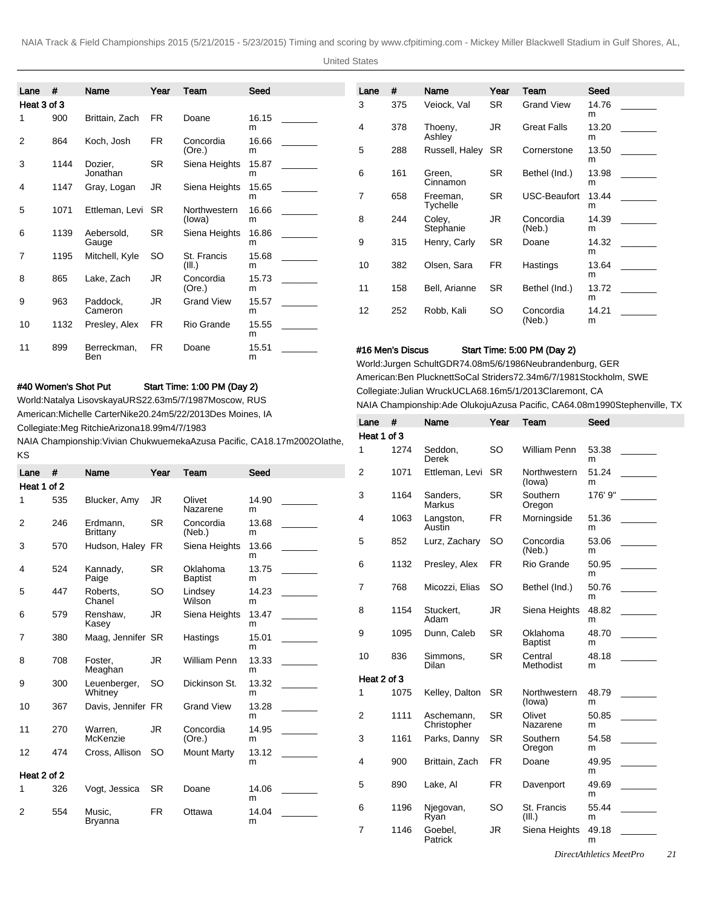United States

| Lane $#$       |      | Name                    | Year      | Team                   | Seed       | Lane           | #                | Name                      | Year      | Team                        | Seed       |  |
|----------------|------|-------------------------|-----------|------------------------|------------|----------------|------------------|---------------------------|-----------|-----------------------------|------------|--|
| Heat 3 of 3    |      |                         |           |                        |            | 3              | 375              | Veiock, Val               | <b>SR</b> | <b>Grand View</b>           | 14.76<br>m |  |
| 1              | 900  | Brittain, Zach          | <b>FR</b> | Doane                  | 16.15<br>m | $\overline{4}$ | 378              | Thoeny,                   | <b>JR</b> | <b>Great Falls</b>          | 13.20      |  |
| 2              | 864  | Koch, Josh              | <b>FR</b> | Concordia<br>(Ore.)    | 16.66<br>m | 5              | 288              | Ashley<br>Russell, Haley  | SR        | Cornerstone                 | m<br>13.50 |  |
| 3              | 1144 | Dozier,                 | <b>SR</b> | Siena Heights          | 15.87      |                |                  |                           |           |                             | m          |  |
| 4              | 1147 | Jonathan<br>Gray, Logan | JR.       | Siena Heights          | m<br>15.65 | 6              | 161              | Green,<br>Cinnamon        | <b>SR</b> | Bethel (Ind.)               | 13.98<br>m |  |
|                |      |                         |           |                        | m          | $\overline{7}$ | 658              | Freeman,<br>Tychelle      | <b>SR</b> | USC-Beaufort                | 13.44<br>m |  |
| 5              | 1071 | Ettleman, Levi          | <b>SR</b> | Northwestern<br>(lowa) | 16.66<br>m | 8              | 244              | Coley,                    | <b>JR</b> | Concordia                   | 14.39      |  |
| 6              | 1139 | Aebersold.<br>Gauge     | <b>SR</b> | Siena Heights          | 16.86<br>m | 9              | 315              | Stephanie<br>Henry, Carly | <b>SR</b> | (Neb.)<br>Doane             | m<br>14.32 |  |
| $\overline{7}$ | 1195 | Mitchell, Kyle          | <b>SO</b> | St. Francis            | 15.68      |                |                  |                           |           |                             | m          |  |
| 8              | 865  | Lake, Zach              | <b>JR</b> | (III.)<br>Concordia    | m<br>15.73 | 10             | 382              | Olsen, Sara               | <b>FR</b> | Hastings                    | 13.64<br>m |  |
|                |      |                         |           | (Ore.)                 | m          | 11             | 158              | Bell, Arianne             | <b>SR</b> | Bethel (Ind.)               | 13.72      |  |
| 9              | 963  | Paddock,<br>Cameron     | <b>JR</b> | <b>Grand View</b>      | 15.57<br>m | 12             | 252              | Robb, Kali                | <b>SO</b> | Concordia                   | m<br>14.21 |  |
| 10             | 1132 | Presley, Alex           | <b>FR</b> | Rio Grande             | 15.55<br>m |                |                  |                           |           | (Neb.)                      | m          |  |
| 11             | 899  | Berreckman,<br>Ben      | <b>FR</b> | Doane                  | 15.51<br>m |                | #16 Men's Discus |                           |           | Start Time: 5:00 PM (Day 2) |            |  |

Heat 1 of 3

#### #40 Women's Shot Put Start Time: 1:00 PM (Day 2)

World: Natalya Lisovskaya URS 22.63m 5/7/1987 Moscow, RUS American: Michelle Carter Nike 20.24m 5/22/2013 Des Moines, IA Collegiate: Meg Ritchie Arizona 18.99m 4/7/1983

NAIA Championship: Vivian Chukwuemeka Azusa Pacific, CA 18.17m 2002Olathe, KS

| Lane        | #   | <b>Name</b>          | Year      | Team                       | Seed       | 2              | 1071 | Ettleman, Levi SR         |           |
|-------------|-----|----------------------|-----------|----------------------------|------------|----------------|------|---------------------------|-----------|
| Heat 1 of 2 |     |                      |           |                            |            |                |      |                           |           |
| 1           | 535 | Blucker, Amy         | JR.       | Olivet<br>Nazarene         | 14.90<br>m | 3              | 1164 | Sanders,<br>Markus        | <b>SR</b> |
| 2           | 246 | Erdmann.<br>Brittany | <b>SR</b> | Concordia<br>(Neb.)        | 13.68<br>m | 4              | 1063 | Langston,<br>Austin       | <b>FR</b> |
| 3           | 570 | Hudson, Haley FR     |           | Siena Heights              | 13.66<br>m | 5              | 852  | Lurz, Zachary             | SO        |
| 4           | 524 | Kannady,<br>Paige    | <b>SR</b> | Oklahoma<br><b>Baptist</b> | 13.75<br>m | 6              | 1132 | Presley, Alex             | FR.       |
| 5           | 447 | Roberts.<br>Chanel   | <b>SO</b> | Lindsey<br><b>Wilson</b>   | 14.23<br>m | $\overline{7}$ | 768  | Micozzi, Elias            | SO.       |
| 6           | 579 | Renshaw,<br>Kasey    | <b>JR</b> | Siena Heights              | 13.47<br>m | 8              | 1154 | Stuckert.<br>Adam         | JR.       |
| 7           | 380 | Maag, Jennifer SR    |           | Hastings                   | 15.01<br>m | 9              | 1095 | Dunn, Caleb               | <b>SR</b> |
| 8           | 708 | Foster,<br>Meaghan   | JR.       | William Penn               | 13.33<br>m | 10             | 836  | Simmons,<br>Dilan         | <b>SR</b> |
| 9           | 300 | Leuenberger,         | <b>SO</b> | Dickinson St.              | 13.32      | Heat 2 of 3    |      |                           |           |
|             |     | Whitney              |           |                            | m          | 1              | 1075 | Kelley, Dalton            | SR.       |
| 10          | 367 | Davis, Jennifer FR   |           | <b>Grand View</b>          | 13.28<br>m | $\overline{2}$ | 1111 | Aschemann,<br>Christopher | <b>SR</b> |
| 11          | 270 | Warren,<br>McKenzie  | JR.       | Concordia<br>(Ore.)        | 14.95<br>m | 3              | 1161 | Parks, Danny              | <b>SR</b> |
| 12          | 474 | Cross, Allison       | <b>SO</b> | <b>Mount Marty</b>         | 13.12<br>m | 4              | 900  | Brittain, Zach            | FR.       |
| Heat 2 of 2 |     |                      |           |                            |            |                |      |                           |           |
| 1           | 326 | Vogt, Jessica        | <b>SR</b> | Doane                      | 14.06<br>m | 5              | 890  | Lake, Al                  | <b>FR</b> |
| 2           | 554 | Music.<br>Bryanna    | <b>FR</b> | Ottawa                     | 14.04<br>m | 6              | 1196 | Njegovan,<br>Ryan         | <b>SO</b> |
|             |     |                      |           |                            |            | $\overline{7}$ | 1146 | Goebel                    | IR.       |

World: Jurgen Schult GDR 74.08m 5/6/1986 Neubrandenburg, GER American: Ben Plucknett SoCal Striders 72.34m 6/7/1981 Stockholm, SWE Collegiate: Julian Wruck UCLA 68.16m 5/1/2013 Claremont, CA NAIA Championship: Ade Olukoju Azusa Pacific, CA 64.08m 1990Stephenville, TX

Lane # Name Year Team Seed

| 1           | 1274 | Seddon,<br>Derek          | SO        | <b>William Penn</b>        | 53.38<br>m |  |
|-------------|------|---------------------------|-----------|----------------------------|------------|--|
| 2           | 1071 | Ettleman, Levi            | <b>SR</b> | Northwestern<br>(lowa)     | 51.24<br>m |  |
| 3           | 1164 | Sanders.<br>Markus        | <b>SR</b> | Southern<br>Oregon         | 176' 9"    |  |
| 4           | 1063 | Langston,<br>Austin       | FR.       | Morningside                | 51.36<br>m |  |
| 5           | 852  | Lurz, Zachary             | SO        | Concordia<br>(Neb.)        | 53.06<br>m |  |
| 6           | 1132 | Presley, Alex             | <b>FR</b> | Rio Grande                 | 50.95<br>m |  |
| 7           | 768  | Micozzi, Elias            | SO        | Bethel (Ind.)              | 50.76<br>m |  |
| 8           | 1154 | Stuckert,<br>Adam         | JR        | Siena Heights              | 48.82<br>m |  |
| 9           | 1095 | Dunn, Caleb               | <b>SR</b> | Oklahoma<br><b>Baptist</b> | 48.70<br>m |  |
| 10          | 836  | Simmons,<br>Dilan         | <b>SR</b> | Central<br>Methodist       | 48.18<br>m |  |
| Heat 2 of 3 |      |                           |           |                            |            |  |
| 1           | 1075 | Kelley, Dalton            | <b>SR</b> | Northwestern<br>(lowa)     | 48.79<br>m |  |
| 2           | 1111 | Aschemann,<br>Christopher | <b>SR</b> | Olivet<br>Nazarene         | 50.85<br>m |  |
| 3           | 1161 | Parks, Danny              | <b>SR</b> | Southern<br>Oregon         | 54.58<br>m |  |
| 4           | 900  | Brittain, Zach            | <b>FR</b> | Doane                      | 49.95<br>m |  |
| 5           | 890  | Lake, Al                  | FR.       | Davenport                  | 49.69<br>m |  |
| 6           | 1196 | Njegovan,<br>Ryan         | SO        | St. Francis<br>(III.)      | 55.44<br>m |  |
| 7           | 1146 | Goebel,<br>Patrick        | JR        | Siena Heights              | 49.18<br>m |  |
|             |      |                           |           |                            |            |  |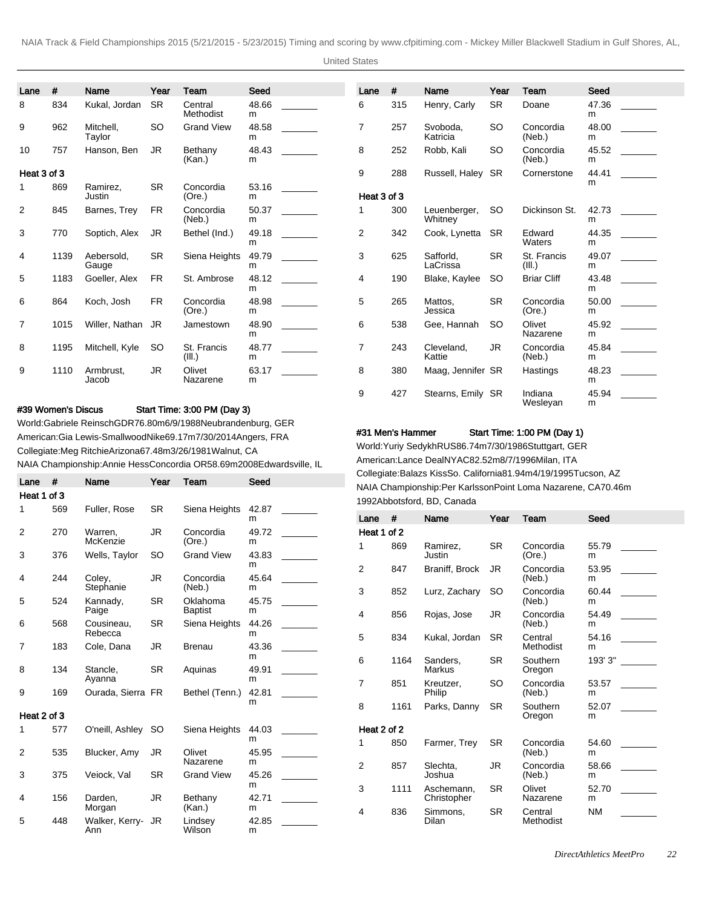United States

| Lane        | #    | Name                | Year      | Team                  | Seed       |  |
|-------------|------|---------------------|-----------|-----------------------|------------|--|
| 8           | 834  | Kukal, Jordan       | <b>SR</b> | Central<br>Methodist  | 48.66<br>m |  |
| 9           | 962  | Mitchell.<br>Taylor | SO        | <b>Grand View</b>     | 48.58<br>m |  |
| 10          | 757  | Hanson, Ben         | JR        | Bethany<br>(Kan.)     | 48.43<br>m |  |
| Heat 3 of 3 |      |                     |           |                       |            |  |
| 1           | 869  | Ramirez,<br>Justin  | <b>SR</b> | Concordia<br>(Ore.)   | 53.16<br>m |  |
| 2           | 845  | Barnes, Trey        | <b>FR</b> | Concordia<br>(Neb.)   | 50.37<br>m |  |
| 3           | 770  | Soptich, Alex       | JR        | Bethel (Ind.)         | 49.18<br>m |  |
| 4           | 1139 | Aebersold.<br>Gauge | <b>SR</b> | Siena Heights         | 49.79<br>m |  |
| 5           | 1183 | Goeller, Alex       | <b>FR</b> | St. Ambrose           | 48.12<br>m |  |
| 6           | 864  | Koch, Josh          | <b>FR</b> | Concordia<br>(Ore.)   | 48.98<br>m |  |
| 7           | 1015 | Willer, Nathan      | JR        | Jamestown             | 48.90<br>m |  |
| 8           | 1195 | Mitchell, Kyle      | SO        | St. Francis<br>(III.) | 48.77<br>m |  |
| 9           | 1110 | Armbrust.<br>Jacob  | JR.       | Olivet<br>Nazarene    | 63.17<br>m |  |

# #39 Women's Discus Start Time: 3:00 PM (Day 3)

World: Gabriele Reinsch GDR 76.80m 6/9/1988 Neubrandenburg, GER American: Gia Lewis-Smallwood Nike 69.17m 7/30/2014 Angers, FRA Collegiate: Meg Ritchie Arizona 67.48m 3/26/1981 Walnut, CA NAIA Championship: Annie Hess Concordia OR 58.69m 2008Edwardsville, IL

| Lane        | #   | Name                  | Year      | Team                       | Seed       |
|-------------|-----|-----------------------|-----------|----------------------------|------------|
| Heat 1 of 3 |     |                       |           |                            |            |
| 1           | 569 | Fuller, Rose          | <b>SR</b> | Siena Heights              | 42.87<br>m |
| 2           | 270 | Warren,<br>McKenzie   | JR        | Concordia<br>(Ore.)        | 49.72<br>m |
| 3           | 376 | Wells, Taylor         | <b>SO</b> | <b>Grand View</b>          | 43.83<br>m |
| 4           | 244 | Coley,<br>Stephanie   | JR        | Concordia<br>(Neb.)        | 45.64<br>m |
| 5           | 524 | Kannady,<br>Paige     | <b>SR</b> | Oklahoma<br><b>Baptist</b> | 45.75<br>m |
| 6           | 568 | Cousineau.<br>Rebecca | <b>SR</b> | Siena Heights              | 44.26<br>m |
| 7           | 183 | Cole, Dana            | JR        | <b>Brenau</b>              | 43.36<br>m |
| 8           | 134 | Stancle.<br>Ayanna    | <b>SR</b> | Aquinas                    | 49.91<br>m |
| 9           | 169 | Ourada, Sierra FR     |           | Bethel (Tenn.)             | 42.81<br>m |
| Heat 2 of 3 |     |                       |           |                            |            |
| 1           | 577 | O'neill, Ashley       | SO.       | Siena Heights              | 44.03<br>m |
| 2           | 535 | Blucker, Amy          | JR        | Olivet<br>Nazarene         | 45.95<br>m |
| 3           | 375 | Veiock, Val           | <b>SR</b> | <b>Grand View</b>          | 45.26<br>m |
| 4           | 156 | Darden.<br>Morgan     | JR        | Bethany<br>(Kan.)          | 42.71<br>m |
| 5           | 448 | Walker, Kerry-<br>Ann | JR        | Lindsey<br>Wilson          | 42.85<br>m |

| Lane           | #   | Name                    | Year      | Team                  | Seed       |  |
|----------------|-----|-------------------------|-----------|-----------------------|------------|--|
| 6              | 315 | Henry, Carly            | <b>SR</b> | Doane                 | 47.36<br>m |  |
| 7              | 257 | Svoboda,<br>Katricia    | SO.       | Concordia<br>(Neb.)   | 48.00<br>m |  |
| 8              | 252 | Robb, Kali              | SO        | Concordia<br>(Neb.)   | 45.52<br>m |  |
| 9              | 288 | Russell, Haley          | <b>SR</b> | Cornerstone           | 44.41<br>m |  |
| Heat 3 of 3    |     |                         |           |                       |            |  |
| 1              | 300 | Leuenberger,<br>Whitney | SO        | Dickinson St.         | 42.73<br>m |  |
| $\overline{2}$ | 342 | Cook, Lynetta           | SR.       | Edward<br>Waters      | 44.35<br>m |  |
| 3              | 625 | Safforld,<br>LaCrissa   | <b>SR</b> | St. Francis<br>(III.) | 49.07<br>m |  |
| 4              | 190 | Blake, Kaylee           | SO        | <b>Briar Cliff</b>    | 43.48<br>m |  |
| 5              | 265 | Mattos.<br>Jessica      | SR.       | Concordia<br>(Ore.)   | 50.00<br>m |  |
| 6              | 538 | Gee, Hannah             | SO        | Olivet<br>Nazarene    | 45.92<br>m |  |
| 7              | 243 | Cleveland.<br>Kattie    | JR        | Concordia<br>(Neb.)   | 45.84<br>m |  |
| 8              | 380 | Maag, Jennifer SR       |           | Hastings              | 48.23<br>m |  |
| 9              | 427 | Stearns, Emily          | SR        | Indiana<br>Wesleyan   | 45.94<br>m |  |

#### #31 Men's Hammer Start Time: 1:00 PM (Day 1)

World: Yuriy Sedykh RUS 86.74m 7/30/1986 Stuttgart, GER American: Lance Deal NYAC 82.52m 8/7/1996 Milan, ITA Collegiate: Balazs Kiss So. California 81.94m 4/19/1995 Tucson, AZ NAIA Championship: Per Karlsson Point Loma Nazarene, CA 70.46m 1992Abbotsford, BD, Canada

| Lane        | #    | Name                      | Year      | Team                 | Seed       |
|-------------|------|---------------------------|-----------|----------------------|------------|
| Heat 1 of 2 |      |                           |           |                      |            |
| 1           | 869  | Ramirez,<br>Justin        | <b>SR</b> | Concordia<br>(Ore.)  | 55.79<br>m |
| 2           | 847  | Braniff, Brock            | JR.       | Concordia<br>(Neb.)  | 53.95<br>m |
| 3           | 852  | Lurz, Zachary             | SO        | Concordia<br>(Neb.)  | 60.44<br>m |
| 4           | 856  | Rojas, Jose               | JR        | Concordia<br>(Neb.)  | 54.49<br>m |
| 5           | 834  | Kukal, Jordan             | <b>SR</b> | Central<br>Methodist | 54.16<br>m |
| 6           | 1164 | Sanders.<br>Markus        | SR.       | Southern<br>Oregon   | 193' 3"    |
| 7           | 851  | Kreutzer.<br>Philip       | SO        | Concordia<br>(Neb.)  | 53.57<br>m |
| 8           | 1161 | Parks, Danny              | <b>SR</b> | Southern<br>Oregon   | 52.07<br>m |
| Heat 2 of 2 |      |                           |           |                      |            |
| 1           | 850  | Farmer, Trey              | SR        | Concordia<br>(Neb.)  | 54.60<br>m |
| 2           | 857  | Slechta.<br>Joshua        | JR.       | Concordia<br>(Neb.)  | 58.66<br>m |
| 3           | 1111 | Aschemann.<br>Christopher | SR.       | Olivet<br>Nazarene   | 52.70<br>m |
| 4           | 836  | Simmons,<br>Dilan         | SR        | Central<br>Methodist | <b>NM</b>  |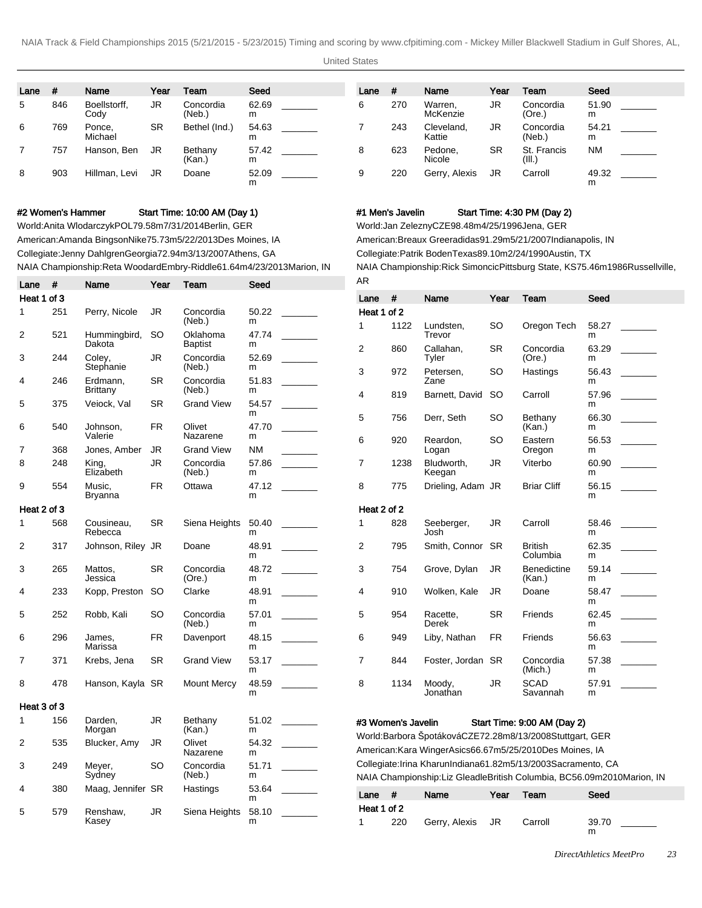United States

| Lane | #   | Name                 | Year      | Team                | Seed       | Lane | #   | Name                 | Year      | Team                 | Seed       |
|------|-----|----------------------|-----------|---------------------|------------|------|-----|----------------------|-----------|----------------------|------------|
| 5    | 846 | Boellstorff.<br>Cody | JR        | Concordia<br>(Neb.) | 62.69<br>m | 6    | 270 | Warren.<br>McKenzie  | JR        | Concordia<br>(Ore.)  | 51.90<br>m |
| 6    | 769 | Ponce,<br>Michael    | <b>SR</b> | Bethel (Ind.)       | 54.63<br>m |      | 243 | Cleveland,<br>Kattie | JR        | Concordia<br>(Neb.)  | 54.21<br>m |
|      | 757 | Hanson, Ben          | JR        | Bethany<br>(Kan.)   | 57.42<br>m | 8    | 623 | Pedone.<br>Nicole    | <b>SR</b> | St. Francis<br>(III. | <b>NM</b>  |
| 8    | 903 | Hillman, Levi        | JR        | Doane               | 52.09<br>m | 9    | 220 | Gerry, Alexis        | JR        | Carroll              | 49.32<br>m |

#### #2 Women's Hammer Start Time: 10:00 AM (Day 1)

World: Anita Wlodarczyk POL 79.58m 7/31/2014 Berlin, GER American: Amanda Bingson Nike 75.73m 5/22/2013 Des Moines, IA Collegiate: Jenny Dahlgren Georgia 72.94m 3/13/2007 Athens, GA NAIA Championship: Reta Woodard Embry-Riddle 61.64m 4/23/2013 Marion, IN

| Lane        | #   | Name                        | Year | Team                | Seed       |  |
|-------------|-----|-----------------------------|------|---------------------|------------|--|
| Heat 1 of 3 |     |                             |      |                     |            |  |
| 1           | 251 | Perry, Nicole               | JR   | Concordia<br>(Neb.) | 50.22<br>m |  |
| 2           | 521 | Hummingbird,<br>Dakota      | SO   | Oklahoma<br>Baptist | 47.74<br>m |  |
| 3           | 244 | Coley,<br>Stephanie         | JR   | Concordia<br>(Neb.) | 52.69<br>m |  |
| 4           | 246 | Erdmann,<br><b>Brittany</b> | SR   | Concordia<br>(Neb.) | 51.83<br>m |  |
| 5           | 375 | Veiock, Val                 | SR   | <b>Grand View</b>   | 54.57<br>m |  |
| 6           | 540 | Johnson.<br>Valerie         | FR.  | Olivet<br>Nazarene  | 47.70<br>m |  |
| 7           | 368 | Jones, Amber                | JR   | <b>Grand View</b>   | <b>NM</b>  |  |
| 8           | 248 | King,<br>Elizabeth          | JR   | Concordia<br>(Neb.) | 57.86<br>m |  |
| 9           | 554 | Music.<br>Bryanna           | FR   | Ottawa              | 47.12<br>m |  |
| Heat 2 of 3 |     |                             |      |                     |            |  |
| 1           | 568 | Cousineau,<br>Rebecca       | SR   | Siena Heights       | 50.40<br>m |  |
| 2           | 317 | Johnson, Riley              | JR   | Doane               | 48.91<br>m |  |
| 3           | 265 | Mattos,<br>Jessica          | SR   | Concordia<br>(Ore.) | 48.72<br>m |  |
| 4           | 233 | Kopp, Preston               | SO   | Clarke              | 48.91<br>m |  |
| 5           | 252 | Robb, Kali                  | SO   | Concordia<br>(Neb.) | 57.01<br>m |  |
| 6           | 296 | James.<br>Marissa           | FR.  | Davenport           | 48.15<br>m |  |
| 7           | 371 | Krebs, Jena                 | SR   | <b>Grand View</b>   | 53.17<br>m |  |
| 8           | 478 | Hanson, Kayla               | SR   | <b>Mount Mercy</b>  | 48.59<br>m |  |
| Heat 3 of 3 |     |                             |      |                     |            |  |
| 1           | 156 | Darden.<br>Morgan           | JR   | Bethany<br>(Kan.)   | 51.02<br>m |  |
| 2           | 535 | Blucker, Amy                | JR   | Olivet<br>Nazarene  | 54.32<br>m |  |
| 3           | 249 | Meyer,<br>Sydney            | SO   | Concordia<br>(Neb.) | 51.71<br>m |  |
| 4           | 380 | Maag, Jennifer SR           |      | Hastings            | 53.64<br>m |  |
| 5           | 579 | Renshaw,<br>Kasey           | JR   | Siena Heights       | 58.10<br>m |  |

#### #1 Men's Javelin Start Time: 4:30 PM (Day 2)

World: Jan Zelezny CZE 98.48m 4/25/1996 Jena, GER

American: Breaux Greer adidas 91.29m 5/21/2007 Indianapolis, IN

Collegiate: Patrik Boden Texas 89.10m 2/24/1990 Austin, TX

NAIA Championship: Rick Simoncic Pittsburg State, KS 75.46m 1986Russellville, AR

| Lane        | #    | Name                 | Year      | Team                         | Seed       |  |
|-------------|------|----------------------|-----------|------------------------------|------------|--|
| Heat 1 of 2 |      |                      |           |                              |            |  |
| 1           | 1122 | Lundsten,<br>Trevor  | SO        | Oregon Tech                  | 58.27<br>m |  |
| 2           | 860  | Callahan,<br>Tyler   | <b>SR</b> | Concordia<br>(Ore.)          | 63.29<br>m |  |
| 3           | 972  | Petersen,<br>Zane    | SO        | Hastings                     | 56.43<br>m |  |
| 4           | 819  | Barnett, David       | SO.       | Carroll                      | 57.96<br>m |  |
| 5           | 756  | Derr, Seth           | SO        | Bethany<br>(Kan.)            | 66.30<br>m |  |
| 6           | 920  | Reardon,<br>Logan    | SO        | Eastern<br>Oregon            | 56.53<br>m |  |
| 7           | 1238 | Bludworth.<br>Keegan | JR        | Viterbo                      | 60.90<br>m |  |
| 8           | 775  | Drieling, Adam JR    |           | <b>Briar Cliff</b>           | 56.15<br>m |  |
| Heat 2 of 2 |      |                      |           |                              |            |  |
| 1           | 828  | Seeberger,<br>Josh   | <b>JR</b> | Carroll                      | 58.46<br>m |  |
| 2           | 795  | Smith, Connor        | <b>SR</b> | <b>British</b><br>Columbia   | 62.35<br>m |  |
| 3           | 754  | Grove, Dylan         | JR.       | <b>Benedictine</b><br>(Kan.) | 59.14<br>m |  |
| 4           | 910  | Wolken, Kale         | JR        | Doane                        | 58.47<br>m |  |
| 5           | 954  | Racette,<br>Derek    | <b>SR</b> | Friends                      | 62.45<br>m |  |
| 6           | 949  | Liby, Nathan         | <b>FR</b> | Friends                      | 56.63<br>m |  |
| 7           | 844  | Foster, Jordan       | <b>SR</b> | Concordia<br>(Mich.)         | 57.38<br>m |  |
| 8           | 1134 | Moody,<br>Jonathan   | JR        | <b>SCAD</b><br>Savannah      | 57.91<br>m |  |

#### #3 Women's Javelin Start Time: 9:00 AM (Day 2)

World: Barbora Špotáková CZE 72.28m 8/13/2008 Stuttgart, GER American: Kara Winger Asics 66.67m 5/25/2010 Des Moines, IA Collegiate: Irina Kharun Indiana 61.82m 5/13/2003 Sacramento, CA NAIA Championship: Liz Gleadle British Columbia, BC 56.09m 2010Marion, IN

| Lane        | . . | Name             | Year | <b>Team</b> | Seed       |
|-------------|-----|------------------|------|-------------|------------|
| Heat 1 of 2 |     |                  |      |             |            |
| 1           | 220 | Gerry, Alexis JR |      | Carroll     | 39.70<br>m |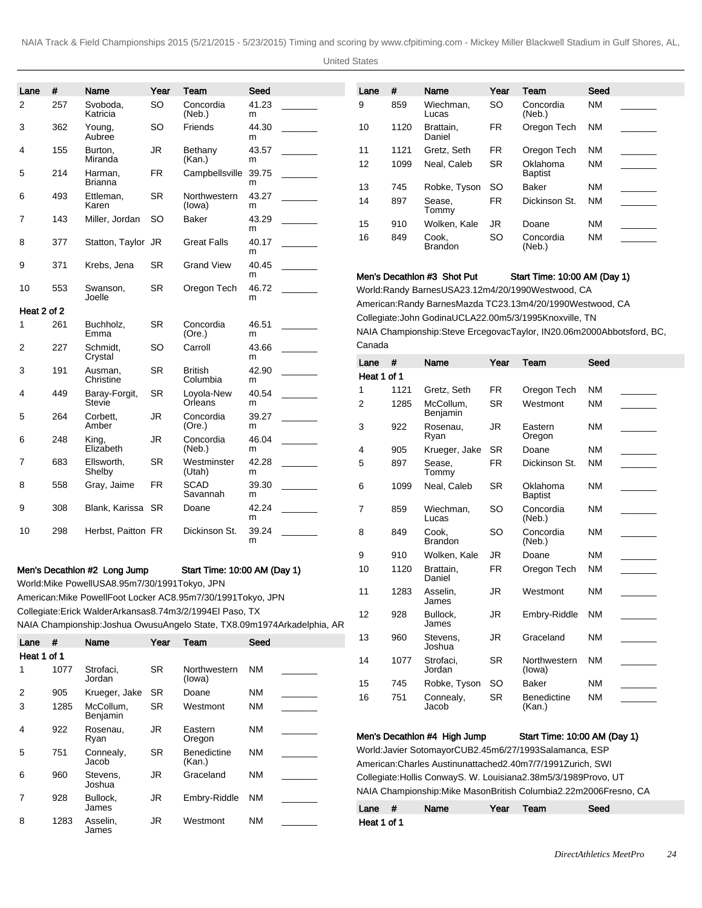United States

| Lane        | #    | Name                                                                              | Year      | Team                                                            | Seed       |                                                                            | Lane           | $\#$       | Name                                                                                       | Year          | Team                         | Seed      |                          |
|-------------|------|-----------------------------------------------------------------------------------|-----------|-----------------------------------------------------------------|------------|----------------------------------------------------------------------------|----------------|------------|--------------------------------------------------------------------------------------------|---------------|------------------------------|-----------|--------------------------|
| 2           | 257  | Svoboda,                                                                          | <b>SO</b> | Concordia                                                       | 41.23      |                                                                            | 9              | 859        | Wiechman,                                                                                  | <b>SO</b>     | Concordia                    | <b>NM</b> |                          |
|             |      | Katricia                                                                          |           | (Neb.)                                                          | m          |                                                                            |                |            | Lucas                                                                                      |               | (Neb.)                       |           |                          |
| 3           | 362  | Young,<br>Aubree                                                                  | SO        | Friends                                                         | 44.30<br>m |                                                                            | 10             | 1120       | Brattain,<br>Daniel                                                                        | <b>FR</b>     | Oregon Tech                  | ΝM        |                          |
| 4           | 155  | Burton,<br>Miranda                                                                | JR        | Bethany<br>(Kan.)                                               | 43.57<br>m |                                                                            | 11             | 1121       | Gretz, Seth                                                                                | <b>FR</b>     | Oregon Tech                  | ΝM        |                          |
| 5           | 214  | Harman,                                                                           | FR        | Campbellsville                                                  | 39.75      |                                                                            | 12             | 1099       | Neal, Caleb                                                                                | <b>SR</b>     | Oklahoma<br><b>Baptist</b>   | <b>NM</b> |                          |
|             |      | Brianna                                                                           |           |                                                                 | m          |                                                                            | 13             | 745        | Robke, Tyson                                                                               | <b>SO</b>     | Baker                        | ΝM        | $\overline{\phantom{a}}$ |
| 6           | 493  | Ettleman,<br>Karen                                                                | <b>SR</b> | Northwestern<br>(lowa)                                          | 43.27<br>m |                                                                            | 14             | 897        | Sease,<br>Tommy                                                                            | <b>FR</b>     | Dickinson St.                | ΝM        |                          |
| 7           | 143  | Miller, Jordan                                                                    | <b>SO</b> | Baker                                                           | 43.29<br>m |                                                                            | 15             | 910        | Wolken, Kale                                                                               | JR            | Doane                        | ΝM        |                          |
| 8           | 377  | Statton, Taylor JR                                                                |           | <b>Great Falls</b>                                              | 40.17<br>m |                                                                            | 16             | 849        | Cook,<br><b>Brandon</b>                                                                    | <sub>SO</sub> | Concordia<br>(Neb.)          | ΝM        |                          |
| 9           | 371  | Krebs, Jena                                                                       | SR        | <b>Grand View</b>                                               | 40.45      |                                                                            |                |            |                                                                                            |               |                              |           |                          |
| 10          | 553  | Swanson,                                                                          | <b>SR</b> | Oregon Tech                                                     | m<br>46.72 |                                                                            |                |            | Men's Decathion #3 Shot Put                                                                |               | Start Time: 10:00 AM (Day 1) |           |                          |
|             |      | Joelle                                                                            |           |                                                                 | m          |                                                                            |                |            | World: Randy Barnes USA 23.12m 4/20/1990 Westwood, CA                                      |               |                              |           |                          |
| Heat 2 of 2 |      |                                                                                   |           |                                                                 |            |                                                                            |                |            | American: Randy Barnes Mazda TC 23.13m 4/20/1990 Westwood, CA                              |               |                              |           |                          |
| 1           | 261  | Buchholz,                                                                         | <b>SR</b> | Concordia                                                       | 46.51      |                                                                            |                |            | Collegiate: John Godina UCLA 22.00m 5/3/1995 Knoxville, TN                                 |               |                              |           |                          |
| 2           | 227  | Emma<br>Schmidt,                                                                  | SO        | (Ore.)<br>Carroll                                               | m<br>43.66 |                                                                            | Canada         |            | NAIA Championship: Steve Ercegovac Taylor, IN 20.06m 2000Abbotsford, BC,                   |               |                              |           |                          |
|             |      | Crystal                                                                           |           |                                                                 | m          |                                                                            | Lane           | $\pmb{\#}$ | Name                                                                                       | Year          | Team                         | Seed      |                          |
| 3           | 191  | Ausman,<br>Christine                                                              | <b>SR</b> | <b>British</b><br>Columbia                                      | 42.90<br>m |                                                                            | Heat 1 of 1    |            |                                                                                            |               |                              |           |                          |
| 4           | 449  | Baray-Forgit,                                                                     | <b>SR</b> | Loyola-New                                                      | 40.54      |                                                                            | 1              | 1121       | Gretz, Seth                                                                                | <b>FR</b>     | Oregon Tech                  | ΝM        |                          |
|             |      | Stevie                                                                            |           | Orleans                                                         | m          |                                                                            | $\overline{2}$ | 1285       | McCollum,<br>Benjamin                                                                      | <b>SR</b>     | Westmont                     | ΝM        |                          |
| 5           | 264  | Corbett,<br>Amber                                                                 | JR        | Concordia<br>(Ore.)                                             | 39.27<br>m |                                                                            | 3              | 922        | Rosenau,                                                                                   | JR            | Eastern                      | ΝM        |                          |
| 6           | 248  | King,<br>Elizabeth                                                                | JR        | Concordia<br>(Neb.)                                             | 46.04<br>m |                                                                            | 4              | 905        | Ryan<br>Krueger, Jake                                                                      | <b>SR</b>     | Oregon<br>Doane              | ΝM        |                          |
| 7           | 683  | Ellsworth,<br>Shelby                                                              | <b>SR</b> | Westminster<br>(Utah)                                           | 42.28<br>m |                                                                            | 5              | 897        | Sease,<br>Tommy                                                                            | <b>FR</b>     | Dickinson St.                | ΝM        |                          |
| 8           | 558  | Gray, Jaime                                                                       | FR        | <b>SCAD</b><br>Savannah                                         | 39.30<br>m |                                                                            | 6              | 1099       | Neal, Caleb                                                                                | <b>SR</b>     | Oklahoma                     | <b>NM</b> |                          |
| 9           | 308  | Blank, Karissa SR                                                                 |           | Doane                                                           | 42.24      |                                                                            | 7              | 859        | Wiechman,                                                                                  | <b>SO</b>     | <b>Baptist</b><br>Concordia  | ΝM        |                          |
| 10          | 298  | Herbst, Paitton FR                                                                |           | Dickinson St.                                                   | m<br>39.24 |                                                                            | 8              | 849        | Lucas<br>Cook,                                                                             | <b>SO</b>     | (Neb.)<br>Concordia          | ΝM        |                          |
|             |      |                                                                                   |           |                                                                 | m          |                                                                            |                |            | <b>Brandon</b>                                                                             |               | (Neb.)                       |           |                          |
|             |      |                                                                                   |           |                                                                 |            |                                                                            | 9              | 910        | Wolken, Kale                                                                               | JR            | Doane                        | ΝM        |                          |
|             |      | Men's Decathlon #2 Long Jump<br>World: Mike Powell USA 8.95m 7/30/1991 Tokyo, JPN |           | Start Time: 10:00 AM (Day 1)                                    |            |                                                                            | 10             | 1120       | Brattain,<br>Daniel                                                                        | <b>FR</b>     | Oregon Tech                  | ΝM        |                          |
|             |      |                                                                                   |           | American: Mike Powell Foot Locker AC 8.95m 7/30/1991 Tokyo, JPN |            |                                                                            | 11             | 1283       | Asselin,<br>James                                                                          | $\mathsf{JR}$ | Westmont                     | <b>NM</b> |                          |
|             |      |                                                                                   |           | Collegiate: Erick Walder Arkansas 8.74m 3/2/1994 El Paso, TX    |            | NAIA Championship: Joshua Owusu Angelo State, TX 8.09m 1974Arkadelphia, AR | 12             | 928        | Bullock,<br>James                                                                          | <b>JR</b>     | Embry-Riddle                 | <b>NM</b> |                          |
| Lane $#$    |      | Name                                                                              | Year      | Team                                                            | Seed       |                                                                            | 13             | 960        | Stevens,<br>Joshua                                                                         | JR            | Graceland                    | ΝM        |                          |
| Heat 1 of 1 |      |                                                                                   |           |                                                                 |            |                                                                            | 14             | 1077       | Strofaci,                                                                                  | SR            | Northwestern                 | NM.       |                          |
| 1.          | 1077 | Strofaci,                                                                         | <b>SR</b> | Northwestern                                                    | <b>NM</b>  |                                                                            |                |            | Jordan                                                                                     |               | (lowa)                       |           |                          |
| 2           | 905  | Jordan<br>Krueger, Jake                                                           | <b>SR</b> | (lowa)<br>Doane                                                 | <b>NM</b>  |                                                                            | 15             | 745        | Robke, Tyson                                                                               | <b>SO</b>     | Baker                        | ΝM        |                          |
| 3           | 1285 | McCollum,                                                                         | SR        | Westmont                                                        | ΝM         |                                                                            | 16             | 751        | Connealy,<br>Jacob                                                                         | <b>SR</b>     | Benedictine<br>(Kan.)        | ΝM        |                          |
| 4           | 922  | Benjamin<br>Rosenau,                                                              | <b>JR</b> | Eastern                                                         | <b>NM</b>  |                                                                            |                |            |                                                                                            |               |                              |           |                          |
|             |      | Ryan                                                                              |           | Oregon                                                          |            |                                                                            |                |            | Men's Decathlon #4 High Jump<br>World: Javier Sotomayor CUB 2.45m 6/27/1993 Salamanca, ESP |               | Start Time: 10:00 AM (Day 1) |           |                          |
| 5           | 751  | Connealy,<br>Jacob                                                                | <b>SR</b> | <b>Benedictine</b><br>(Kan.)                                    | ΝM         |                                                                            |                |            | American: Charles Austin unattached 2.40m 7/7/1991 Zurich, SWI                             |               |                              |           |                          |
| 6           | 960  | Stevens,<br>Joshua                                                                | <b>JR</b> | Graceland                                                       | <b>NM</b>  |                                                                            |                |            | Collegiate: Hollis Conway S. W. Louisiana 2.38m 5/3/1989 Provo, UT                         |               |                              |           |                          |
| 7           | 928  | Bullock,<br>James                                                                 | JR        | Embry-Riddle                                                    | NM         |                                                                            | Lane #         |            | NAIA Championship: Mike Mason British Columbia 2.22m 2006Fresno, CA<br>Name                | Year          | Team                         | Seed      |                          |
| 8           | 1283 | Asselin,                                                                          | <b>JR</b> | Westmont                                                        | NM         |                                                                            | Heat 1 of 1    |            |                                                                                            |               |                              |           |                          |

James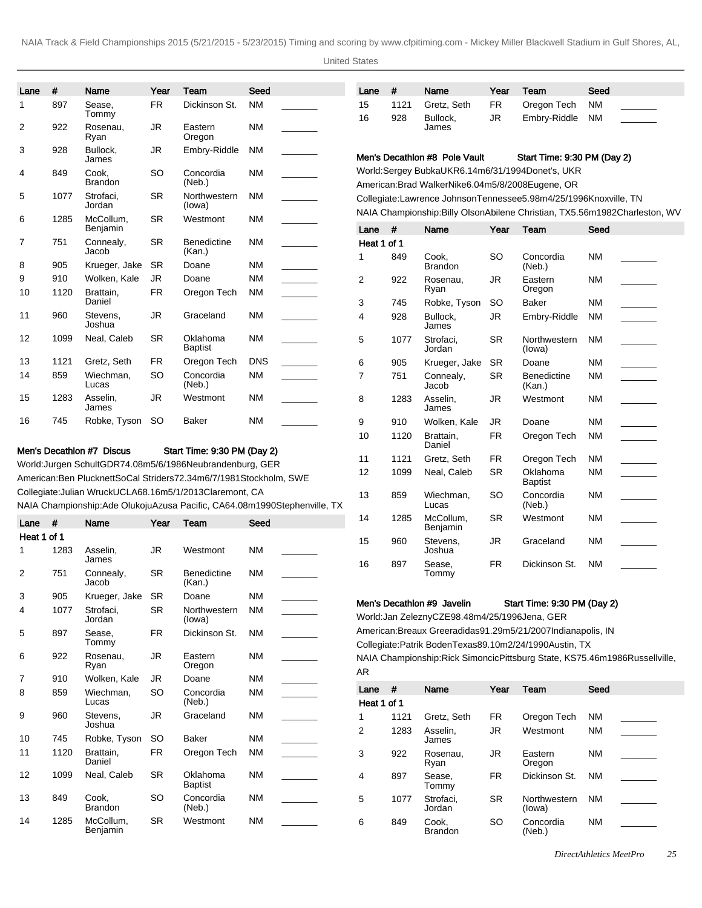United States

| Lane                                                                                         | $\#$ | Name                                                                  | Year      | Team                         | Seed       |                                                                              | Lane                | #          | Name                                                                                                                                        | Year      | Team                         | Seed      |                          |
|----------------------------------------------------------------------------------------------|------|-----------------------------------------------------------------------|-----------|------------------------------|------------|------------------------------------------------------------------------------|---------------------|------------|---------------------------------------------------------------------------------------------------------------------------------------------|-----------|------------------------------|-----------|--------------------------|
| 1                                                                                            | 897  | Sease,<br>Tommy                                                       | <b>FR</b> | Dickinson St.                | <b>NM</b>  |                                                                              | 15                  | 1121       | Gretz, Seth                                                                                                                                 | FR        | Oregon Tech                  | <b>NM</b> |                          |
| 2                                                                                            | 922  | Rosenau,<br>Ryan                                                      | <b>JR</b> | Eastern<br>Oregon            | <b>NM</b>  |                                                                              | 16                  | 928        | Bullock,<br>James                                                                                                                           | JR.       | Embry-Riddle                 | <b>NM</b> |                          |
| 3                                                                                            | 928  | Bullock,<br>James                                                     | JR        | Embry-Riddle                 | <b>NM</b>  |                                                                              |                     |            | Men's Decathion #8 Pole Vault                                                                                                               |           | Start Time: 9:30 PM (Day 2)  |           |                          |
| 4                                                                                            | 849  | Cook,<br><b>Brandon</b>                                               | <b>SO</b> | Concordia<br>(Neb.)          | <b>NM</b>  |                                                                              |                     |            | World: Sergey Bubka UKR 6.14m 6/31/1994 Donet's, UKR<br>American: Brad Walker Nike 6.04m 5/8/2008 Eugene, OR                                |           |                              |           |                          |
| 5                                                                                            | 1077 | Strofaci,<br>Jordan                                                   | <b>SR</b> | Northwestern<br>(lowa)       | <b>NM</b>  |                                                                              |                     |            | Collegiate: Lawrence Johnson Tennessee 5.98m 4/25/1996 Knoxville, TN                                                                        |           |                              |           |                          |
| 6                                                                                            | 1285 | McCollum,<br>Benjamin                                                 | <b>SR</b> | Westmont                     | <b>NM</b>  |                                                                              | Lane                | #          | NAIA Championship: Billy Olson Abilene Christian, TX 5.56m 1982Charleston, WV<br>Name                                                       | Year      | Team                         | Seed      |                          |
| 7                                                                                            | 751  | Connealy,<br>Jacob                                                    | <b>SR</b> | <b>Benedictine</b><br>(Kan.) | ΝM         |                                                                              | Heat 1 of 1<br>1    |            |                                                                                                                                             | <b>SO</b> |                              |           |                          |
| 8                                                                                            | 905  | Krueger, Jake                                                         | <b>SR</b> | Doane                        | <b>NM</b>  |                                                                              |                     | 849        | Cook,<br><b>Brandon</b>                                                                                                                     |           | Concordia<br>(Neb.)          | ΝM        |                          |
| 9                                                                                            | 910  | Wolken, Kale                                                          | <b>JR</b> | Doane                        | <b>NM</b>  | $\overline{\phantom{a}}$                                                     | 2                   | 922        | Rosenau,                                                                                                                                    | JR        | Eastern                      | <b>NM</b> |                          |
| 10                                                                                           | 1120 | Brattain,<br>Daniel                                                   | <b>FR</b> | Oregon Tech                  | <b>NM</b>  |                                                                              | 3                   | 745        | Ryan<br>Robke, Tyson                                                                                                                        | <b>SO</b> | Oregon<br>Baker              | <b>NM</b> |                          |
| 11                                                                                           | 960  | Stevens,<br>Joshua                                                    | <b>JR</b> | Graceland                    | <b>NM</b>  |                                                                              | 4                   | 928        | Bullock,<br>James                                                                                                                           | <b>JR</b> | Embry-Riddle                 | ΝM        |                          |
| 12                                                                                           | 1099 | Neal, Caleb                                                           | <b>SR</b> | Oklahoma<br><b>Baptist</b>   | ΝM         |                                                                              | 5                   | 1077       | Strofaci,<br>Jordan                                                                                                                         | <b>SR</b> | Northwestern<br>(lowa)       | ΝM        |                          |
| 13                                                                                           | 1121 | Gretz, Seth                                                           | <b>FR</b> | Oregon Tech                  | <b>DNS</b> |                                                                              | 6                   | 905        | Krueger, Jake                                                                                                                               | <b>SR</b> | Doane                        | <b>NM</b> |                          |
| 14                                                                                           | 859  | Wiechman,<br>Lucas                                                    | <b>SO</b> | Concordia<br>(Neb.)          | <b>NM</b>  |                                                                              | 7                   | 751        | Connealy,<br>Jacob                                                                                                                          | <b>SR</b> | <b>Benedictine</b><br>(Kan.) | <b>NM</b> |                          |
| 15                                                                                           | 1283 | Asselin,<br>James                                                     | JR        | Westmont                     | <b>NM</b>  |                                                                              | 8                   | 1283       | Asselin,<br>James                                                                                                                           | <b>JR</b> | Westmont                     | ΝM        |                          |
| 16                                                                                           | 745  | Robke, Tyson SO                                                       |           | Baker                        | <b>NM</b>  |                                                                              | 9                   | 910        | Wolken, Kale                                                                                                                                | <b>JR</b> | Doane                        | <b>NM</b> |                          |
|                                                                                              |      |                                                                       |           |                              |            |                                                                              |                     |            |                                                                                                                                             |           |                              |           |                          |
|                                                                                              |      | Men's Decathion #7 Discus                                             |           | Start Time: 9:30 PM (Day 2)  |            |                                                                              | 10                  | 1120       | Brattain,<br>Daniel                                                                                                                         | <b>FR</b> | Oregon Tech                  | ΝM        | $\overline{\phantom{a}}$ |
|                                                                                              |      | World: Jurgen Schult GDR 74.08m 5/6/1986 Neubrandenburg, GER          |           |                              |            |                                                                              | 11                  | 1121       | Gretz, Seth                                                                                                                                 | <b>FR</b> | Oregon Tech                  | NM.       |                          |
|                                                                                              |      | American: Ben Plucknett SoCal Striders 72.34m 6/7/1981 Stockholm, SWE |           |                              |            |                                                                              | 12                  | 1099       | Neal, Caleb                                                                                                                                 | SR        | Oklahoma<br><b>Baptist</b>   | <b>NM</b> |                          |
|                                                                                              |      | Collegiate: Julian Wruck UCLA 68.16m 5/1/2013 Claremont, CA           |           |                              |            | NAIA Championship: Ade Olukoju Azusa Pacific, CA 64.08m 1990Stephenville, TX | 13                  | 859        | Wiechman,<br>Lucas                                                                                                                          | <b>SO</b> | Concordia<br>(Neb.)          | ΝM        |                          |
|                                                                                              |      | Name                                                                  | Year      | Team                         | Seed       |                                                                              | 14                  | 1285       | McCollum,<br>Benjamin                                                                                                                       | <b>SR</b> | Westmont                     | ΝM        |                          |
|                                                                                              | 1283 | Asselin,                                                              | <b>JR</b> | Westmont                     | <b>NM</b>  |                                                                              | 15                  | 960        | Stevens,<br>Joshua                                                                                                                          | JR        | Graceland                    | <b>NM</b> |                          |
|                                                                                              | 751  | James<br>Connealy,                                                    | <b>SR</b> | <b>Benedictine</b>           | <b>NM</b>  |                                                                              | 16                  | 897        | Sease,<br>Tommy                                                                                                                             | <b>FR</b> | Dickinson St.                | <b>NM</b> |                          |
|                                                                                              | 905  | Jacob<br>Krueger, Jake                                                | <b>SR</b> | (Kan.)<br>Doane              | ΝM         |                                                                              |                     |            |                                                                                                                                             |           |                              |           |                          |
|                                                                                              | 1077 | Strofaci,<br>Jordan                                                   | <b>SR</b> | Northwestern<br>(lowa)       | <b>NM</b>  |                                                                              |                     |            | Men's Decathlon #9 Javelin<br>World: Jan Zelezny CZE 98.48m 4/25/1996 Jena, GER                                                             |           | Start Time: 9:30 PM (Day 2)  |           |                          |
|                                                                                              | 897  | Sease,<br>Tommy                                                       | <b>FR</b> | Dickinson St.                | <b>NM</b>  |                                                                              |                     |            | American: Breaux Greer adidas 91.29m 5/21/2007 Indianapolis, IN                                                                             |           |                              |           |                          |
|                                                                                              | 922  | Rosenau,<br>Ryan                                                      | <b>JR</b> | Eastern<br>Oregon            | <b>NM</b>  |                                                                              |                     |            | Collegiate: Patrik Boden Texas 89.10m 2/24/1990 Austin, TX<br>NAIA Championship: Rick Simoncic Pittsburg State, KS 75.46m 1986Russellville, |           |                              |           |                          |
|                                                                                              | 910  | Wolken, Kale                                                          | JR        | Doane                        | <b>NM</b>  |                                                                              | AR                  |            |                                                                                                                                             |           |                              |           |                          |
|                                                                                              | 859  | Wiechman,<br>Lucas                                                    | <b>SO</b> | Concordia<br>(Neb.)          | <b>NM</b>  |                                                                              | Lane<br>Heat 1 of 1 | $\pmb{\#}$ | Name                                                                                                                                        | Year      | Team                         | Seed      |                          |
|                                                                                              | 960  | Stevens,<br>Joshua                                                    | JR        | Graceland                    | <b>NM</b>  |                                                                              | 1                   | 1121       | Gretz, Seth                                                                                                                                 | <b>FR</b> | Oregon Tech                  | <b>NM</b> |                          |
|                                                                                              | 745  | Robke, Tyson                                                          | <b>SO</b> | Baker                        | <b>NM</b>  |                                                                              | 2                   | 1283       | Asselin,<br>James                                                                                                                           | JR        | Westmont                     | <b>NM</b> |                          |
|                                                                                              | 1120 | Brattain,<br>Daniel                                                   | <b>FR</b> | Oregon Tech                  | <b>NM</b>  |                                                                              | 3                   | 922        | Rosenau,<br>Ryan                                                                                                                            | JR.       | Eastern<br>Oregon            | <b>NM</b> |                          |
|                                                                                              | 1099 | Neal, Caleb                                                           | <b>SR</b> | Oklahoma<br><b>Baptist</b>   | <b>NM</b>  |                                                                              | 4                   | 897        | Sease,<br>Tommy                                                                                                                             | <b>FR</b> | Dickinson St.                | ΝM        |                          |
| Lane $#$<br>Heat 1 of 1<br>1<br>2<br>3<br>4<br>5<br>6<br>7<br>8<br>9<br>10<br>11<br>12<br>13 | 849  | Cook,<br><b>Brandon</b>                                               | <b>SO</b> | Concordia<br>(Neb.)          | <b>NM</b>  |                                                                              | 5                   | 1077       | Strofaci,<br>Jordan                                                                                                                         | <b>SR</b> | Northwestern<br>(lowa)       | <b>NM</b> |                          |

Benjamin

(Neb.)

Brandon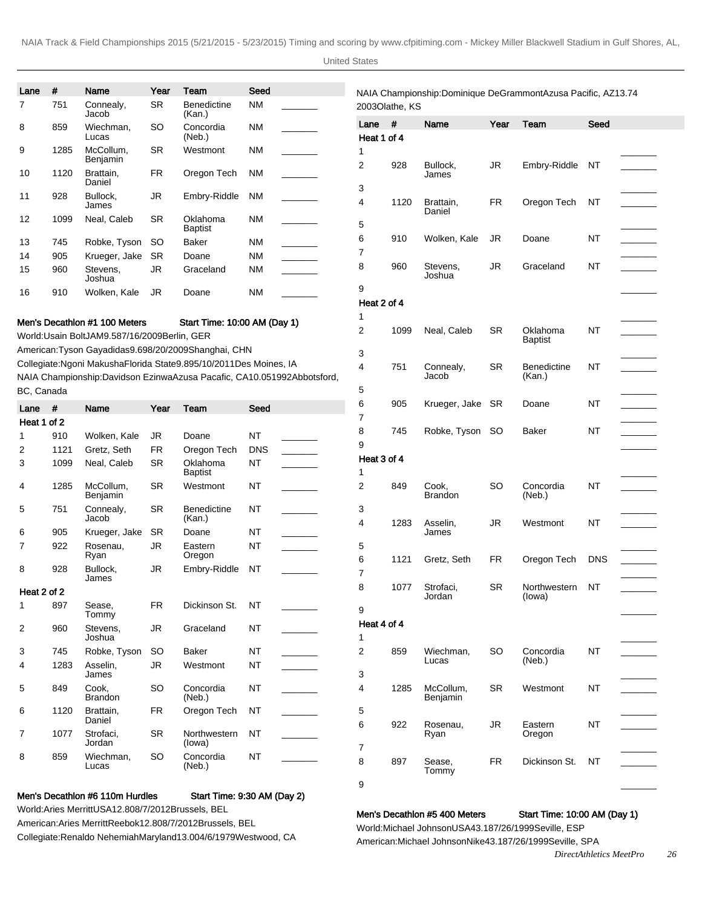United States

|             | #    | Name                                                                              | Year      | Team                                                                  | Seed       |                                                                            |                       |                | NAIA Championship: Dominique DeGrammont Azusa Pacific, AZ 13.74 |           |                              |            |
|-------------|------|-----------------------------------------------------------------------------------|-----------|-----------------------------------------------------------------------|------------|----------------------------------------------------------------------------|-----------------------|----------------|-----------------------------------------------------------------|-----------|------------------------------|------------|
| 7           | 751  | Connealy,<br>Jacob                                                                | <b>SR</b> | <b>Benedictine</b><br>(Kan.)                                          | <b>NM</b>  |                                                                            |                       | 2003Olathe, KS |                                                                 |           |                              |            |
|             | 859  | Wiechman,<br>Lucas                                                                | SO        | Concordia<br>(Neb.)                                                   | <b>NM</b>  |                                                                            | Lane #<br>Heat 1 of 4 |                | Name                                                            | Year      | Team                         | Seed       |
|             | 1285 | McCollum,<br>Benjamin                                                             | <b>SR</b> | Westmont                                                              | <b>NM</b>  |                                                                            | 1                     |                |                                                                 |           |                              |            |
| 10          | 1120 | Brattain,<br>Daniel                                                               | <b>FR</b> | Oregon Tech                                                           | <b>NM</b>  |                                                                            | 2                     | 928            | Bullock,<br>James                                               | JR        | Embry-Riddle                 | ΝT         |
| 11          | 928  | Bullock,<br>James                                                                 | JR        | Embry-Riddle                                                          | NM         |                                                                            | 3<br>4                | 1120           | Brattain,                                                       | <b>FR</b> | Oregon Tech                  | NT         |
| 12          | 1099 | Neal, Caleb                                                                       | <b>SR</b> | Oklahoma<br><b>Baptist</b>                                            | <b>NM</b>  |                                                                            | 5                     |                | Daniel                                                          |           |                              |            |
| 13          | 745  | Robke, Tyson                                                                      | <b>SO</b> | Baker                                                                 | <b>NM</b>  |                                                                            | 6                     | 910            | Wolken, Kale                                                    | JR        | Doane                        | ΝT         |
| 14          | 905  | Krueger, Jake                                                                     | <b>SR</b> | Doane                                                                 | <b>NM</b>  |                                                                            | 7                     |                |                                                                 |           |                              |            |
| 15          | 960  | Stevens,<br>Joshua                                                                | <b>JR</b> | Graceland                                                             | ΝM         |                                                                            | 8                     | 960            | Stevens,<br>Joshua                                              | JR        | Graceland                    | NT         |
| 16          | 910  | Wolken, Kale                                                                      | JR        | Doane                                                                 | <b>NM</b>  |                                                                            | 9<br>Heat 2 of 4      |                |                                                                 |           |                              |            |
|             |      |                                                                                   |           |                                                                       |            |                                                                            | 1                     |                |                                                                 |           |                              |            |
|             |      | Men's Decathion #1 100 Meters<br>World: Usain Bolt JAM 9.58 7/16/2009 Berlin, GER |           | Start Time: 10:00 AM (Day 1)                                          |            |                                                                            | 2                     | 1099           | Neal, Caleb                                                     | <b>SR</b> | Oklahoma<br><b>Baptist</b>   | NT         |
|             |      |                                                                                   |           | American: Tyson Gay adidas 9.69 8/20/2009 Shanghai, CHN               |            |                                                                            | 3                     |                |                                                                 |           |                              |            |
|             |      |                                                                                   |           | Collegiate: Ngoni Makusha Florida State 9.89 5/10/2011 Des Moines, IA |            | NAIA Championship: Davidson Ezinwa Azusa Pacafic, CA 10.05 1992Abbotsford, | $\overline{4}$        | 751            | Connealy,<br>Jacob                                              | <b>SR</b> | <b>Benedictine</b><br>(Kan.) | NT         |
| BC, Canada  |      |                                                                                   |           |                                                                       |            |                                                                            | 5                     |                |                                                                 |           |                              |            |
| Lane        | #    | Name                                                                              | Year      | Team                                                                  | Seed       |                                                                            | 6                     | 905            | Krueger, Jake SR                                                |           | Doane                        | ΝT         |
| Heat 1 of 2 |      |                                                                                   |           |                                                                       |            |                                                                            | 7                     |                |                                                                 |           |                              |            |
|             | 910  | Wolken, Kale                                                                      | <b>JR</b> | Doane                                                                 | <b>NT</b>  |                                                                            | 8                     | 745            | Robke, Tyson SO                                                 |           | Baker                        | NT         |
|             | 1121 | Gretz, Seth                                                                       | FR        | Oregon Tech                                                           | <b>DNS</b> |                                                                            | 9                     |                |                                                                 |           |                              |            |
|             | 1099 | Neal, Caleb                                                                       | <b>SR</b> | Oklahoma<br><b>Baptist</b>                                            | NT         |                                                                            | Heat 3 of 4<br>1      |                |                                                                 |           |                              |            |
| 4           | 1285 | McCollum,<br>Benjamin                                                             | <b>SR</b> | Westmont                                                              | ΝT         |                                                                            | 2                     | 849            | Cook,<br>Brandon                                                | <b>SO</b> | Concordia<br>(Neb.)          | NT         |
| 5           | 751  | Connealy,<br>Jacob                                                                | <b>SR</b> | <b>Benedictine</b><br>(Kan.)                                          | NT         |                                                                            | 3<br>4                | 1283           | Asselin,                                                        | <b>JR</b> | Westmont                     | ΝT         |
| 6           | 905  | Krueger, Jake                                                                     | <b>SR</b> | Doane                                                                 | NT         |                                                                            |                       |                | James                                                           |           |                              |            |
| 7           | 922  | Rosenau,<br>Ryan                                                                  | JR        | Eastern<br>Oregon                                                     | ΝT         |                                                                            | 5                     |                |                                                                 |           |                              |            |
| 8           | 928  | Bullock.<br>James                                                                 | JR        | Embry-Riddle                                                          | NT         |                                                                            | 6<br>7                | 1121           | Gretz, Seth                                                     | FR        | Oregon Tech                  | <b>DNS</b> |
| Heat 2 of 2 |      |                                                                                   |           |                                                                       |            |                                                                            | 8                     | 1077           | Strofaci,                                                       | <b>SR</b> | Northwestern                 | NT         |
| 1           | 897  | Sease.<br>Tommy                                                                   | <b>FR</b> | Dickinson St.                                                         | NT         |                                                                            | 9                     |                | Jordan                                                          |           | (lowa)                       |            |
| 2           | 960  | Stevens.<br>Joshua                                                                | <b>JR</b> | Graceland                                                             | <b>NT</b>  |                                                                            | Heat 4 of 4<br>1      |                |                                                                 |           |                              |            |
| 3           | 745  | Robke, Tyson                                                                      | <b>SO</b> | Baker                                                                 | NT         |                                                                            | 2                     | 859            | Wiechman,                                                       | <b>SO</b> | Concordia                    | NT         |
| 4           | 1283 | Asselin.<br>James                                                                 | JR        | Westmont                                                              | NT         |                                                                            | 3                     |                | Lucas                                                           |           | (Neb.)                       |            |
| 5           | 849  | Cook,<br><b>Brandon</b>                                                           | SO        | Concordia<br>(Neb.)                                                   | <b>NT</b>  |                                                                            | 4                     | 1285           | McCollum,<br>Benjamin                                           | <b>SR</b> | Westmont                     | NT         |
| 6           | 1120 | Brattain,<br>Daniel                                                               | FR        | Oregon Tech                                                           | ΝT         |                                                                            | 5                     |                |                                                                 |           |                              |            |
|             | 1077 | Strofaci,                                                                         | <b>SR</b> | Northwestern<br>(lowa)                                                | NT         |                                                                            | 6<br>7                | 922            | Rosenau,<br>Ryan                                                | JR.       | Eastern<br>Oregon            | NT         |
| 7           |      | Jordan                                                                            |           |                                                                       |            |                                                                            |                       |                |                                                                 |           |                              |            |
| 8           | 859  | Wiechman,<br>Lucas                                                                | SO        | Concordia<br>(Neb.)                                                   | <b>NT</b>  |                                                                            | 8                     | 897            | Sease,<br>Tommy                                                 | <b>FR</b> | Dickinson St.                | NT         |

World: Aries Merritt USA 12.80 8/7/2012 Brussels, BEL American: Aries Merritt Reebok 12.80 8/7/2012 Brussels, BEL Collegiate: Renaldo Nehemiah Maryland 13.00 4/6/1979 Westwood, CA

# Men's Decathlon #5 400 Meters Start Time: 10:00 AM (Day 1)

World: Michael Johnson USA 43.18 7/26/1999 Seville, ESP American: Michael Johnson Nike 43.18 7/26/1999 Seville, SPA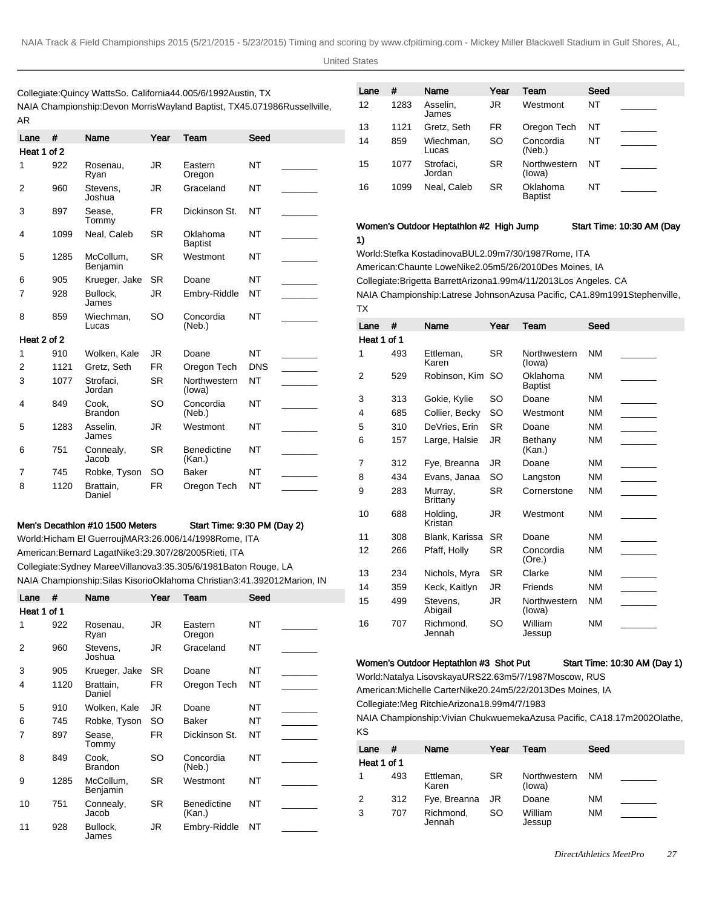TX

United States

Collegiate: Quincy Watts So. California 44.00 5/6/1992 Austin, TX NAIA Championship: Devon Morris Wayland Baptist, TX 45.07 1986Russellville, AR

| Lane           | #    | Name                    | Year      | Team                         | Seed       |  |
|----------------|------|-------------------------|-----------|------------------------------|------------|--|
| Heat 1 of 2    |      |                         |           |                              |            |  |
| 1              | 922  | Rosenau,<br>Ryan        | JR        | Eastern<br>Oregon            | <b>NT</b>  |  |
| 2              | 960  | Stevens.<br>Joshua      | JR        | Graceland                    | NΤ         |  |
| 3              | 897  | Sease,<br>Tommy         | <b>FR</b> | Dickinson St.                | NΤ         |  |
| 4              | 1099 | Neal, Caleb             | <b>SR</b> | Oklahoma<br><b>Baptist</b>   | <b>NT</b>  |  |
| 5              | 1285 | McCollum,<br>Benjamin   | <b>SR</b> | Westmont                     | NΤ         |  |
| 6              | 905  | Krueger, Jake           | <b>SR</b> | Doane                        | NΤ         |  |
| 7              | 928  | Bullock.<br>James       | JR.       | Embry-Riddle                 | NΤ         |  |
| 8              | 859  | Wiechman,<br>Lucas      | <b>SO</b> | Concordia<br>(Neb.)          | <b>NT</b>  |  |
| Heat 2 of 2    |      |                         |           |                              |            |  |
| 1              | 910  | Wolken, Kale            | JR        | Doane                        | <b>NT</b>  |  |
| $\overline{2}$ | 1121 | Gretz, Seth             | <b>FR</b> | Oregon Tech                  | <b>DNS</b> |  |
| 3              | 1077 | Strofaci,<br>Jordan     | <b>SR</b> | Northwestern<br>(lowa)       | NT         |  |
| 4              | 849  | Cook.<br><b>Brandon</b> | SO.       | Concordia<br>(Neb.)          | NT         |  |
| 5              | 1283 | Asselin,<br>James       | JR        | Westmont                     | NΤ         |  |
| 6              | 751  | Connealy,<br>Jacob      | <b>SR</b> | <b>Benedictine</b><br>(Kan.) | <b>NT</b>  |  |
| 7              | 745  | Robke, Tyson            | SO.       | Baker                        | NΤ         |  |
| 8              | 1120 | Brattain,<br>Daniel     | FR        | Oregon Tech                  | NT         |  |

#### Men's Decathlon #10 1500 Meters Start Time: 9:30 PM (Day 2)

World: Hicham El Guerrouj MAR 3:26.00 6/14/1998 Rome, ITA American: Bernard Lagat Nike 3:29.30 7/28/2005 Rieti, ITA Collegiate: Sydney Maree Villanova 3:35.30 5/6/1981 Baton Rouge, LA NAIA Championship: Silas Kisorio Oklahoma Christian 3:41.39 2012Marion, IN

| #<br>Lane   |      | Year<br>Name            |           | Team                         | Seed |  |  |
|-------------|------|-------------------------|-----------|------------------------------|------|--|--|
| Heat 1 of 1 |      |                         |           |                              |      |  |  |
| 1           | 922  | Rosenau,<br>Ryan        | JR        | Eastern<br>Oregon            | NT   |  |  |
| 2           | 960  | Stevens,<br>Joshua      | JR        | Graceland                    | NΤ   |  |  |
| 3           | 905  | Krueger, Jake           | <b>SR</b> | Doane                        | NT   |  |  |
| 4           | 1120 | Brattain,<br>Daniel     | FR.       | Oregon Tech                  | NT   |  |  |
| 5           | 910  | Wolken, Kale            | JR        | Doane                        | NT   |  |  |
| 6           | 745  | Robke, Tyson            | SO.       | Baker                        | NT   |  |  |
| 7           | 897  | Sease,<br>Tommy         | FR.       | Dickinson St.                | NΤ   |  |  |
| 8           | 849  | Cook.<br><b>Brandon</b> | SO        | Concordia<br>(Neb.)          | NΤ   |  |  |
| 9           | 1285 | McCollum,<br>Benjamin   | <b>SR</b> | Westmont                     | NT   |  |  |
| 10          | 751  | Connealy,<br>Jacob      | <b>SR</b> | <b>Benedictine</b><br>(Kan.) | NT   |  |  |
| 11          | 928  | Bullock,<br>.lames      | JR        | Embry-Riddle                 | NT   |  |  |

| Lane | #    | Name                | Year | Team                       | Seed |  |
|------|------|---------------------|------|----------------------------|------|--|
| 12   | 1283 | Asselin,<br>James   | JR   | Westmont                   | NT   |  |
| 13   | 1121 | Gretz, Seth         | FR   | Oregon Tech                | NT   |  |
| 14   | 859  | Wiechman,<br>Lucas  | SO   | Concordia<br>(Neb.)        | NT   |  |
| 15   | 1077 | Strofaci,<br>Jordan | SR   | Northwestern<br>(lowa)     | NT   |  |
| 16   | 1099 | Neal, Caleb         | SR   | Oklahoma<br><b>Baptist</b> | NT   |  |

#### Women's Outdoor Heptathlon #2 High Jump Start Time: 10:30 AM (Day

1) World: Stefka Kostadinova BUL 2.09m 7/30/1987 Rome, ITA American: Chaunte Lowe Nike 2.05m 5/26/2010 Des Moines, IA Collegiate: Brigetta Barrett Arizona 1.99m 4/11/2013 Los Angeles. CA NAIA Championship: Latrese Johnson Azusa Pacific, CA 1.89m 1991Stephenville,

| Lane        | #   | Name                | Year      | Team                       | Seed      |  |
|-------------|-----|---------------------|-----------|----------------------------|-----------|--|
| Heat 1 of 1 |     |                     |           |                            |           |  |
| 1           | 493 | Ettleman,<br>Karen  | <b>SR</b> | Northwestern<br>(lowa)     | <b>NM</b> |  |
| 2           | 529 | Robinson, Kim SO    |           | Oklahoma<br><b>Baptist</b> | <b>NM</b> |  |
| 3           | 313 | Gokie, Kylie        | SO.       | Doane                      | <b>NM</b> |  |
| 4           | 685 | Collier, Becky      | <b>SO</b> | Westmont                   | <b>NM</b> |  |
| 5           | 310 | DeVries, Erin       | <b>SR</b> | Doane                      | <b>NM</b> |  |
| 6           | 157 | Large, Halsie       | JR        | Bethany<br>(Kan.)          | <b>NM</b> |  |
| 7           | 312 | Fye, Breanna        | JR        | Doane                      | <b>NM</b> |  |
| 8           | 434 | Evans, Janaa        | <b>SO</b> | Langston                   | <b>NM</b> |  |
| 9           | 283 | Murray,<br>Brittany | SR        | Cornerstone                | <b>NM</b> |  |
| 10          | 688 | Holding,<br>Kristan | JR        | Westmont                   | <b>NM</b> |  |
| 11          | 308 | Blank, Karissa      | <b>SR</b> | Doane                      | <b>NM</b> |  |
| 12          | 266 | Pfaff, Holly        | SR        | Concordia<br>(Ore.)        | <b>NM</b> |  |
| 13          | 234 | Nichols, Myra       | <b>SR</b> | Clarke                     | <b>NM</b> |  |
| 14          | 359 | Keck, Kaitlyn       | JR        | Friends                    | <b>NM</b> |  |
| 15          | 499 | Stevens,<br>Abigail | JR        | Northwestern<br>(lowa)     | <b>NM</b> |  |
| 16          | 707 | Richmond.<br>Jennah | SO        | William<br>Jessup          | <b>NM</b> |  |
|             |     |                     |           |                            |           |  |

#### Women's Outdoor Heptathlon #3 Shot Put Start Time: 10:30 AM (Day 1)

World: Natalya Lisovskaya URS 22.63m 5/7/1987 Moscow, RUS

American: Michelle Carter Nike 20.24m 5/22/2013 Des Moines, IA

Collegiate: Meg Ritchie Arizona 18.99m 4/7/1983

NAIA Championship: Vivian Chukwuemeka Azusa Pacific, CA 18.17m 2002Olathe, KS

| Lane        | #   | Name                | Year | Team                   | Seed |  |
|-------------|-----|---------------------|------|------------------------|------|--|
| Heat 1 of 1 |     |                     |      |                        |      |  |
| 1           | 493 | Ettleman,<br>Karen  | SR.  | Northwestern<br>(lowa) | NM.  |  |
| 2           | 312 | Fye, Breanna        | - JR | Doane                  | NM   |  |
| 3           | 707 | Richmond,<br>Jennah | SO   | William<br>Jessup      | NM   |  |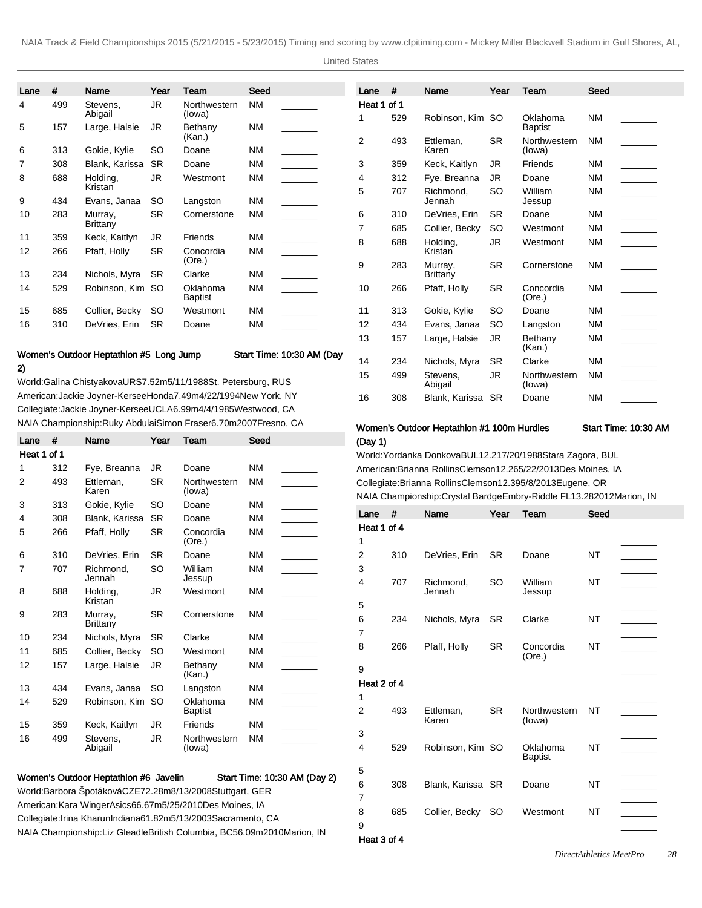United States

| Lane | #   | Name                       | Year      | Team                   | Seed      | Lane           |
|------|-----|----------------------------|-----------|------------------------|-----------|----------------|
| 4    | 499 | Stevens,<br>Abigail        | <b>JR</b> | Northwestern<br>(lowa) | <b>NM</b> | Heat<br>1      |
| 5    | 157 | Large, Halsie              | JR        | Bethany<br>(Kan.)      | <b>NM</b> | $\overline{2}$ |
| 6    | 313 | Gokie, Kylie               | SO        | Doane                  | <b>NM</b> |                |
| 7    | 308 | Blank, Karissa             | <b>SR</b> | Doane                  | <b>NM</b> | 3              |
| 8    | 688 | Holding,                   | JR        | Westmont               | <b>NM</b> | 4              |
|      |     | Kristan                    |           |                        |           | 5              |
| 9    | 434 | Evans, Janaa               | SO        | Langston               | <b>NM</b> |                |
| 10   | 283 | Murray,<br><b>Brittany</b> | <b>SR</b> | Cornerstone            | <b>NM</b> | 6<br>7         |
| 11   | 359 | Keck, Kaitlyn              | JR        | Friends                | <b>NM</b> | 8              |
| 12   | 266 | Pfaff, Holly               | <b>SR</b> | Concordia<br>(Ore.)    | <b>NM</b> | 9              |
| 13   | 234 | Nichols, Myra              | SR.       | Clarke                 | NM        |                |
| 14   | 529 | Robinson, Kim              | <b>SO</b> | Oklahoma<br>Baptist    | <b>NM</b> | 10             |
| 15   | 685 | Collier, Becky             | SO        | Westmont               | <b>NM</b> | 11             |
| 16   | 310 | DeVries, Erin              | <b>SR</b> | Doane                  | <b>NM</b> | 12             |
|      |     |                            |           |                        |           | 13             |

### Women's Outdoor Heptathlon #5 Long Jump Start Time: 10:30 AM (Day

2)

World: Galina Chistyakova URS 7.52m 5/11/1988 St. Petersburg, RUS American: Jackie Joyner-Kersee Honda 7.49m 4/22/1994 New York, NY Collegiate: Jackie Joyner-Kersee UCLA 6.99m 4/4/1985 Westwood, CA NAIA Championship: Ruky Abdulai Simon Fraser 6.70m 2007Fresno, CA

| Lane           | #   | Name                                                         | Year      | Team                       | Seed                         |
|----------------|-----|--------------------------------------------------------------|-----------|----------------------------|------------------------------|
| Heat 1 of 1    |     |                                                              |           |                            |                              |
| 1              | 312 | Fye, Breanna                                                 | JR.       | Doane                      | <b>NM</b>                    |
| $\overline{2}$ | 493 | Ettleman,<br>Karen                                           | <b>SR</b> | Northwestern<br>(lowa)     | <b>NM</b>                    |
| 3              | 313 | Gokie, Kylie                                                 | SO        | Doane                      | <b>NM</b>                    |
| 4              | 308 | Blank, Karissa                                               | SR        | Doane                      | <b>NM</b>                    |
| 5              | 266 | Pfaff, Holly                                                 | <b>SR</b> | Concordia<br>(Ore.)        | <b>NM</b>                    |
| 6              | 310 | DeVries, Erin                                                | SR.       | Doane                      | <b>NM</b>                    |
| 7              | 707 | Richmond.<br>Jennah                                          | SO        | William<br>Jessup          | <b>NM</b>                    |
| 8              | 688 | Holding,<br>Kristan                                          | JR        | Westmont                   | <b>NM</b>                    |
| 9              | 283 | Murray,<br>Brittany                                          | SR.       | Cornerstone                | <b>NM</b>                    |
| 10             | 234 | Nichols, Myra                                                | <b>SR</b> | Clarke                     | <b>NM</b>                    |
| 11             | 685 | Collier, Becky                                               | SO        | Westmont                   | <b>NM</b>                    |
| 12             | 157 | Large, Halsie                                                | JR.       | Bethany<br>(Kan.)          | <b>NM</b>                    |
| 13             | 434 | Evans, Janaa                                                 | SO        | Langston                   | <b>NM</b>                    |
| 14             | 529 | Robinson, Kim                                                | <b>SO</b> | Oklahoma<br><b>Baptist</b> | <b>NM</b>                    |
| 15             | 359 | Keck, Kaitlyn                                                | JR        | Friends                    | <b>NM</b>                    |
| 16             | 499 | Stevens.<br>Abigail                                          | JR.       | Northwestern<br>(lowa)     | <b>NM</b>                    |
|                |     | Women's Outdoor Heptathlon #6 Javelin                        |           |                            | Start Time: 10:30 AM (Day 2) |
|                |     | World: Barbora Špotáková CZE 72.28m 8/13/2008 Stuttgart, GER |           |                            |                              |
|                |     | American: Kara Winger Asics 66.67m 5/25/2010 Des Moines, IA  |           |                            |                              |

Collegiate: Irina Kharun Indiana 61.82m 5/13/2003 Sacramento, CA

NAIA Championship: Liz Gleadle British Columbia, BC 56.09m 2010Marion, IN

| Lane        | #   | Name                | Year      | Team                       | Seed      |  |
|-------------|-----|---------------------|-----------|----------------------------|-----------|--|
| Heat 1 of 1 |     |                     |           |                            |           |  |
| 1           | 529 | Robinson, Kim SO    |           | Oklahoma<br><b>Baptist</b> | <b>NM</b> |  |
| 2           | 493 | Ettleman.<br>Karen  | SR        | Northwestern<br>(lowa)     | <b>NM</b> |  |
| 3           | 359 | Keck, Kaitlyn       | JR        | Friends                    | <b>NM</b> |  |
| 4           | 312 | Fye, Breanna        | JR        | Doane                      | <b>NM</b> |  |
| 5           | 707 | Richmond,<br>Jennah | SO        | William<br>Jessup          | <b>NM</b> |  |
| 6           | 310 | DeVries, Erin       | SR        | Doane                      | <b>NM</b> |  |
| 7           | 685 | Collier, Becky      | SO        | Westmont                   | <b>NM</b> |  |
| 8           | 688 | Holding,<br>Kristan | JR        | Westmont                   | <b>NM</b> |  |
| 9           | 283 | Murray,<br>Brittany | SR        | Cornerstone                | <b>NM</b> |  |
| 10          | 266 | Pfaff, Holly        | <b>SR</b> | Concordia<br>(Ore.)        | <b>NM</b> |  |
| 11          | 313 | Gokie, Kylie        | SO        | Doane                      | <b>NM</b> |  |
| 12          | 434 | Evans, Janaa        | SO        | Langston                   | <b>NM</b> |  |
| 13          | 157 | Large, Halsie       | <b>JR</b> | Bethany<br>(Kan.)          | <b>NM</b> |  |
| 14          | 234 | Nichols, Myra       | SR        | Clarke                     | <b>NM</b> |  |
| 15          | 499 | Stevens,<br>Abigail | <b>JR</b> | Northwestern<br>(lowa)     | <b>NM</b> |  |
| 16          | 308 | Blank, Karissa      | <b>SR</b> | Doane                      | <b>NM</b> |  |

### Women's Outdoor Heptathlon #1 100m Hurdles Start Time: 10:30 AM (Day 1)

World: Yordanka Donkova BUL 12.21 7/20/1988 Stara Zagora, BUL American: Brianna Rollins Clemson 12.26 5/22/2013 Des Moines, IA Collegiate: Brianna Rollins Clemson 12.39 5/8/2013 Eugene, OR NAIA Championship: Crystal Bardge Embry-Riddle FL 13.28 2012Marion, IN

| Lane<br>Heat 1 of 4 | #   | Name                | Year      | Team                       | Seed      |  |
|---------------------|-----|---------------------|-----------|----------------------------|-----------|--|
| 1                   |     |                     |           |                            |           |  |
| 2                   | 310 | DeVries, Erin       | <b>SR</b> | Doane                      | NT        |  |
| 3                   |     |                     |           |                            |           |  |
| 4                   | 707 | Richmond,<br>Jennah | SO        | William<br>Jessup          | NT        |  |
| 5                   |     |                     |           |                            |           |  |
| 6                   | 234 | Nichols, Myra       | <b>SR</b> | Clarke                     | <b>NT</b> |  |
| 7                   |     |                     |           |                            |           |  |
| 8                   | 266 | Pfaff, Holly        | <b>SR</b> | Concordia<br>(Ore.)        | <b>NT</b> |  |
| 9                   |     |                     |           |                            |           |  |
| Heat 2 of 4         |     |                     |           |                            |           |  |
| 1                   |     |                     |           |                            |           |  |
| 2                   | 493 | Ettleman,<br>Karen  | <b>SR</b> | Northwestern<br>(lowa)     | NT        |  |
| 3                   |     |                     |           |                            |           |  |
| 4                   | 529 | Robinson, Kim SO    |           | Oklahoma<br><b>Baptist</b> | <b>NT</b> |  |
| 5                   |     |                     |           |                            |           |  |
| 6                   | 308 | Blank, Karissa SR   |           | Doane                      | <b>NT</b> |  |
| 7                   |     |                     |           |                            |           |  |
| 8                   | 685 | Collier, Becky      | <b>SO</b> | Westmont                   | <b>NT</b> |  |
| 9                   |     |                     |           |                            |           |  |
|                     |     |                     |           |                            |           |  |